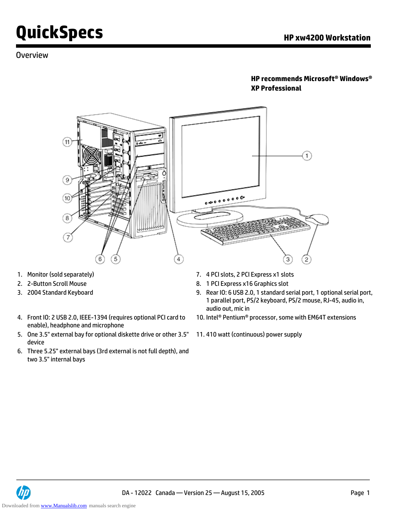### Overview

#### **HP recommends Microsoft® Windows® XP Professional**



- 
- 
- 
- 4. Front IO: 2 USB 2.0, IEEE-1394 (requires optional PCI card to enable), headphone and microphone
- 5. One 3.5" external bay for optional diskette drive or other 3.5" device
- 6. Three 5.25" external bays (3rd external is not full depth), and two 3.5" internal bays
- 1. Monitor (sold separately) 7. 4 PCI slots, 2 PCI Express x1 slots
- 2. 2-Button Scroll Mouse 8. 1 PCI Express x16 Graphics slot
- 3. 2004 Standard Keyboard 9. Rear IO: 6 USB 2.0, 1 standard serial port, 1 optional serial port, 1 parallel port, PS/2 keyboard, PS/2 mouse, RJ-45, audio in, audio out, mic in
	- 10. Intel® Pentium® processor, some with EM64T extensions
	- 11. 410 watt (continuous) power supply

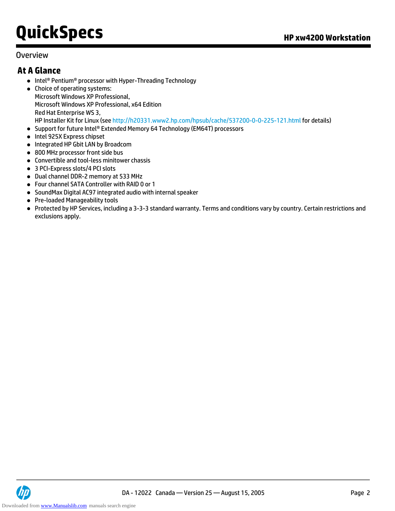#### Overview

### **At A Glance**

- Intel® Pentium® processor with Hyper-Threading Technology
- Choice of operating systems: Microsoft Windows XP Professional, Microsoft Windows XP Professional, x64 Edition Red Hat Enterprise WS 3, HP Installer Kit for Linux (see http://h20331.www2.hp.com/hpsub/cache/537200-0-0-225-121.html for details)
- Support for future Intel® Extended Memory 64 Technology (EM64T) processors
- Intel 925X Express chipset
- **.** Integrated HP Gbit LAN by Broadcom
- 800 MHz processor front side bus
- Convertible and tool-less minitower chassis
- 3 PCI-Express slots/4 PCI slots
- Dual channel DDR-2 memory at 533 MHz
- Four channel SATA Controller with RAID 0 or 1
- SoundMax Digital AC97 integrated audio with internal speaker
- Pre-loaded Manageability tools
- Protected by HP Services, including a 3-3-3 standard warranty. Terms and conditions vary by country. Certain restrictions and exclusions apply.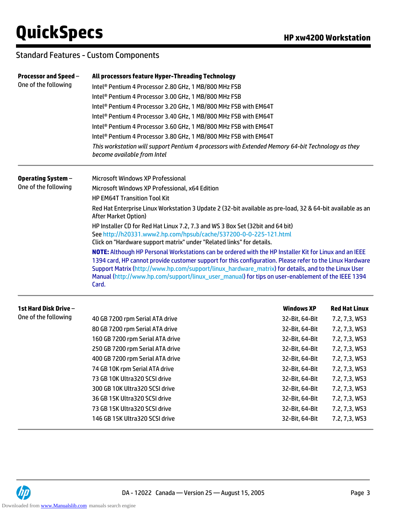### Standard Features - Custom Components

| Processor and Speed -<br>One of the following | All processors feature Hyper-Threading Technology                                                                                                                                                                                                                                                                                                                                                                                       |                   |                      |  |  |  |
|-----------------------------------------------|-----------------------------------------------------------------------------------------------------------------------------------------------------------------------------------------------------------------------------------------------------------------------------------------------------------------------------------------------------------------------------------------------------------------------------------------|-------------------|----------------------|--|--|--|
|                                               | Intel <sup>®</sup> Pentium 4 Processor 2.80 GHz, 1 MB/800 MHz FSB<br>Intel <sup>®</sup> Pentium 4 Processor 3.00 GHz, 1 MB/800 MHz FSB                                                                                                                                                                                                                                                                                                  |                   |                      |  |  |  |
|                                               |                                                                                                                                                                                                                                                                                                                                                                                                                                         |                   |                      |  |  |  |
|                                               | Intel® Pentium 4 Processor 3.20 GHz, 1 MB/800 MHz FSB with EM64T                                                                                                                                                                                                                                                                                                                                                                        |                   |                      |  |  |  |
|                                               | Intel® Pentium 4 Processor 3.40 GHz, 1 MB/800 MHz FSB with EM64T                                                                                                                                                                                                                                                                                                                                                                        |                   |                      |  |  |  |
|                                               | Intel® Pentium 4 Processor 3.60 GHz, 1 MB/800 MHz FSB with EM64T                                                                                                                                                                                                                                                                                                                                                                        |                   |                      |  |  |  |
|                                               | Intel® Pentium 4 Processor 3.80 GHz, 1 MB/800 MHz FSB with EM64T                                                                                                                                                                                                                                                                                                                                                                        |                   |                      |  |  |  |
|                                               | This workstation will support Pentium 4 processors with Extended Memory 64-bit Technology as they<br>become available from Intel                                                                                                                                                                                                                                                                                                        |                   |                      |  |  |  |
| <b>Operating System -</b>                     | Microsoft Windows XP Professional                                                                                                                                                                                                                                                                                                                                                                                                       |                   |                      |  |  |  |
| One of the following                          | Microsoft Windows XP Professional, x64 Edition                                                                                                                                                                                                                                                                                                                                                                                          |                   |                      |  |  |  |
|                                               | <b>HP EM64T Transition Tool Kit</b><br>Red Hat Enterprise Linux Workstation 3 Update 2 (32-bit available as pre-load, 32 & 64-bit available as an<br><b>After Market Option)</b><br>HP Installer CD for Red Hat Linux 7.2, 7.3 and WS 3 Box Set (32bit and 64 bit)                                                                                                                                                                      |                   |                      |  |  |  |
|                                               |                                                                                                                                                                                                                                                                                                                                                                                                                                         |                   |                      |  |  |  |
|                                               |                                                                                                                                                                                                                                                                                                                                                                                                                                         |                   |                      |  |  |  |
|                                               | See http://h20331.www2.hp.com/hpsub/cache/537200-0-0-225-121.html<br>Click on "Hardware support matrix" under "Related links" for details.                                                                                                                                                                                                                                                                                              |                   |                      |  |  |  |
|                                               | NOTE: Although HP Personal Workstations can be ordered with the HP Installer Kit for Linux and an IEEE<br>1394 card, HP cannot provide customer support for this configuration. Please refer to the Linux Hardware<br>Support Matrix (http://www.hp.com/support/linux_hardware_matrix) for details, and to the Linux User<br>Manual (http://www.hp.com/support/linux_user_manual) for tips on user-enablement of the IEEE 1394<br>Card. |                   |                      |  |  |  |
| 1st Hard Disk Drive -                         |                                                                                                                                                                                                                                                                                                                                                                                                                                         | <b>Windows XP</b> | <b>Red Hat Linux</b> |  |  |  |
| One of the following                          | 40 GB 7200 rpm Serial ATA drive                                                                                                                                                                                                                                                                                                                                                                                                         | 32-Bit, 64-Bit    | 7.2, 7,3, WS3        |  |  |  |
|                                               | 80 GB 7200 rpm Serial ATA drive                                                                                                                                                                                                                                                                                                                                                                                                         | 32-Bit, 64-Bit    | 7.2, 7,3, WS3        |  |  |  |
|                                               | 160 GB 7200 rpm Serial ATA drive                                                                                                                                                                                                                                                                                                                                                                                                        | 32-Bit, 64-Bit    | 7.2, 7,3, WS3        |  |  |  |
|                                               | 250 GB 7200 rpm Serial ATA drive                                                                                                                                                                                                                                                                                                                                                                                                        | 32-Bit, 64-Bit    | 7.2, 7,3, WS3        |  |  |  |
|                                               |                                                                                                                                                                                                                                                                                                                                                                                                                                         |                   |                      |  |  |  |

| 250 GD 7 200 TDITE SERIGE AT A GITTLE | 32-DIL. 04-DIL | 7.2, 7,3, WS3 |
|---------------------------------------|----------------|---------------|
| 400 GB 7200 rpm Serial ATA drive      | 32-Bit, 64-Bit | 7.2, 7,3, WS3 |
| 74 GB 10K rpm Serial ATA drive        | 32-Bit, 64-Bit | 7.2, 7,3, WS3 |
| 73 GB 10K Ultra320 SCSI drive         | 32-Bit, 64-Bit | 7.2, 7,3, WS3 |
| 300 GB 10K Ultra320 SCSI drive        | 32-Bit, 64-Bit | 7.2, 7,3, WS3 |
| 36 GB 15K Ultra320 SCSI drive         | 32-Bit, 64-Bit | 7.2, 7,3, WS3 |
| 73 GB 15K Ultra320 SCSI drive         | 32-Bit, 64-Bit | 7.2, 7,3, WS3 |
| 146 GB 15K Ultra320 SCSI drive        | 32-Bit, 64-Bit | 7.2, 7,3, WS3 |
|                                       |                |               |

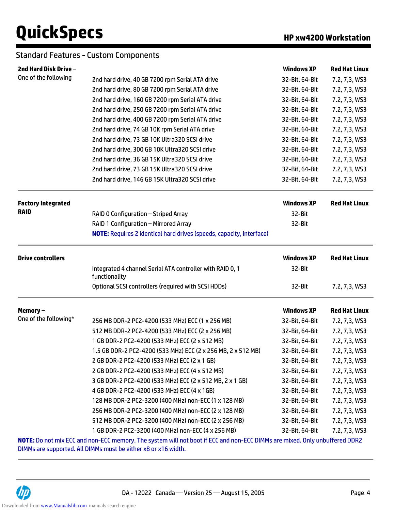### Standard Features - Custom Components

| 2nd Hard Disk Drive -     |                                                                                                                            | <b>Windows XP</b> | <b>Red Hat Linux</b> |
|---------------------------|----------------------------------------------------------------------------------------------------------------------------|-------------------|----------------------|
| One of the following      | 2nd hard drive, 40 GB 7200 rpm Serial ATA drive                                                                            | 32-Bit, 64-Bit    | 7.2, 7,3, WS3        |
|                           | 2nd hard drive, 80 GB 7200 rpm Serial ATA drive                                                                            | 32-Bit, 64-Bit    | 7.2, 7,3, WS3        |
|                           | 2nd hard drive, 160 GB 7200 rpm Serial ATA drive                                                                           | 32-Bit, 64-Bit    | 7.2, 7,3, WS3        |
|                           | 2nd hard drive, 250 GB 7200 rpm Serial ATA drive                                                                           | 32-Bit, 64-Bit    | 7.2, 7,3, WS3        |
|                           | 2nd hard drive, 400 GB 7200 rpm Serial ATA drive                                                                           | 32-Bit, 64-Bit    | 7.2, 7,3, WS3        |
|                           | 2nd hard drive, 74 GB 10K rpm Serial ATA drive                                                                             | 32-Bit, 64-Bit    | 7.2, 7,3, WS3        |
|                           | 2nd hard drive, 73 GB 10K Ultra320 SCSI drive                                                                              | 32-Bit, 64-Bit    | 7.2, 7,3, WS3        |
|                           | 2nd hard drive, 300 GB 10K Ultra320 SCSI drive                                                                             | 32-Bit, 64-Bit    | 7.2, 7,3, WS3        |
|                           | 2nd hard drive, 36 GB 15K Ultra320 SCSI drive                                                                              | 32-Bit, 64-Bit    | 7.2, 7,3, WS3        |
|                           | 2nd hard drive, 73 GB 15K Ultra320 SCSI drive                                                                              | 32-Bit, 64-Bit    | 7.2, 7,3, WS3        |
|                           | 2nd hard drive, 146 GB 15K Ultra320 SCSI drive                                                                             | 32-Bit, 64-Bit    | 7.2, 7,3, WS3        |
| <b>Factory Integrated</b> |                                                                                                                            | <b>Windows XP</b> | <b>Red Hat Linux</b> |
| <b>RAID</b>               | RAID 0 Configuration - Striped Array                                                                                       | 32-Bit            |                      |
|                           | RAID 1 Configuration - Mirrored Array                                                                                      | 32-Bit            |                      |
|                           | <b>NOTE:</b> Requires 2 identical hard drives (speeds, capacity, interface)                                                |                   |                      |
| <b>Drive controllers</b>  |                                                                                                                            | <b>Windows XP</b> | <b>Red Hat Linux</b> |
|                           | Integrated 4 channel Serial ATA controller with RAID 0, 1<br>functionality                                                 | 32-Bit            |                      |
|                           | Optional SCSI controllers (required with SCSI HDDs)                                                                        | 32-Bit            | 7.2, 7,3, WS3        |
| Memory-                   |                                                                                                                            | <b>Windows XP</b> | <b>Red Hat Linux</b> |
| One of the following*     | 256 MB DDR-2 PC2-4200 (533 MHz) ECC (1 x 256 MB)                                                                           | 32-Bit, 64-Bit    | 7.2, 7,3, WS3        |
|                           | 512 MB DDR-2 PC2-4200 (533 MHz) ECC (2 x 256 MB)                                                                           | 32-Bit, 64-Bit    | 7.2, 7,3, WS3        |
|                           | 1 GB DDR-2 PC2-4200 (533 MHz) ECC (2 x 512 MB)                                                                             | 32-Bit, 64-Bit    | 7.2, 7,3, WS3        |
|                           | 1.5 GB DDR-2 PC2-4200 (533 MHz) ECC (2 x 256 MB, 2 x 512 MB)                                                               | 32-Bit, 64-Bit    | 7.2, 7,3, WS3        |
|                           | 2 GB DDR-2 PC2-4200 (533 MHz) ECC (2 x 1 GB)                                                                               | 32-Bit, 64-Bit    | 7.2, 7,3, WS3        |
|                           | 2 GB DDR-2 PC2-4200 (533 MHz) ECC (4 x 512 MB)                                                                             | 32-Bit, 64-Bit    | 7.2, 7,3, WS3        |
|                           | 3 GB DDR-2 PC2-4200 (533 MHz) ECC (2 x 512 MB, 2 x 1 GB)                                                                   | 32-Bit, 64-Bit    | 7.2, 7,3, WS3        |
|                           | 4 GB DDR-2 PC2-4200 (533 MHz) ECC (4 x 1GB)                                                                                | 32-Bit, 64-Bit    | 7.2, 7,3, WS3        |
|                           | 128 MB DDR-2 PC2-3200 (400 MHz) non-ECC (1 x 128 MB)                                                                       | 32-Bit, 64-Bit    | 7.2, 7,3, WS3        |
|                           | 256 MB DDR-2 PC2-3200 (400 MHz) non-ECC (2 x 128 MB)                                                                       | 32-Bit, 64-Bit    | 7.2, 7,3, WS3        |
|                           | 512 MB DDR-2 PC2-3200 (400 MHz) non-ECC (2 x 256 MB)                                                                       | 32-Bit, 64-Bit    | 7.2, 7,3, WS3        |
|                           | 1 GB DDR-2 PC2-3200 (400 MHz) non-ECC (4 x 256 MB)<br>32-Bit, 64-Bit<br>7.2, 7,3, WS3                                      |                   |                      |
|                           | NOTE: Do not mix ECC and non-ECC memory. The system will not boot if ECC and non-ECC DIMMs are mixed. Only unbuffered DDR2 |                   |                      |

DIMMs are supported. All DIMMs must be either x8 or x16 width.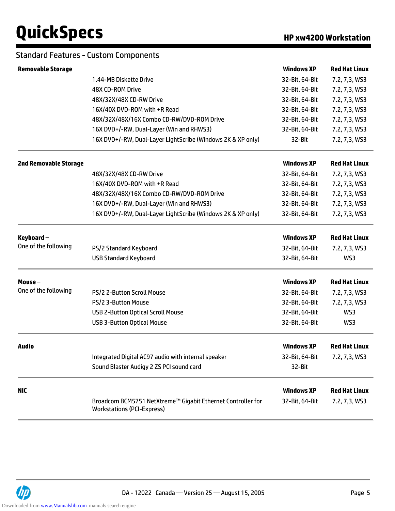#### Standard Features - Custom Components

| <b>Removable Storage</b>     |                                                                                                  | <b>Windows XP</b> | <b>Red Hat Linux</b> |
|------------------------------|--------------------------------------------------------------------------------------------------|-------------------|----------------------|
|                              | 1.44-MB Diskette Drive                                                                           | 32-Bit, 64-Bit    | 7.2, 7,3, WS3        |
|                              | 48X CD-ROM Drive                                                                                 | 32-Bit, 64-Bit    | 7.2, 7,3, WS3        |
|                              | 48X/32X/48X CD-RW Drive                                                                          | 32-Bit, 64-Bit    | 7.2, 7,3, WS3        |
|                              | 16X/40X DVD-ROM with +R Read                                                                     | 32-Bit, 64-Bit    | 7.2, 7,3, WS3        |
|                              | 48X/32X/48X/16X Combo CD-RW/DVD-ROM Drive                                                        | 32-Bit, 64-Bit    | 7.2, 7,3, WS3        |
|                              | 16X DVD+/-RW, Dual-Layer (Win and RHWS3)                                                         | 32-Bit, 64-Bit    | 7.2, 7,3, WS3        |
|                              | 16X DVD+/-RW, Dual-Layer LightScribe (Windows 2K & XP only)                                      | 32-Bit            | 7.2, 7,3, WS3        |
| <b>2nd Removable Storage</b> |                                                                                                  | <b>Windows XP</b> | <b>Red Hat Linux</b> |
|                              | 48X/32X/48X CD-RW Drive                                                                          | 32-Bit, 64-Bit    | 7.2, 7,3, WS3        |
|                              | 16X/40X DVD-ROM with +R Read                                                                     | 32-Bit, 64-Bit    | 7.2, 7,3, WS3        |
|                              | 48X/32X/48X/16X Combo CD-RW/DVD-ROM Drive                                                        | 32-Bit, 64-Bit    | 7.2, 7,3, WS3        |
|                              | 16X DVD+/-RW, Dual-Layer (Win and RHWS3)                                                         | 32-Bit, 64-Bit    | 7.2, 7,3, WS3        |
|                              | 16X DVD+/-RW, Dual-Layer LightScribe (Windows 2K & XP only)                                      | 32-Bit, 64-Bit    | 7.2, 7,3, WS3        |
| Keyboard $-$                 |                                                                                                  | <b>Windows XP</b> | <b>Red Hat Linux</b> |
| One of the following         | PS/2 Standard Keyboard                                                                           | 32-Bit, 64-Bit    | 7.2, 7,3, WS3        |
|                              | <b>USB Standard Keyboard</b>                                                                     | 32-Bit, 64-Bit    | WS3                  |
| Mouse $-$                    |                                                                                                  | <b>Windows XP</b> | <b>Red Hat Linux</b> |
| One of the following         | <b>PS/2 2-Button Scroll Mouse</b>                                                                | 32-Bit, 64-Bit    | 7.2, 7,3, WS3        |
|                              | PS/2 3-Button Mouse                                                                              | 32-Bit, 64-Bit    | 7.2, 7,3, WS3        |
|                              | <b>USB 2-Button Optical Scroll Mouse</b>                                                         | 32-Bit, 64-Bit    | WS3                  |
|                              | <b>USB 3-Button Optical Mouse</b>                                                                | 32-Bit, 64-Bit    | WS3                  |
| Audio                        |                                                                                                  | <b>Windows XP</b> | <b>Red Hat Linux</b> |
|                              | Integrated Digital AC97 audio with internal speaker                                              | 32-Bit, 64-Bit    | 7.2, 7,3, WS3        |
|                              | Sound Blaster Audigy 2 ZS PCI sound card                                                         | 32-Bit            |                      |
| <b>NIC</b>                   |                                                                                                  | <b>Windows XP</b> | <b>Red Hat Linux</b> |
|                              | Broadcom BCM5751 NetXtreme™ Gigabit Ethernet Controller for<br><b>Workstations (PCI-Express)</b> | 32-Bit, 64-Bit    | 7.2, 7,3, WS3        |

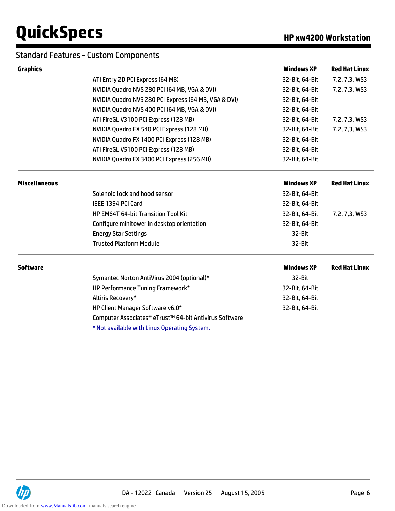#### Standard Features - Custom Components

| <b>Graphics</b>      |                                                                    | <b>Windows XP</b> | <b>Red Hat Linux</b> |  |  |
|----------------------|--------------------------------------------------------------------|-------------------|----------------------|--|--|
|                      | ATI Entry 2D PCI Express (64 MB)                                   | 32-Bit, 64-Bit    | 7.2, 7,3, WS3        |  |  |
|                      | NVIDIA Quadro NVS 280 PCI (64 MB, VGA & DVI)                       | 32-Bit, 64-Bit    | 7.2, 7,3, WS3        |  |  |
|                      | NVIDIA Quadro NVS 280 PCI Express (64 MB, VGA & DVI)               | 32-Bit, 64-Bit    |                      |  |  |
|                      | NVIDIA Quadro NVS 400 PCI (64 MB, VGA & DVI)                       | 32-Bit, 64-Bit    |                      |  |  |
|                      | ATI FireGL V3100 PCI Express (128 MB)                              | 32-Bit, 64-Bit    | 7.2, 7,3, WS3        |  |  |
|                      | NVIDIA Quadro FX 540 PCI Express (128 MB)                          | 32-Bit, 64-Bit    | 7.2, 7,3, WS3        |  |  |
|                      | NVIDIA Quadro FX 1400 PCI Express (128 MB)                         | 32-Bit, 64-Bit    |                      |  |  |
|                      | ATI FireGL V5100 PCI Express (128 MB)                              | 32-Bit, 64-Bit    |                      |  |  |
|                      | NVIDIA Quadro FX 3400 PCI Express (256 MB)                         | 32-Bit, 64-Bit    |                      |  |  |
| <b>Miscellaneous</b> |                                                                    | <b>Windows XP</b> | <b>Red Hat Linux</b> |  |  |
|                      | Solenoid lock and hood sensor                                      | 32-Bit, 64-Bit    |                      |  |  |
|                      | IEEE 1394 PCI Card                                                 | 32-Bit, 64-Bit    |                      |  |  |
|                      | HP EM64T 64-bit Transition Tool Kit                                | 32-Bit, 64-Bit    | 7.2, 7,3, WS3        |  |  |
|                      | Configure minitower in desktop orientation                         | 32-Bit, 64-Bit    |                      |  |  |
|                      | <b>Energy Star Settings</b>                                        | 32-Bit            |                      |  |  |
|                      | <b>Trusted Platform Module</b>                                     | 32-Bit            |                      |  |  |
| <b>Software</b>      |                                                                    | <b>Windows XP</b> | <b>Red Hat Linux</b> |  |  |
|                      | Symantec Norton AntiVirus 2004 (optional)*                         | 32-Bit            |                      |  |  |
|                      | HP Performance Tuning Framework*                                   | 32-Bit, 64-Bit    |                      |  |  |
|                      | Altiris Recovery*                                                  | 32-Bit, 64-Bit    |                      |  |  |
|                      | HP Client Manager Software v6.0*                                   | 32-Bit, 64-Bit    |                      |  |  |
|                      | Computer Associates <sup>®</sup> eTrust™ 64-bit Antivirus Software |                   |                      |  |  |
|                      | * Not available with Linux Operating System.                       |                   |                      |  |  |

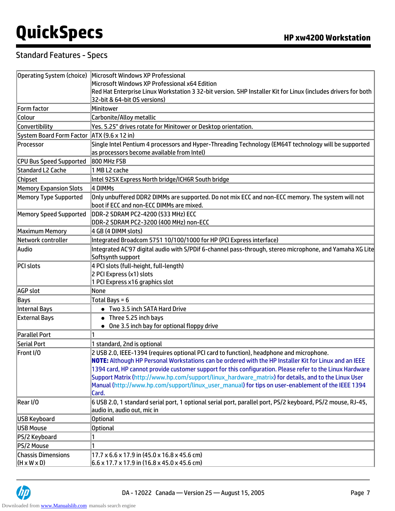## Standard Features - Specs

|                                                      | Operating System (choice) Microsoft Windows XP Professional                                                                                                                                                                                                                                                                                                                                                                                                                                                                         |  |  |
|------------------------------------------------------|-------------------------------------------------------------------------------------------------------------------------------------------------------------------------------------------------------------------------------------------------------------------------------------------------------------------------------------------------------------------------------------------------------------------------------------------------------------------------------------------------------------------------------------|--|--|
|                                                      | Microsoft Windows XP Professional x64 Edition                                                                                                                                                                                                                                                                                                                                                                                                                                                                                       |  |  |
|                                                      | Red Hat Enterprise Linux Workstation 3 32-bit version. 5HP Installer Kit for Linux (includes drivers for both<br>32-bit & 64-bit OS versions)                                                                                                                                                                                                                                                                                                                                                                                       |  |  |
| Form factor                                          | Minitower                                                                                                                                                                                                                                                                                                                                                                                                                                                                                                                           |  |  |
| Colour                                               | Carbonite/Alloy metallic                                                                                                                                                                                                                                                                                                                                                                                                                                                                                                            |  |  |
| Convertibility                                       | Yes. 5.25" drives rotate for Minitower or Desktop orientation.                                                                                                                                                                                                                                                                                                                                                                                                                                                                      |  |  |
| System Board Form Factor   ATX (9.6 x 12 in)         |                                                                                                                                                                                                                                                                                                                                                                                                                                                                                                                                     |  |  |
| Processor                                            | Single Intel Pentium 4 processors and Hyper-Threading Technology (EM64T technology will be supported<br>as processors become available from Intel)                                                                                                                                                                                                                                                                                                                                                                                  |  |  |
| CPU Bus Speed Supported                              | 800 MHz FSB                                                                                                                                                                                                                                                                                                                                                                                                                                                                                                                         |  |  |
| Standard L2 Cache                                    | 1 MB L2 cache                                                                                                                                                                                                                                                                                                                                                                                                                                                                                                                       |  |  |
| <b>Chipset</b>                                       | Intel 925X Express North bridge/ICH6R South bridge                                                                                                                                                                                                                                                                                                                                                                                                                                                                                  |  |  |
| <b>Memory Expansion Slots</b>                        | 4 DIMMs                                                                                                                                                                                                                                                                                                                                                                                                                                                                                                                             |  |  |
| Memory Type Supported                                | Only unbuffered DDR2 DIMMs are supported. Do not mix ECC and non-ECC memory. The system will not<br>boot if ECC and non-ECC DIMMs are mixed.                                                                                                                                                                                                                                                                                                                                                                                        |  |  |
| Memory Speed Supported                               | DDR-2 SDRAM PC2-4200 (533 MHz) ECC<br>DDR-2 SDRAM PC2-3200 (400 MHz) non-ECC                                                                                                                                                                                                                                                                                                                                                                                                                                                        |  |  |
| Maximum Memory                                       | 4 GB (4 DIMM slots)                                                                                                                                                                                                                                                                                                                                                                                                                                                                                                                 |  |  |
| Network controller                                   | Integrated Broadcom 5751 10/100/1000 for HP (PCI Express interface)                                                                                                                                                                                                                                                                                                                                                                                                                                                                 |  |  |
| Audio                                                | Integrated AC'97 digital audio with S/PDif 6-channel pass-through, stereo microphone, and Yamaha XG Lite<br>Softsynth support                                                                                                                                                                                                                                                                                                                                                                                                       |  |  |
| <b>PCI slots</b>                                     | 4 PCI slots (full-height, full-length)<br>2 PCI Express (x1) slots<br>1 PCI Express x16 graphics slot                                                                                                                                                                                                                                                                                                                                                                                                                               |  |  |
| AGP slot                                             | None                                                                                                                                                                                                                                                                                                                                                                                                                                                                                                                                |  |  |
| Bays                                                 | Total Bays = $6$                                                                                                                                                                                                                                                                                                                                                                                                                                                                                                                    |  |  |
| Internal Bays                                        | • Two 3.5 inch SATA Hard Drive                                                                                                                                                                                                                                                                                                                                                                                                                                                                                                      |  |  |
| <b>External Bays</b>                                 | • Three 5.25 inch bays<br>• One 3.5 inch bay for optional floppy drive                                                                                                                                                                                                                                                                                                                                                                                                                                                              |  |  |
| <b>Parallel Port</b>                                 |                                                                                                                                                                                                                                                                                                                                                                                                                                                                                                                                     |  |  |
| Serial Port                                          | 1 standard, 2nd is optional                                                                                                                                                                                                                                                                                                                                                                                                                                                                                                         |  |  |
| Front I/O                                            | 2 USB 2.0, IEEE-1394 (requires optional PCI card to function), headphone and microphone.<br>NOTE: Although HP Personal Workstations can be ordered with the HP Installer Kit for Linux and an IEEE<br>1394 card, HP cannot provide customer support for this configuration. Please refer to the Linux Hardware<br>Support Matrix (http://www.hp.com/support/linux_hardware_matrix) for details, and to the Linux User<br>Manual (http://www.hp.com/support/linux_user_manual) for tips on user-enablement of the IEEE 1394<br>Card. |  |  |
| Rear I/O                                             | 6 USB 2.0, 1 standard serial port, 1 optional serial port, parallel port, PS/2 keyboard, PS/2 mouse, RJ-45,<br>audio in, audio out, mic in                                                                                                                                                                                                                                                                                                                                                                                          |  |  |
| <b>USB Keyboard</b>                                  | <b>Optional</b>                                                                                                                                                                                                                                                                                                                                                                                                                                                                                                                     |  |  |
| <b>USB Mouse</b>                                     | <b>Optional</b>                                                                                                                                                                                                                                                                                                                                                                                                                                                                                                                     |  |  |
| PS/2 Keyboard                                        |                                                                                                                                                                                                                                                                                                                                                                                                                                                                                                                                     |  |  |
| PS/2 Mouse                                           |                                                                                                                                                                                                                                                                                                                                                                                                                                                                                                                                     |  |  |
| <b>Chassis Dimensions</b><br>$(H \times W \times D)$ | $17.7 \times 6.6 \times 17.9$ in (45.0 x 16.8 x 45.6 cm)<br>$6.6 \times 17.7 \times 17.9$ in (16.8 x 45.0 x 45.6 cm)                                                                                                                                                                                                                                                                                                                                                                                                                |  |  |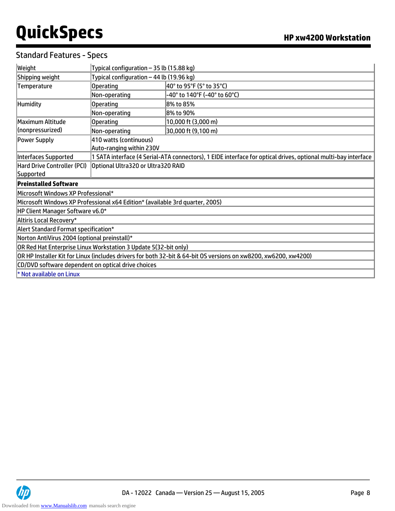## Standard Features - Specs

| Weight                                                                                                          | Typical configuration - 35 lb (15.88 kg)                                                                      |                              |  |
|-----------------------------------------------------------------------------------------------------------------|---------------------------------------------------------------------------------------------------------------|------------------------------|--|
| Shipping weight                                                                                                 | Typical configuration - 44 lb (19.96 kg)                                                                      |                              |  |
| Temperature                                                                                                     | Operating                                                                                                     | 40° to 95°F (5° to 35°C)     |  |
|                                                                                                                 | Non-operating                                                                                                 | -40° to 140°F (-40° to 60°C) |  |
| <b>Humidity</b>                                                                                                 | Operating                                                                                                     | 8% to 85%                    |  |
|                                                                                                                 | Non-operating                                                                                                 | 8% to 90%                    |  |
| Maximum Altitude                                                                                                | Operating                                                                                                     | 10,000 ft (3,000 m)          |  |
| (nonpressurized)                                                                                                | Non-operating                                                                                                 | 30,000 ft (9,100 m)          |  |
| Power Supply                                                                                                    | 410 watts (continuous)<br>Auto-ranging within 230V                                                            |                              |  |
| Interfaces Supported                                                                                            | 1 SATA interface (4 Serial-ATA connectors), 1 EIDE interface for optical drives, optional multi-bay interface |                              |  |
| Hard Drive Controller (PCI)                                                                                     | Optional Ultra320 or Ultra320 RAID                                                                            |                              |  |
| Supported                                                                                                       |                                                                                                               |                              |  |
| <b>Preinstalled Software</b>                                                                                    |                                                                                                               |                              |  |
| Microsoft Windows XP Professional*                                                                              |                                                                                                               |                              |  |
|                                                                                                                 | Microsoft Windows XP Professional x64 Edition* (available 3rd quarter, 2005)                                  |                              |  |
| HP Client Manager Software v6.0*                                                                                |                                                                                                               |                              |  |
| Altiris Local Recovery*                                                                                         |                                                                                                               |                              |  |
|                                                                                                                 | Alert Standard Format specification*                                                                          |                              |  |
| Norton AntiVirus 2004 (optional preinstall)*                                                                    |                                                                                                               |                              |  |
| OR Red Hat Enterprise Linux Workstation 3 Update 5(32-bit only)                                                 |                                                                                                               |                              |  |
| OR HP Installer Kit for Linux (includes drivers for both 32-bit & 64-bit OS versions on xw8200, xw6200, xw4200) |                                                                                                               |                              |  |
| CD/DVD software dependent on optical drive choices                                                              |                                                                                                               |                              |  |
| * Not available on Linux                                                                                        |                                                                                                               |                              |  |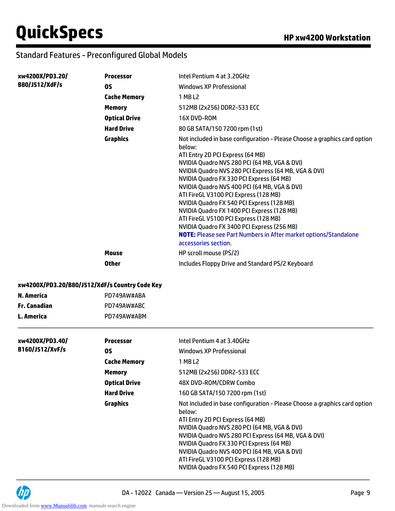## Standard Features - Preconfigured Global Models

| xw4200X/PD3.20/ | <b>Processor</b>     | Intel Pentium 4 at 3.20GHz                                                                                                                                                                                                                                                                                                                                                                                                                                                                                                                                                                                                                                |
|-----------------|----------------------|-----------------------------------------------------------------------------------------------------------------------------------------------------------------------------------------------------------------------------------------------------------------------------------------------------------------------------------------------------------------------------------------------------------------------------------------------------------------------------------------------------------------------------------------------------------------------------------------------------------------------------------------------------------|
| B80/J512/XdF/s  | 0S                   | Windows XP Professional                                                                                                                                                                                                                                                                                                                                                                                                                                                                                                                                                                                                                                   |
|                 | <b>Cache Memory</b>  | 1 MB L2                                                                                                                                                                                                                                                                                                                                                                                                                                                                                                                                                                                                                                                   |
|                 | <b>Memory</b>        | 512MB (2x256) DDR2-533 ECC                                                                                                                                                                                                                                                                                                                                                                                                                                                                                                                                                                                                                                |
|                 | <b>Optical Drive</b> | 16X DVD-ROM                                                                                                                                                                                                                                                                                                                                                                                                                                                                                                                                                                                                                                               |
|                 | <b>Hard Drive</b>    | 80 GB SATA/150 7200 rpm (1st)                                                                                                                                                                                                                                                                                                                                                                                                                                                                                                                                                                                                                             |
|                 | <b>Graphics</b>      | Not included in base configuration - Please Choose a graphics card option<br>helow:<br>ATI Entry 2D PCI Express (64 MB)<br>NVIDIA Quadro NVS 280 PCI (64 MB, VGA & DVI)<br>NVIDIA Quadro NVS 280 PCI Express (64 MB, VGA & DVI)<br>NVIDIA Quadro FX 330 PCI Express (64 MB)<br>NVIDIA Quadro NVS 400 PCI (64 MB, VGA & DVI)<br>ATI FireGL V3100 PCI Express (128 MB)<br>NVIDIA Quadro FX 540 PCI Express (128 MB)<br>NVIDIA Quadro FX 1400 PCI Express (128 MB)<br>ATI FireGL V5100 PCI Express (128 MB)<br>NVIDIA Quadro FX 3400 PCI Express (256 MB)<br><b>NOTE:</b> Please see Part Numbers in After market options/Standalone<br>accessories section. |
|                 | <b>Mouse</b>         | HP scroll mouse (PS/2)                                                                                                                                                                                                                                                                                                                                                                                                                                                                                                                                                                                                                                    |
|                 | <b>Other</b>         | Includes Floppy Drive and Standard PS/2 Keyboard                                                                                                                                                                                                                                                                                                                                                                                                                                                                                                                                                                                                          |

#### **xw4200X/PD3.20/B80/J512/XdF/s Country Code Key**

| N. America   | PD749AW#ABA |
|--------------|-------------|
| Fr. Canadian | PD749AW#ABC |
| L. America   | PD749AW#ABM |

| xw4200X/PD3.40/<br>B160/J512/XvF/s | <b>Processor</b>     | Intel Pentium 4 at 3.40GHz                                                                                                                                                                                                                                                                                                                                                                                        |
|------------------------------------|----------------------|-------------------------------------------------------------------------------------------------------------------------------------------------------------------------------------------------------------------------------------------------------------------------------------------------------------------------------------------------------------------------------------------------------------------|
|                                    | OS.                  | Windows XP Professional                                                                                                                                                                                                                                                                                                                                                                                           |
|                                    | <b>Cache Memory</b>  | 1 MB L2                                                                                                                                                                                                                                                                                                                                                                                                           |
|                                    | <b>Memory</b>        | 512MB (2x256) DDR2-533 ECC                                                                                                                                                                                                                                                                                                                                                                                        |
|                                    | <b>Optical Drive</b> | 48X DVD-ROM/CDRW Combo                                                                                                                                                                                                                                                                                                                                                                                            |
|                                    | <b>Hard Drive</b>    | 160 GB SATA/150 7200 rpm (1st)                                                                                                                                                                                                                                                                                                                                                                                    |
|                                    | <b>Graphics</b>      | Not included in base configuration - Please Choose a graphics card option<br>below:<br>ATI Entry 2D PCI Express (64 MB)<br>NVIDIA Quadro NVS 280 PCI (64 MB, VGA & DVI)<br>NVIDIA Quadro NVS 280 PCI Express (64 MB, VGA & DVI)<br>NVIDIA Quadro FX 330 PCI Express (64 MB)<br>NVIDIA Quadro NVS 400 PCI (64 MB, VGA & DVI)<br>ATI FireGL V3100 PCI Express (128 MB)<br>NVIDIA Quadro FX 540 PCI Express (128 MB) |

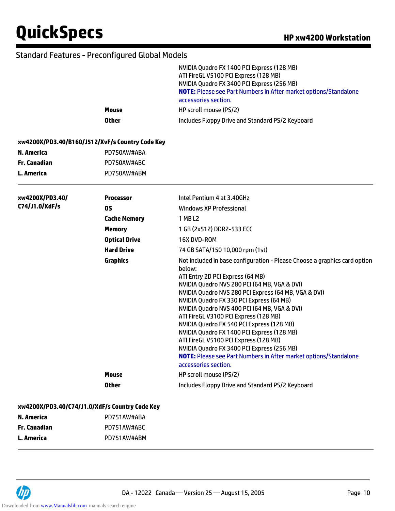## Standard Features - Preconfigured Global Models

|                   |                                                 | NVIDIA Quadro FX 1400 PCI Express (128 MB)<br>ATI FireGL V5100 PCI Express (128 MB)<br>NVIDIA Quadro FX 3400 PCI Express (256 MB)<br><b>NOTE:</b> Please see Part Numbers in After market options/Standalone<br>accessories section.<br>HP scroll mouse (PS/2)                                                                                                                                                                                                                                                                                                                                                                                            |
|-------------------|-------------------------------------------------|-----------------------------------------------------------------------------------------------------------------------------------------------------------------------------------------------------------------------------------------------------------------------------------------------------------------------------------------------------------------------------------------------------------------------------------------------------------------------------------------------------------------------------------------------------------------------------------------------------------------------------------------------------------|
|                   | <b>Mouse</b><br><b>Other</b>                    | Includes Floppy Drive and Standard PS/2 Keyboard                                                                                                                                                                                                                                                                                                                                                                                                                                                                                                                                                                                                          |
|                   |                                                 |                                                                                                                                                                                                                                                                                                                                                                                                                                                                                                                                                                                                                                                           |
|                   | xw4200X/PD3.40/B160/J512/XvF/s Country Code Key |                                                                                                                                                                                                                                                                                                                                                                                                                                                                                                                                                                                                                                                           |
| <b>N. America</b> | PD750AW#ABA                                     |                                                                                                                                                                                                                                                                                                                                                                                                                                                                                                                                                                                                                                                           |
| Fr. Canadian      | PD750AW#ABC                                     |                                                                                                                                                                                                                                                                                                                                                                                                                                                                                                                                                                                                                                                           |
| L. America        | PD750AW#ABM                                     |                                                                                                                                                                                                                                                                                                                                                                                                                                                                                                                                                                                                                                                           |
| xw4200X/PD3.40/   | <b>Processor</b>                                | Intel Pentium 4 at 3.40GHz                                                                                                                                                                                                                                                                                                                                                                                                                                                                                                                                                                                                                                |
| C74/J1.0/XdF/s    | <b>OS</b>                                       | Windows XP Professional                                                                                                                                                                                                                                                                                                                                                                                                                                                                                                                                                                                                                                   |
|                   | <b>Cache Memory</b>                             | 1 MB L2                                                                                                                                                                                                                                                                                                                                                                                                                                                                                                                                                                                                                                                   |
|                   | <b>Memory</b>                                   | 1 GB (2x512) DDR2-533 ECC                                                                                                                                                                                                                                                                                                                                                                                                                                                                                                                                                                                                                                 |
|                   | <b>Optical Drive</b>                            | 16X DVD-ROM                                                                                                                                                                                                                                                                                                                                                                                                                                                                                                                                                                                                                                               |
|                   | <b>Hard Drive</b>                               | 74 GB SATA/150 10,000 rpm (1st)                                                                                                                                                                                                                                                                                                                                                                                                                                                                                                                                                                                                                           |
|                   | <b>Graphics</b>                                 | Not included in base configuration - Please Choose a graphics card option<br>below:<br>ATI Entry 2D PCI Express (64 MB)<br>NVIDIA Quadro NVS 280 PCI (64 MB, VGA & DVI)<br>NVIDIA Quadro NVS 280 PCI Express (64 MB, VGA & DVI)<br>NVIDIA Quadro FX 330 PCI Express (64 MB)<br>NVIDIA Quadro NVS 400 PCI (64 MB, VGA & DVI)<br>ATI FireGL V3100 PCI Express (128 MB)<br>NVIDIA Quadro FX 540 PCI Express (128 MB)<br>NVIDIA Quadro FX 1400 PCI Express (128 MB)<br>ATI FireGL V5100 PCI Express (128 MB)<br>NVIDIA Quadro FX 3400 PCI Express (256 MB)<br><b>NOTE:</b> Please see Part Numbers in After market options/Standalone<br>accessories section. |
|                   | <b>Mouse</b>                                    | HP scroll mouse (PS/2)                                                                                                                                                                                                                                                                                                                                                                                                                                                                                                                                                                                                                                    |
|                   | <b>Other</b>                                    | Includes Floppy Drive and Standard PS/2 Keyboard                                                                                                                                                                                                                                                                                                                                                                                                                                                                                                                                                                                                          |
|                   | xw4200X/PD3.40/C74/J1.0/XdF/s Country Code Key  |                                                                                                                                                                                                                                                                                                                                                                                                                                                                                                                                                                                                                                                           |
| <b>N. America</b> | PD751AW#ABA                                     |                                                                                                                                                                                                                                                                                                                                                                                                                                                                                                                                                                                                                                                           |
| Fr. Canadian      | PD751AW#ABC                                     |                                                                                                                                                                                                                                                                                                                                                                                                                                                                                                                                                                                                                                                           |
| L. America        | PD751AW#ABM                                     |                                                                                                                                                                                                                                                                                                                                                                                                                                                                                                                                                                                                                                                           |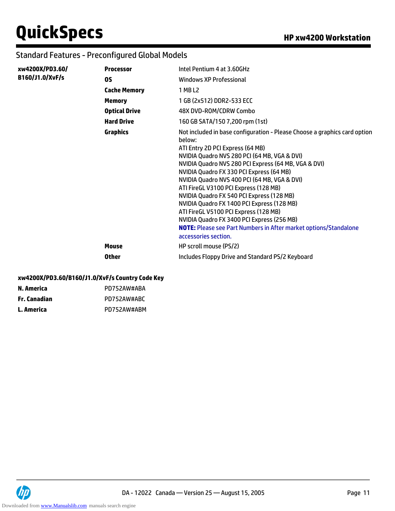## Standard Features - Preconfigured Global Models

| xw4200X/PD3.60/        | <b>Processor</b>     | Intel Pentium 4 at 3.60GHz                                                                                                                                                                                                                                                                                                                                                                                                                                                                                                                                                                                                                                |
|------------------------|----------------------|-----------------------------------------------------------------------------------------------------------------------------------------------------------------------------------------------------------------------------------------------------------------------------------------------------------------------------------------------------------------------------------------------------------------------------------------------------------------------------------------------------------------------------------------------------------------------------------------------------------------------------------------------------------|
| <b>B160/J1.0/XvF/s</b> | <b>OS</b>            | Windows XP Professional                                                                                                                                                                                                                                                                                                                                                                                                                                                                                                                                                                                                                                   |
|                        | <b>Cache Memory</b>  | 1 MB L2                                                                                                                                                                                                                                                                                                                                                                                                                                                                                                                                                                                                                                                   |
|                        | <b>Memory</b>        | 1 GB (2x512) DDR2-533 ECC                                                                                                                                                                                                                                                                                                                                                                                                                                                                                                                                                                                                                                 |
|                        | <b>Optical Drive</b> | 48X DVD-ROM/CDRW Combo                                                                                                                                                                                                                                                                                                                                                                                                                                                                                                                                                                                                                                    |
|                        | <b>Hard Drive</b>    | 160 GB SATA/150 7,200 rpm (1st)                                                                                                                                                                                                                                                                                                                                                                                                                                                                                                                                                                                                                           |
|                        | <b>Graphics</b>      | Not included in base configuration - Please Choose a graphics card option<br>below:<br>ATI Entry 2D PCI Express (64 MB)<br>NVIDIA Quadro NVS 280 PCI (64 MB, VGA & DVI)<br>NVIDIA Quadro NVS 280 PCI Express (64 MB, VGA & DVI)<br>NVIDIA Quadro FX 330 PCI Express (64 MB)<br>NVIDIA Quadro NVS 400 PCI (64 MB, VGA & DVI)<br>ATI FireGL V3100 PCI Express (128 MB)<br>NVIDIA Quadro FX 540 PCI Express (128 MB)<br>NVIDIA Quadro FX 1400 PCI Express (128 MB)<br>ATI FireGL V5100 PCI Express (128 MB)<br>NVIDIA Quadro FX 3400 PCI Express (256 MB)<br><b>NOTE:</b> Please see Part Numbers in After market options/Standalone<br>accessories section. |
|                        | <b>Mouse</b>         | HP scroll mouse (PS/2)                                                                                                                                                                                                                                                                                                                                                                                                                                                                                                                                                                                                                                    |
|                        | Other                | Includes Floppy Drive and Standard PS/2 Keyboard                                                                                                                                                                                                                                                                                                                                                                                                                                                                                                                                                                                                          |

#### **xw4200X/PD3.60/B160/J1.0/XvF/s Country Code Key**

| N. America   | PD752AW#ABA |
|--------------|-------------|
| Fr. Canadian | PD752AW#ABC |
| L. America   | PD752AW#ABM |

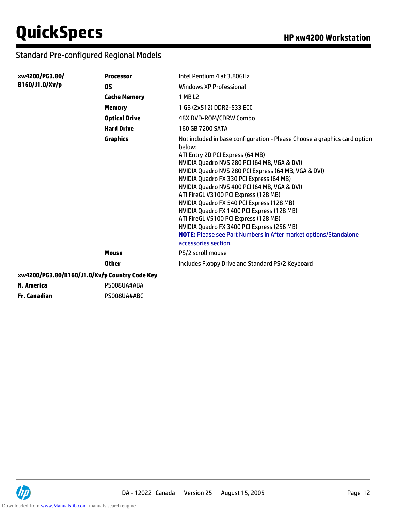# Standard Pre-configured Regional Models

| xw4200/PG3.80/ | <b>Processor</b>                              | Intel Pentium 4 at 3.80GHz                                                                                                                                                                                                                                                                                                                                                                                                                                                                                                                                                                                                                         |
|----------------|-----------------------------------------------|----------------------------------------------------------------------------------------------------------------------------------------------------------------------------------------------------------------------------------------------------------------------------------------------------------------------------------------------------------------------------------------------------------------------------------------------------------------------------------------------------------------------------------------------------------------------------------------------------------------------------------------------------|
| B160/J1.0/Xv/p | <b>OS</b>                                     | Windows XP Professional                                                                                                                                                                                                                                                                                                                                                                                                                                                                                                                                                                                                                            |
|                | <b>Cache Memory</b>                           | 1 MB L2                                                                                                                                                                                                                                                                                                                                                                                                                                                                                                                                                                                                                                            |
|                | <b>Memory</b>                                 | 1 GB (2x512) DDR2-533 ECC                                                                                                                                                                                                                                                                                                                                                                                                                                                                                                                                                                                                                          |
|                | <b>Optical Drive</b>                          | 48X DVD-ROM/CDRW Combo                                                                                                                                                                                                                                                                                                                                                                                                                                                                                                                                                                                                                             |
|                | <b>Hard Drive</b>                             | 160 GB 7200 SATA                                                                                                                                                                                                                                                                                                                                                                                                                                                                                                                                                                                                                                   |
|                | <b>Graphics</b>                               | Not included in base configuration - Please Choose a graphics card option<br>below:<br>ATI Entry 2D PCI Express (64 MB)<br>NVIDIA Quadro NVS 280 PCI (64 MB, VGA & DVI)<br>NVIDIA Quadro NVS 280 PCI Express (64 MB, VGA & DVI)<br>NVIDIA Quadro FX 330 PCI Express (64 MB)<br>NVIDIA Quadro NVS 400 PCI (64 MB, VGA & DVI)<br>ATI FireGL V3100 PCI Express (128 MB)<br>NVIDIA Quadro FX 540 PCI Express (128 MB)<br>NVIDIA Quadro FX 1400 PCI Express (128 MB)<br>ATI FireGL V5100 PCI Express (128 MB)<br>NVIDIA Quadro FX 3400 PCI Express (256 MB)<br>NOTE: Please see Part Numbers in After market options/Standalone<br>accessories section. |
|                | <b>Mouse</b>                                  | PS/2 scroll mouse                                                                                                                                                                                                                                                                                                                                                                                                                                                                                                                                                                                                                                  |
|                | <b>Other</b>                                  | Includes Floppy Drive and Standard PS/2 Keyboard                                                                                                                                                                                                                                                                                                                                                                                                                                                                                                                                                                                                   |
|                | xw4200/PG3.80/B160/J1.0/Xv/p Country Code Key |                                                                                                                                                                                                                                                                                                                                                                                                                                                                                                                                                                                                                                                    |
| N. America     | PS008UA#ABA                                   |                                                                                                                                                                                                                                                                                                                                                                                                                                                                                                                                                                                                                                                    |
| Fr. Canadian   | PS008UA#ABC                                   |                                                                                                                                                                                                                                                                                                                                                                                                                                                                                                                                                                                                                                                    |

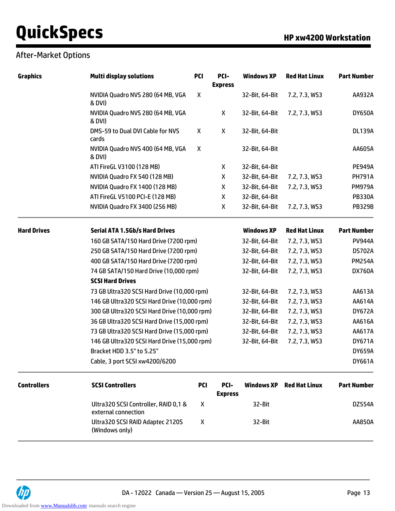## After-Market Options

| <b>Graphics</b>    | <b>Multi display solutions</b>                              | <b>PCI</b> | PCI-<br><b>Express</b> | <b>Windows XP</b> | <b>Red Hat Linux</b> | <b>Part Number</b> |
|--------------------|-------------------------------------------------------------|------------|------------------------|-------------------|----------------------|--------------------|
|                    | NVIDIA Quadro NVS 280 (64 MB, VGA<br>& DVI)                 | X          |                        | 32-Bit, 64-Bit    | 7.2, 7.3, WS3        | AA932A             |
|                    | NVIDIA Quadro NVS 280 (64 MB, VGA<br>& DVI)                 |            | X                      | 32-Bit, 64-Bit    | 7.2, 7.3, WS3        | <b>DY650A</b>      |
|                    | DMS-59 to Dual DVI Cable for NVS<br>cards                   | X          | X                      | 32-Bit, 64-Bit    |                      | <b>DL139A</b>      |
|                    | NVIDIA Quadro NVS 400 (64 MB, VGA<br>& DVI)                 | X          |                        | 32-Bit, 64-Bit    |                      | AA605A             |
|                    | ATI FireGL V3100 (128 MB)                                   |            | X                      | 32-Bit, 64-Bit    |                      | <b>PE949A</b>      |
|                    | NVIDIA Quadro FX 540 (128 MB)                               |            | X                      | 32-Bit, 64-Bit    | 7.2, 7.3, WS3        | <b>PH791A</b>      |
|                    | NVIDIA Quadro FX 1400 (128 MB)                              |            | X                      | 32-Bit, 64-Bit    | 7.2, 7.3, WS3        | <b>PM979A</b>      |
|                    | ATI FireGL V5100 PCI-E (128 MB)                             |            | X                      | 32-Bit, 64-Bit    |                      | <b>PB330A</b>      |
|                    | NVIDIA Quadro FX 3400 (256 MB)                              |            | X                      | 32-Bit, 64-Bit    | 7.2, 7.3, WS3        | <b>PB329B</b>      |
| <b>Hard Drives</b> | <b>Serial ATA 1.5Gb/s Hard Drives</b>                       |            |                        | <b>Windows XP</b> | <b>Red Hat Linux</b> | <b>Part Number</b> |
|                    | 160 GB SATA/150 Hard Drive (7200 rpm)                       |            |                        | 32-Bit, 64-Bit    | 7.2, 7.3, WS3        | <b>PV944A</b>      |
|                    | 250 GB SATA/150 Hard Drive (7200 rpm)                       |            |                        | 32-Bit, 64-Bit    | 7.2, 7.3, WS3        | <b>DS702A</b>      |
|                    | 400 GB SATA/150 Hard Drive (7200 rpm)                       |            |                        | 32-Bit, 64-Bit    | 7.2, 7.3, WS3        | <b>PM254A</b>      |
|                    | 74 GB SATA/150 Hard Drive (10,000 rpm)                      |            |                        | 32-Bit, 64-Bit    | 7.2, 7.3, WS3        | <b>DX760A</b>      |
|                    | <b>SCSI Hard Drives</b>                                     |            |                        |                   |                      |                    |
|                    | 73 GB Ultra320 SCSI Hard Drive (10,000 rpm)                 |            |                        | 32-Bit, 64-Bit    | 7.2, 7.3, WS3        | AA613A             |
|                    | 146 GB Ultra320 SCSI Hard Drive (10,000 rpm)                |            |                        | 32-Bit, 64-Bit    | 7.2, 7.3, WS3        | AA614A             |
|                    | 300 GB Ultra320 SCSI Hard Drive (10,000 rpm)                |            |                        | 32-Bit, 64-Bit    | 7.2, 7.3, WS3        | <b>DY672A</b>      |
|                    | 36 GB Ultra320 SCSI Hard Drive (15,000 rpm)                 |            |                        | 32-Bit, 64-Bit    | 7.2, 7.3, WS3        | AA616A             |
|                    | 73 GB Ultra320 SCSI Hard Drive (15,000 rpm)                 |            |                        | 32-Bit, 64-Bit    | 7.2, 7.3, WS3        | AA617A             |
|                    | 146 GB Ultra320 SCSI Hard Drive (15,000 rpm)                |            |                        | 32-Bit, 64-Bit    | 7.2, 7.3, WS3        | <b>DY671A</b>      |
|                    | Bracket HDD 3.5" to 5.25"                                   |            |                        |                   |                      | <b>DY659A</b>      |
|                    | Cable, 3 port SCSI xw4200/6200                              |            |                        |                   |                      | <b>DY661A</b>      |
| <b>Controllers</b> | <b>SCSI Controllers</b>                                     | <b>PCI</b> | PCI-<br><b>Express</b> | <b>Windows XP</b> | <b>Red Hat Linux</b> | <b>Part Number</b> |
|                    | Ultra320 SCSI Controller, RAID 0,1 &<br>external connection | X          |                        | 32-Bit            |                      | <b>DZ554A</b>      |
|                    | Ultra320 SCSI RAID Adaptec 2120S<br>(Windows only)          | X          |                        | 32-Bit            |                      | AA850A             |

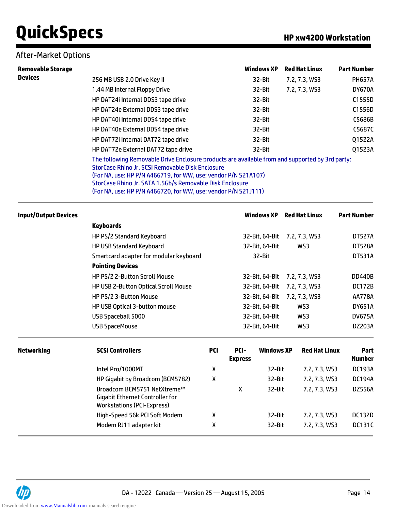### After-Market Options

| <b>Removable Storage</b> |                                                                                                                                                                                                                                                                                                                                                     | <b>Windows XP</b> | <b>Red Hat Linux</b> | <b>Part Number</b> |
|--------------------------|-----------------------------------------------------------------------------------------------------------------------------------------------------------------------------------------------------------------------------------------------------------------------------------------------------------------------------------------------------|-------------------|----------------------|--------------------|
| <b>Devices</b>           | 256 MB USB 2.0 Drive Key II                                                                                                                                                                                                                                                                                                                         | 32-Bit            | 7.2, 7.3, WS3        | <b>PH657A</b>      |
|                          | 1.44 MB Internal Floppy Drive                                                                                                                                                                                                                                                                                                                       | 32-Bit            | 7.2, 7.3, WS3        | <b>DY670A</b>      |
|                          | HP DAT24i Internal DDS3 tape drive                                                                                                                                                                                                                                                                                                                  | 32-Bit            |                      | C1555D             |
|                          | HP DAT24e External DDS3 tape drive                                                                                                                                                                                                                                                                                                                  | 32-Bit            |                      | C1556D             |
|                          | HP DAT40i Internal DDS4 tape drive                                                                                                                                                                                                                                                                                                                  | 32-Bit            |                      | C5686B             |
|                          | HP DAT40e External DDS4 tape drive                                                                                                                                                                                                                                                                                                                  | 32-Bit            |                      | C5687C             |
|                          | HP DAT72i Internal DAT72 tape drive                                                                                                                                                                                                                                                                                                                 | 32-Bit            |                      | Q1522A             |
|                          | HP DAT72e External DAT72 tape drive                                                                                                                                                                                                                                                                                                                 | 32-Bit            |                      | Q1523A             |
|                          | The following Removable Drive Enclosure products are available from and supported by 3rd party:<br>StorCase Rhino Jr. SCSI Removable Disk Enclosure<br>(For NA, use: HP P/N A466719, for WW, use: vendor P/N S21A107)<br>StorCase Rhino Jr. SATA 1.5Gb/s Removable Disk Enclosure<br>(For NA, use: HP P/N A466720, for WW, use: vendor P/N S21J111) |                   |                      |                    |

| Input/Output Devices |                                        | <b>Windows XP</b> | <b>Red Hat Linux</b> | <b>Part Number</b> |
|----------------------|----------------------------------------|-------------------|----------------------|--------------------|
|                      | <b>Keyboards</b>                       |                   |                      |                    |
|                      | HP PS/2 Standard Keyboard              | 32-Bit, 64-Bit    | 7.2, 7.3, WS3        | <b>DT527A</b>      |
|                      | <b>HP USB Standard Keyboard</b>        | 32-Bit, 64-Bit    | WS3                  | <b>DT528A</b>      |
|                      | Smartcard adapter for modular keyboard | 32-Bit            |                      | <b>DT531A</b>      |
|                      | <b>Pointing Devices</b>                |                   |                      |                    |
|                      | HP PS/2 2-Button Scroll Mouse          | 32-Bit. 64-Bit    | 7.2, 7.3, WS3        | <b>DD440B</b>      |
|                      | HP USB 2-Button Optical Scroll Mouse   | 32-Bit, 64-Bit    | 7.2, 7.3, WS3        | <b>DC172B</b>      |
|                      | HP PS/2 3-Button Mouse                 | 32-Bit, 64-Bit    | 7.2, 7.3, WS3        | <b>AA778A</b>      |
|                      | HP USB Optical 3-button mouse          | 32-Bit, 64-Bit    | WS3                  | <b>DY651A</b>      |
|                      | USB Spaceball 5000                     | 32-Bit. 64-Bit    | WS3                  | <b>DV675A</b>      |
|                      | USB SpaceMouse                         | 32-Bit, 64-Bit    | WS3                  | DZ203A             |
|                      |                                        |                   |                      |                    |

| <b>Networking</b> | <b>SCSI Controllers</b>                                                                                    | <b>PCI</b> | PCI-<br><b>Express</b> | <b>Windows XP</b> | <b>Red Hat Linux</b> | <b>Part</b><br><b>Number</b> |
|-------------------|------------------------------------------------------------------------------------------------------------|------------|------------------------|-------------------|----------------------|------------------------------|
|                   | Intel Pro/1000MT                                                                                           | Χ          |                        | 32-Bit            | 7.2, 7.3, WS3        | <b>DC193A</b>                |
|                   | HP Gigabit by Broadcom (BCM5782)                                                                           | Χ          |                        | 32-Bit            | 7.2, 7.3, WS3        | <b>DC194A</b>                |
|                   | Broadcom BCM5751 NetXtreme™<br><b>Gigabit Ethernet Controller for</b><br><b>Workstations (PCI-Express)</b> |            | х                      | 32-Bit            | 7.2, 7.3, WS3        | <b>DZ556A</b>                |
|                   | High-Speed 56k PCI Soft Modem                                                                              | χ          |                        | 32-Bit            | 7.2, 7.3, WS3        | <b>DC132D</b>                |
|                   | Modem RJ11 adapter kit                                                                                     | Χ          |                        | 32-Bit            | 7.2, 7.3, WS3        | <b>DC131C</b>                |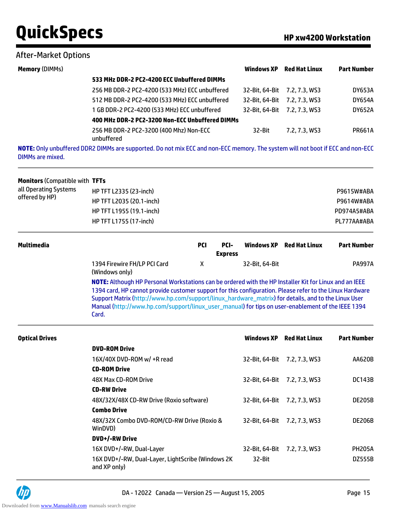#### After-Market Options

| <b>Memory (DIMMs)</b> |                                                                                                                                 | <b>Windows XP</b> | <b>Red Hat Linux</b> | <b>Part Number</b> |
|-----------------------|---------------------------------------------------------------------------------------------------------------------------------|-------------------|----------------------|--------------------|
|                       | 533 MHz DDR-2 PC2-4200 ECC Unbuffered DIMMs                                                                                     |                   |                      |                    |
|                       | 256 MB DDR-2 PC2-4200 (533 MHz) ECC unbuffered                                                                                  | 32-Bit. 64-Bit    | 7.2, 7.3, WS3        | <b>DY653A</b>      |
|                       | 512 MB DDR-2 PC2-4200 (533 MHz) ECC unbuffered                                                                                  | 32-Bit. 64-Bit    | 7.2, 7.3, WS3        | <b>DY654A</b>      |
|                       | 1 GB DDR-2 PC2-4200 (533 MHz) ECC unbuffered                                                                                    | 32-Bit. 64-Bit    | 7.2, 7.3, WS3        | <b>DY652A</b>      |
|                       | 400 MHz DDR-2 PC2-3200 Non-ECC Unbuffered DIMMs                                                                                 |                   |                      |                    |
|                       | 256 MB DDR-2 PC2-3200 (400 Mhz) Non-ECC<br>unbuffered                                                                           | 32-Bit            | 7.2, 7.3, WS3        | <b>PR661A</b>      |
|                       | NOTE, Only unbuffered DDD2 DIMMs are supported. De not mix ECC and non-ECC memory. The system will not boot if ECC and non-ECC. |                   |                      |                    |

**NOTE:** Only unbuffered DDR2 DIMMs are supported. Do not mix ECC and non-ECC memory. The system will not boot if ECC and non-ECC DIMMs are mixed.

| <b>Monitors (Compatible with TFTs</b> |             |
|---------------------------------------|-------------|
| HP TFT L2335 (23-inch)                | P9615W#ABA  |
| HP TFT L2035 (20.1-inch)              | P9614W#ABA  |
| HP TFT L1955 (19.1-inch)              | PD974A5#ABA |
| HP TFT L1755 (17-inch)                | PL777AA#ABA |
|                                       |             |

| Multimedia |                                                | PCI | PCI-<br><b>Express</b> |                | Windows XP Red Hat Linux | <b>Part Number</b> |
|------------|------------------------------------------------|-----|------------------------|----------------|--------------------------|--------------------|
|            | 1394 Firewire FH/LP PCI Card<br>(Windows only) |     |                        | 32-Bit, 64-Bit |                          | <b>PA997A</b>      |

**NOTE:** Although HP Personal Workstations can be ordered with the HP Installer Kit for Linux and an IEEE 1394 card, HP cannot provide customer support for this configuration. Please refer to the Linux Hardware Support Matrix (http://www.hp.com/support/linux\_hardware\_matrix) for details, and to the Linux User Manual (http://www.hp.com/support/linux\_user\_manual) for tips on user-enablement of the IEEE 1394 Card.

|                                                                    | Windows XP     | <b>Red Hat Linux</b> | <b>Part Number</b>                                                   |
|--------------------------------------------------------------------|----------------|----------------------|----------------------------------------------------------------------|
| <b>DVD-ROM Drive</b>                                               |                |                      |                                                                      |
| 16X/40X DVD-ROM w/ +R read                                         |                | 7.2, 7.3, WS3        | AA620B                                                               |
| <b>CD-ROM Drive</b>                                                |                |                      |                                                                      |
| 48X Max CD-ROM Drive                                               |                | 7.2, 7.3, WS3        | <b>DC143B</b>                                                        |
| <b>CD-RW Drive</b>                                                 |                |                      |                                                                      |
| 48X/32X/48X CD-RW Drive (Roxio software)                           |                | 7.2, 7.3, WS3        | DE205B                                                               |
| <b>Combo Drive</b>                                                 |                |                      |                                                                      |
| 48X/32X Combo DVD-ROM/CD-RW Drive (Roxio &<br>WinDVD)              |                | 7.2, 7.3, WS3        | DE206B                                                               |
| <b>DVD+/-RW Drive</b>                                              |                |                      |                                                                      |
| 16X DVD+/-RW, Dual-Layer                                           | 32-Bit. 64-Bit | 7.2. 7.3. WS3        | <b>PH205A</b>                                                        |
| 16X DVD+/-RW, Dual-Layer, LightScribe (Windows 2K)<br>and XP only) | 32-Bit         |                      | <b>DZ555B</b>                                                        |
|                                                                    |                |                      | 32-Bit. 64-Bit<br>32-Bit. 64-Bit<br>32-Bit. 64-Bit<br>32-Bit. 64-Bit |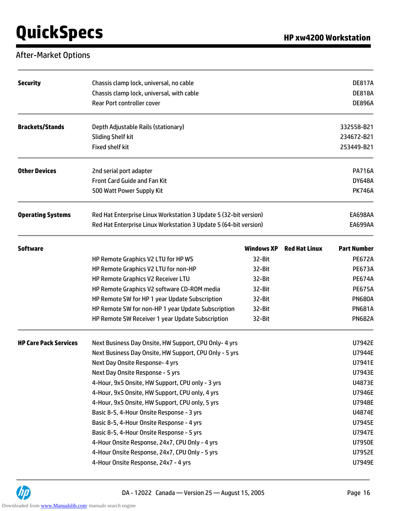## After-Market Options

| <b>Security</b>              | Chassis clamp lock, universal, no cable<br>Chassis clamp lock, universal, with cable<br>Rear Port controller cover |                   |                      | <b>DE817A</b><br><b>DE818A</b><br><b>DE896A</b> |
|------------------------------|--------------------------------------------------------------------------------------------------------------------|-------------------|----------------------|-------------------------------------------------|
|                              |                                                                                                                    |                   |                      |                                                 |
| <b>Brackets/Stands</b>       | Depth Adjustable Rails (stationary)                                                                                |                   |                      | 332558-B21                                      |
|                              | <b>Sliding Shelf kit</b>                                                                                           |                   |                      | 234672-B21                                      |
|                              | <b>Fixed shelf kit</b>                                                                                             |                   |                      | 253449-B21                                      |
| <b>Other Devices</b>         | 2nd serial port adapter                                                                                            |                   |                      | <b>PA716A</b>                                   |
|                              | Front Card Guide and Fan Kit                                                                                       |                   |                      | <b>DY648A</b>                                   |
|                              | 500 Watt Power Supply Kit                                                                                          |                   |                      | <b>PK746A</b>                                   |
| <b>Operating Systems</b>     | Red Hat Enterprise Linux Workstation 3 Update 5 (32-bit version)                                                   |                   |                      | EA698AA                                         |
|                              | Red Hat Enterprise Linux Workstation 3 Update 5 (64-bit version)                                                   |                   |                      | <b>EA699AA</b>                                  |
| <b>Software</b>              |                                                                                                                    | <b>Windows XP</b> | <b>Red Hat Linux</b> | <b>Part Number</b>                              |
|                              | HP Remote Graphics V2 LTU for HP WS                                                                                | 32-Bit            |                      | <b>PE672A</b>                                   |
|                              | HP Remote Graphics V2 LTU for non-HP                                                                               | 32-Bit            |                      | <b>PE673A</b>                                   |
|                              | HP Remote Graphics V2 Receiver LTU                                                                                 | 32-Bit            |                      | <b>PE674A</b>                                   |
|                              | HP Remote Graphics V2 software CD-ROM media                                                                        | 32-Bit            |                      | <b>PE675A</b>                                   |
|                              | HP Remote SW for HP 1 year Update Subscription                                                                     | 32-Bit            |                      | <b>PN680A</b>                                   |
|                              | HP Remote SW for non-HP 1 year Update Subscription                                                                 | 32-Bit            |                      | <b>PN681A</b>                                   |
|                              | HP Remote SW Receiver 1 year Update Subscription                                                                   | 32-Bit            |                      | <b>PN682A</b>                                   |
| <b>HP Care Pack Services</b> | Next Business Day Onsite, HW Support, CPU Only- 4 yrs                                                              |                   |                      | U7942E                                          |
|                              | Next Business Day Onsite, HW Support, CPU Only - 5 yrs                                                             |                   |                      | U7944E                                          |
|                              | Next Day Onsite Response- 4 yrs                                                                                    |                   |                      | U7941E                                          |
|                              | Next Day Onsite Response - 5 yrs                                                                                   |                   |                      | U7943E                                          |
|                              | 4-Hour, 9x5 Onsite, HW Support, CPU only - 3 yrs                                                                   |                   |                      | U4873E                                          |
|                              | 4-Hour, 9x5 Onsite, HW Support, CPU only, 4 yrs                                                                    |                   |                      | U7946E                                          |
|                              | 4-Hour, 9x5 Onsite, HW Support, CPU only, 5 yrs                                                                    |                   |                      | U7948E                                          |
|                              | Basic 8-5, 4-Hour Onsite Response - 3 yrs                                                                          |                   |                      | U4874E                                          |
|                              | Basic 8-5, 4-Hour Onsite Response - 4 yrs                                                                          |                   |                      | U7945E                                          |
|                              | Basic 8-5, 4-Hour Onsite Response - 5 yrs                                                                          |                   |                      | U7947E                                          |
|                              | 4-Hour Onsite Response, 24x7, CPU Only - 4 yrs                                                                     |                   |                      | U7950E                                          |
|                              | 4-Hour Onsite Response, 24x7, CPU Only - 5 yrs                                                                     |                   |                      | U7952E                                          |
|                              | 4-Hour Onsite Response, 24x7 - 4 yrs                                                                               |                   |                      | U7949E                                          |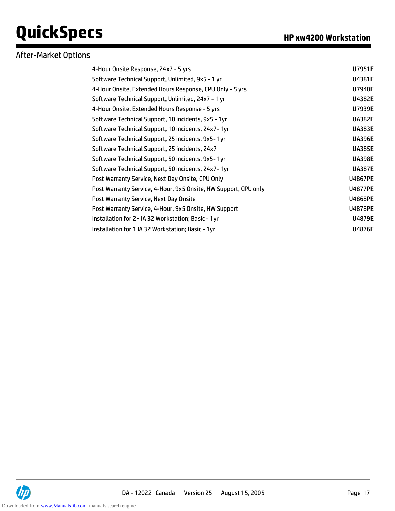## After-Market Options

| 4-Hour Onsite Response, 24x7 - 5 yrs                            | U7951E         |
|-----------------------------------------------------------------|----------------|
| Software Technical Support, Unlimited, 9x5 - 1 yr               | U4381E         |
| 4-Hour Onsite, Extended Hours Response, CPU Only - 5 yrs        | U7940E         |
| Software Technical Support, Unlimited, 24x7 - 1 yr              | U4382E         |
| 4-Hour Onsite, Extended Hours Response - 5 yrs                  | U7939E         |
| Software Technical Support, 10 incidents, 9x5 - 1yr             | <b>UA382E</b>  |
| Software Technical Support, 10 incidents, 24x7-1yr              | <b>UA383E</b>  |
| Software Technical Support, 25 incidents, 9x5-1yr               | <b>UA396E</b>  |
| Software Technical Support, 25 incidents, 24x7                  | <b>UA385E</b>  |
| Software Technical Support, 50 incidents, 9x5-1yr               | <b>UA398E</b>  |
| Software Technical Support, 50 incidents, 24x7-1yr              | <b>UA387E</b>  |
| Post Warranty Service, Next Day Onsite, CPU Only                | <b>U4867PE</b> |
| Post Warranty Service, 4-Hour, 9x5 Onsite, HW Support, CPU only | <b>U4877PE</b> |
| Post Warranty Service, Next Day Onsite                          | <b>U4868PE</b> |
| Post Warranty Service, 4-Hour, 9x5 Onsite, HW Support           | <b>U4878PE</b> |
| Installation for 2+ IA 32 Workstation; Basic - 1yr              | U4879E         |
| Installation for 1 IA 32 Workstation; Basic - 1yr               | <b>U4876E</b>  |

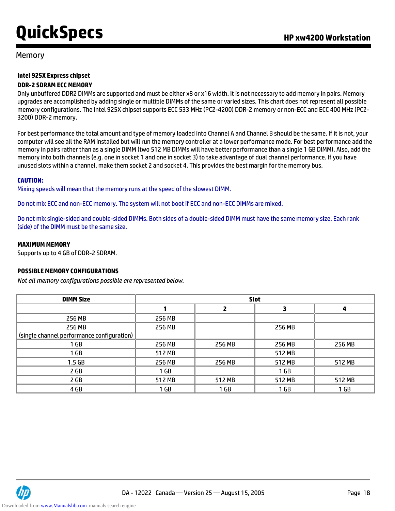#### Memory

### **Intel 925X Express chipset**

#### **DDR-2 SDRAM ECC MEMORY**

Only unbuffered DDR2 DIMMs are supported and must be either x8 or x16 width. It is not necessary to add memory in pairs. Memory upgrades are accomplished by adding single or multiple DIMMs of the same or varied sizes. This chart does not represent all possible memory configurations. The Intel 925X chipset supports ECC 533 MHz (PC2-4200) DDR-2 memory or non-ECC and ECC 400 MHz (PC2- 3200) DDR-2 memory.

For best performance the total amount and type of memory loaded into Channel A and Channel B should be the same. If it is not, your computer will see all the RAM installed but will run the memory controller at a lower performance mode. For best performance add the memory in pairs rather than as a single DIMM (two 512 MB DIMMs will have better performance than a single 1 GB DIMM). Also, add the memory into both channels (e.g. one in socket 1 and one in socket 3) to take advantage of dual channel performance. If you have unused slots within a channel, make them socket 2 and socket 4. This provides the best margin for the memory bus.

#### **CAUTION:**

Mixing speeds will mean that the memory runs at the speed of the slowest DIMM.

Do not mix ECC and non-ECC memory. The system will not boot if ECC and non-ECC DIMMs are mixed.

Do not mix single-sided and double-sided DIMMs. Both sides of a double-sided DIMM must have the same memory size. Each rank (side) of the DIMM must be the same size.

#### **MAXIMUM MEMORY**

Supports up to 4 GB of DDR-2 SDRAM.

#### **POSSIBLE MEMORY CONFIGURATIONS**

*Not all memory configurations possible are represented below.*

| <b>DIMM Size</b>                           | <b>Slot</b>     |        |        |        |
|--------------------------------------------|-----------------|--------|--------|--------|
|                                            |                 | 2      | 3      | 4      |
| 256 MB                                     | 256 MB          |        |        |        |
| 256 MB                                     | 256 MB          |        | 256 MB |        |
| (single channel performance configuration) |                 |        |        |        |
| 1 GB                                       | 256 MB          | 256 MB | 256 MB | 256 MB |
| 1 <sub>GB</sub>                            | 512 MB          |        | 512 MB |        |
| 1.5 <sub>GB</sub>                          | 256 MB          | 256 MB | 512 MB | 512 MB |
| 2 GB                                       | 1 <sub>GB</sub> |        | 1 GB   |        |
| 2 GB                                       | 512 MB          | 512 MB | 512 MB | 512 MB |
| 4 GB                                       | 1 GB            | 1 GB   | 1 GB   | 1 GB   |

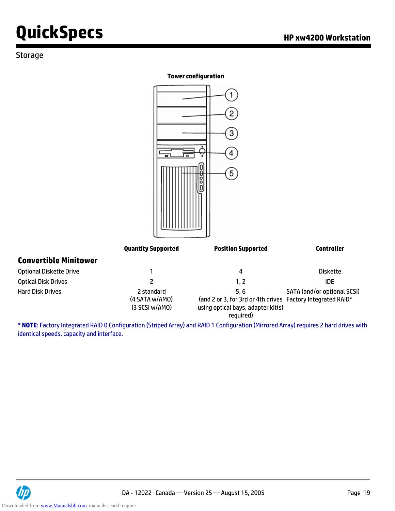### Storage

#### **Tower configuration**



| Optical DISK DHVeS I |                | $\mathsf{L}$                                                | IUE                                |
|----------------------|----------------|-------------------------------------------------------------|------------------------------------|
| Hard Disk Drives     | 2 standard     | 5.6                                                         | <b>SATA (and/or optional SCSI)</b> |
|                      | (4 SATA w/AMO) | (and 2 or 3, for 3rd or 4th drives Factory Integrated RAID* |                                    |
|                      | (3 SCSI w/AMO) | using optical bays, adapter kit(s)                          |                                    |
|                      |                | required)                                                   |                                    |

**\* NOTE**: Factory Integrated RAID 0 Configuration (Striped Array) and RAID 1 Configuration (Mirrored Array) requires 2 hard drives with identical speeds, capacity and interface.

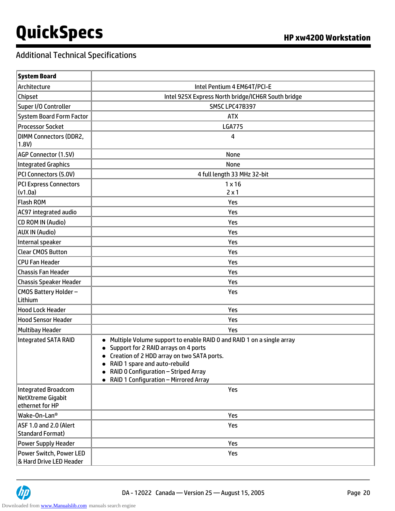# Additional Technical Specifications

| <b>System Board</b>                                                |                                                                                                                                                                                                                                                                                              |
|--------------------------------------------------------------------|----------------------------------------------------------------------------------------------------------------------------------------------------------------------------------------------------------------------------------------------------------------------------------------------|
| Architecture                                                       | Intel Pentium 4 EM64T/PCI-E                                                                                                                                                                                                                                                                  |
| Chipset                                                            | Intel 925X Express North bridge/ICH6R South bridge                                                                                                                                                                                                                                           |
| Super I/O Controller                                               | SMSC LPC47B397                                                                                                                                                                                                                                                                               |
| <b>System Board Form Factor</b>                                    | <b>ATX</b>                                                                                                                                                                                                                                                                                   |
| <b>Processor Socket</b>                                            | <b>LGA775</b>                                                                                                                                                                                                                                                                                |
| <b>DIMM Connectors (DDR2,</b><br>1.8V)                             | 4                                                                                                                                                                                                                                                                                            |
| AGP Connector (1.5V)                                               | None                                                                                                                                                                                                                                                                                         |
| <b>Integrated Graphics</b>                                         | None                                                                                                                                                                                                                                                                                         |
| PCI Connectors (5.0V)                                              | 4 full length 33 MHz 32-bit                                                                                                                                                                                                                                                                  |
| <b>PCI Express Connectors</b><br>(v1.0a)                           | $1 \times 16$<br>$2 \times 1$                                                                                                                                                                                                                                                                |
| <b>Flash ROM</b>                                                   | Yes                                                                                                                                                                                                                                                                                          |
| AC97 integrated audio                                              | Yes                                                                                                                                                                                                                                                                                          |
| <b>CD ROM IN (Audio)</b>                                           | Yes                                                                                                                                                                                                                                                                                          |
| <b>AUX IN (Audio)</b>                                              | Yes                                                                                                                                                                                                                                                                                          |
| Internal speaker                                                   | Yes                                                                                                                                                                                                                                                                                          |
| <b>Clear CMOS Button</b>                                           | Yes                                                                                                                                                                                                                                                                                          |
| <b>CPU Fan Header</b>                                              | Yes                                                                                                                                                                                                                                                                                          |
| <b>Chassis Fan Header</b>                                          | Yes                                                                                                                                                                                                                                                                                          |
| <b>Chassis Speaker Header</b>                                      | Yes                                                                                                                                                                                                                                                                                          |
| CMOS Battery Holder-<br>Lithium                                    | Yes                                                                                                                                                                                                                                                                                          |
| <b>Hood Lock Header</b>                                            | Yes                                                                                                                                                                                                                                                                                          |
| <b>Hood Sensor Header</b>                                          | Yes                                                                                                                                                                                                                                                                                          |
| <b>Multibay Header</b>                                             | Yes                                                                                                                                                                                                                                                                                          |
| <b>Integrated SATA RAID</b>                                        | Multiple Volume support to enable RAID 0 and RAID 1 on a single array<br>Support for 2 RAID arrays on 4 ports<br>Creation of 2 HDD array on two SATA ports.<br>$\bullet$<br>RAID 1 spare and auto-rebuild<br>RAID 0 Configuration - Striped Array<br>• RAID 1 Configuration - Mirrored Array |
| <b>Integrated Broadcom</b><br>NetXtreme Gigabit<br>ethernet for HP | Yes                                                                                                                                                                                                                                                                                          |
| Wake-On-Lan <sup>®</sup>                                           | Yes                                                                                                                                                                                                                                                                                          |
| ASF 1.0 and 2.0 (Alert<br><b>Standard Format)</b>                  | Yes                                                                                                                                                                                                                                                                                          |
| Power Supply Header                                                | Yes                                                                                                                                                                                                                                                                                          |
| Power Switch, Power LED<br>& Hard Drive LED Header                 | Yes                                                                                                                                                                                                                                                                                          |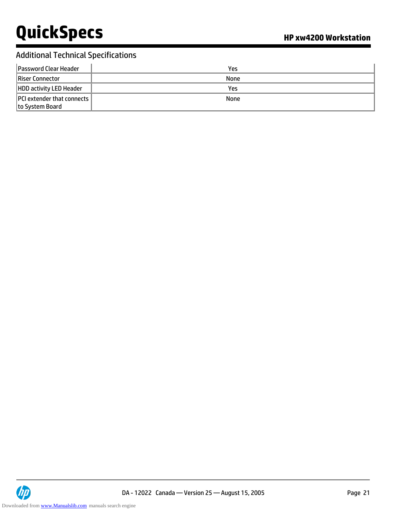# Additional Technical Specifications

| <b>Password Clear Header</b>                           | Yes  |
|--------------------------------------------------------|------|
| Riser Connector                                        | None |
| <b>HDD activity LED Header</b>                         | Yes  |
| <b>PCI</b> extender that connects  <br>to System Board | None |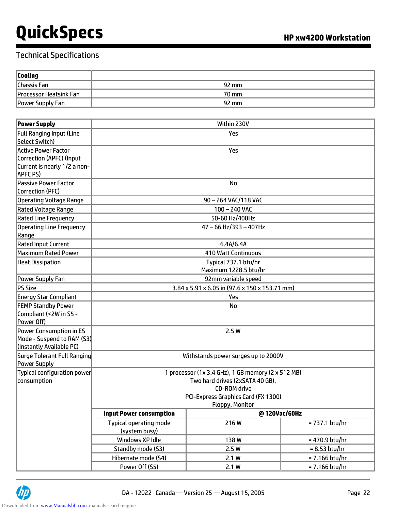| <b>Cooling</b>                |       |
|-------------------------------|-------|
| Chassis Fan                   | 92 mm |
| <b>Processor Heatsink Fan</b> | 70 mm |
| Power Supply Fan              | 92 mm |

| <b>Power Supply</b>                                                                                       | Within 230V                                                                                                                                                                                                              |                                               |                 |
|-----------------------------------------------------------------------------------------------------------|--------------------------------------------------------------------------------------------------------------------------------------------------------------------------------------------------------------------------|-----------------------------------------------|-----------------|
| <b>Full Ranging Input (Line</b><br>Select Switch)                                                         | Yes                                                                                                                                                                                                                      |                                               |                 |
| <b>Active Power Factor</b><br>Correction (APFC) (Input<br>Current is nearly 1/2 a non-<br><b>APFC PS)</b> | Yes                                                                                                                                                                                                                      |                                               |                 |
| Passive Power Factor<br>Correction (PFC)                                                                  |                                                                                                                                                                                                                          | <b>No</b>                                     |                 |
| Operating Voltage Range                                                                                   |                                                                                                                                                                                                                          | 90 - 264 VAC/118 VAC                          |                 |
| <b>Rated Voltage Range</b>                                                                                |                                                                                                                                                                                                                          | $100 - 240$ VAC                               |                 |
| Rated Line Frequency                                                                                      |                                                                                                                                                                                                                          | 50-60 Hz/400Hz                                |                 |
| <b>Operating Line Frequency</b><br>Range                                                                  |                                                                                                                                                                                                                          | $47 - 66$ Hz/393 - 407Hz                      |                 |
| <b>Rated Input Current</b>                                                                                |                                                                                                                                                                                                                          | 6.4A/6.4A                                     |                 |
| Maximum Rated Power                                                                                       |                                                                                                                                                                                                                          | <b>410 Watt Continuous</b>                    |                 |
| <b>Heat Dissipation</b>                                                                                   |                                                                                                                                                                                                                          | Typical 737.1 btu/hr<br>Maximum 1228.5 btu/hr |                 |
| Power Supply Fan                                                                                          | 92mm variable speed                                                                                                                                                                                                      |                                               |                 |
| PS Size                                                                                                   | 3.84 x 5.91 x 6.05 in (97.6 x 150 x 153.71 mm)                                                                                                                                                                           |                                               |                 |
| <b>Energy Star Compliant</b>                                                                              | Yes                                                                                                                                                                                                                      |                                               |                 |
| <b>FEMP Standby Power</b><br>Compliant (<2W in S5 -<br>Power Off)                                         | No                                                                                                                                                                                                                       |                                               |                 |
| Power Consumption in ES<br>Mode - Suspend to RAM (S3)<br>(Instantly Available PC)                         | 2.5W                                                                                                                                                                                                                     |                                               |                 |
| Surge Tolerant Full Ranging<br>Power Supply                                                               | Withstands power surges up to 2000V                                                                                                                                                                                      |                                               |                 |
| Typical configuration power<br>consumption                                                                | 1 processor (1x 3.4 GHz), 1 GB memory (2 x 512 MB)<br>Two hard drives (2xSATA 40 GB),<br><b>CD-ROM drive</b><br>PCI-Express Graphics Card (FX 1300)<br>Floppy, Monitor<br>@120Vac/60Hz<br><b>Input Power consumption</b> |                                               |                 |
|                                                                                                           |                                                                                                                                                                                                                          |                                               |                 |
|                                                                                                           | <b>Typical operating mode</b><br>(system busy)                                                                                                                                                                           | 216W                                          | = 737.1 btu/hr  |
|                                                                                                           | Windows XP Idle                                                                                                                                                                                                          | 138W                                          | = 470.9 btu/hr  |
|                                                                                                           | Standby mode (S3)                                                                                                                                                                                                        | 2.5W                                          | $= 8.53$ btu/hr |
|                                                                                                           | Hibernate mode (S4)                                                                                                                                                                                                      | 2.1W                                          | = 7.166 btu/hr  |
|                                                                                                           | Power Off (S5)                                                                                                                                                                                                           | 2.1W                                          | = 7.166 btu/hr  |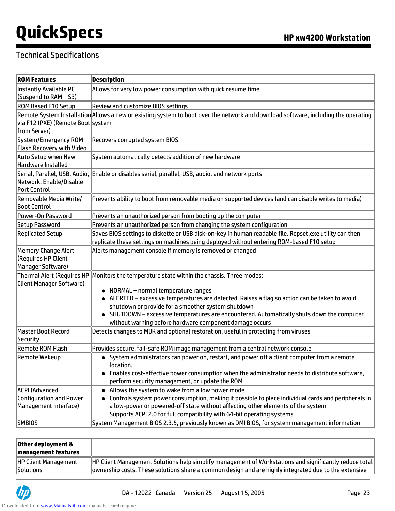## Technical Specifications

| <b>ROM Features</b>                                                             | <b>Description</b>                                                                                                                                                                                                                                                                                                   |
|---------------------------------------------------------------------------------|----------------------------------------------------------------------------------------------------------------------------------------------------------------------------------------------------------------------------------------------------------------------------------------------------------------------|
| Instantly Available PC<br>(Suspend to RAM – S3)                                 | Allows for very low power consumption with quick resume time                                                                                                                                                                                                                                                         |
| <b>ROM Based F10 Setup</b>                                                      | <b>Review and customize BIOS settings</b>                                                                                                                                                                                                                                                                            |
| via F12 (PXE) (Remote Boot system<br>from Server)                               | Remote System Installation Allows a new or existing system to boot over the network and download software, including the operating                                                                                                                                                                                   |
| System/Emergency ROM<br><b>Flash Recovery with Video</b>                        | <b>Recovers corrupted system BIOS</b>                                                                                                                                                                                                                                                                                |
| Auto Setup when New<br>Hardware Installed                                       | System automatically detects addition of new hardware                                                                                                                                                                                                                                                                |
| Serial, Parallel, USB, Audio,<br>Network, Enable/Disable<br><b>Port Control</b> | Enable or disables serial, parallel, USB, audio, and network ports                                                                                                                                                                                                                                                   |
| Removable Media Write/<br><b>Boot Control</b>                                   | Prevents ability to boot from removable media on supported devices (and can disable writes to media)                                                                                                                                                                                                                 |
| Power-On Password                                                               | Prevents an unauthorized person from booting up the computer                                                                                                                                                                                                                                                         |
| Setup Password                                                                  | Prevents an unauthorized person from changing the system configuration                                                                                                                                                                                                                                               |
| <b>Replicated Setup</b>                                                         | Saves BIOS settings to diskette or USB disk-on-key in human readable file. Repset.exe utility can then<br>replicate these settings on machines being deployed without entering ROM-based F10 setup                                                                                                                   |
| Memory Change Alert<br>(Requires HP Client<br>Manager Software)                 | Alerts management console if memory is removed or changed                                                                                                                                                                                                                                                            |
| <b>Thermal Alert (Requires HP</b><br><b>Client Manager Software)</b>            | Monitors the temperature state within the chassis. Three modes:<br>• NORMAL - normal temperature ranges                                                                                                                                                                                                              |
|                                                                                 | • ALERTED - excessive temperatures are detected. Raises a flag so action can be taken to avoid                                                                                                                                                                                                                       |
|                                                                                 | shutdown or provide for a smoother system shutdown                                                                                                                                                                                                                                                                   |
|                                                                                 | • SHUTDOWN - excessive temperatures are encountered. Automatically shuts down the computer<br>without warning before hardware component damage occurs                                                                                                                                                                |
| Master Boot Record<br>Security                                                  | Detects changes to MBR and optional restoration, useful in protecting from viruses                                                                                                                                                                                                                                   |
| <b>Remote ROM Flash</b>                                                         | Provides secure, fail-safe ROM image management from a central network console                                                                                                                                                                                                                                       |
| Remote Wakeup                                                                   | • System administrators can power on, restart, and power off a client computer from a remote<br>location.<br>• Enables cost-effective power consumption when the administrator needs to distribute software,<br>perform security management, or update the ROM                                                       |
| <b>ACPI (Advanced</b><br>Configuration and Power<br>Management Interface)       | • Allows the system to wake from a low power mode<br>Controls system power consumption, making it possible to place individual cards and peripherals in<br>a low-power or powered-off state without affecting other elements of the system<br>Supports ACPI 2.0 for full compatibility with 64-bit operating systems |
| SMBIOS                                                                          | System Management BIOS 2.3.5, previously known as DMI BIOS, for system management information                                                                                                                                                                                                                        |

| Other deployment &<br><b>management features</b> |                                                                                                                |
|--------------------------------------------------|----------------------------------------------------------------------------------------------------------------|
| <b>HP Client Management</b>                      | $\vert$ HP Client Management Solutions help simplify management of Workstations and significantly reduce total |
| Solutions                                        | ownership costs. These solutions share a common design and are highly integrated due to the extensive          |

UP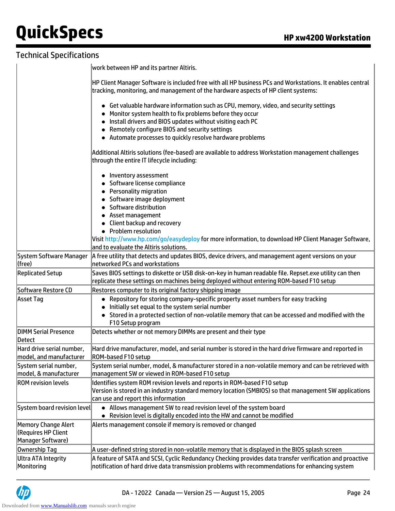|                                                                        | work between HP and its partner Altiris.                                                                                                                                                                                                                                                                                                                               |
|------------------------------------------------------------------------|------------------------------------------------------------------------------------------------------------------------------------------------------------------------------------------------------------------------------------------------------------------------------------------------------------------------------------------------------------------------|
|                                                                        | HP Client Manager Software is included free with all HP business PCs and Workstations. It enables central<br>tracking, monitoring, and management of the hardware aspects of HP client systems:                                                                                                                                                                        |
|                                                                        | Get valuable hardware information such as CPU, memory, video, and security settings<br>Monitor system health to fix problems before they occur<br>Install drivers and BIOS updates without visiting each PC<br>Remotely configure BIOS and security settings<br>• Automate processes to quickly resolve hardware problems                                              |
|                                                                        | Additional Altiris solutions (fee-based) are available to address Workstation management challenges<br>through the entire IT lifecycle including:                                                                                                                                                                                                                      |
|                                                                        | Inventory assessment<br>Software license compliance<br><b>Personality migration</b><br>Software image deployment<br>Software distribution<br>• Asset management<br>Client backup and recovery<br>• Problem resolution<br>Visit http://www.hp.com/go/easydeploy for more information, to download HP Client Manager Software,<br>and to evaluate the Altiris solutions. |
| System Software Manager                                                | A free utility that detects and updates BIOS, device drivers, and management agent versions on your                                                                                                                                                                                                                                                                    |
| (free)                                                                 | networked PCs and workstations                                                                                                                                                                                                                                                                                                                                         |
| <b>Replicated Setup</b>                                                | Saves BIOS settings to diskette or USB disk-on-key in human readable file. Repset.exe utility can then<br>replicate these settings on machines being deployed without entering ROM-based F10 setup                                                                                                                                                                     |
| Software Restore CD                                                    | Restores computer to its original factory shipping image                                                                                                                                                                                                                                                                                                               |
| Asset Tag                                                              | • Repository for storing company-specific property asset numbers for easy tracking<br>Initially set equal to the system serial number<br>• Stored in a protected section of non-volatile memory that can be accessed and modified with the<br>F10 Setup program                                                                                                        |
| <b>DIMM Serial Presence</b><br>Detect                                  | Detects whether or not memory DIMMs are present and their type                                                                                                                                                                                                                                                                                                         |
| Hard drive serial number,<br>model, and manufacturer                   | Hard drive manufacturer, model, and serial number is stored in the hard drive firmware and reported in<br>ROM-based F10 setup                                                                                                                                                                                                                                          |
| System serial number,<br>model, & manufacturer                         | System serial number, model, & manufacturer stored in a non-volatile memory and can be retrieved with<br>management SW or viewed in ROM-based F10 setup                                                                                                                                                                                                                |
| <b>ROM revision levels</b>                                             | Identifies system ROM revision levels and reports in ROM-based F10 setup<br>Version is stored in an industry standard memory location (SMBIOS) so that management SW applications<br>can use and report this information                                                                                                                                               |
| System board revision level                                            | • Allows management SW to read revision level of the system board<br>• Revision level is digitally encoded into the HW and cannot be modified                                                                                                                                                                                                                          |
| Memory Change Alert<br><b>(Requires HP Client</b><br>Manager Software) | Alerts management console if memory is removed or changed                                                                                                                                                                                                                                                                                                              |
| Ownership Tag                                                          | A user-defined string stored in non-volatile memory that is displayed in the BIOS splash screen                                                                                                                                                                                                                                                                        |
| <b>Ultra ATA Integrity</b><br>Monitoring                               | A feature of SATA and SCSI, Cyclic Redundancy Checking provides data transfer verification and proactive<br>notification of hard drive data transmission problems with recommendations for enhancing system                                                                                                                                                            |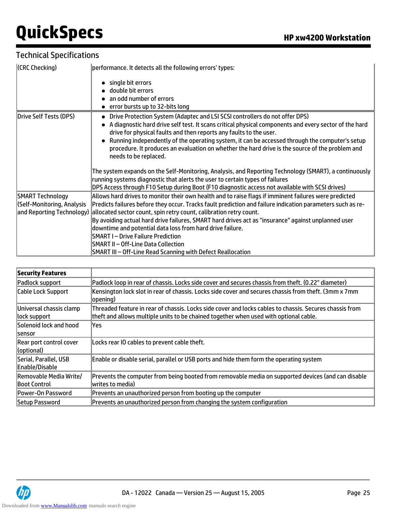| (CRC Checking)             | performance. It detects all the following errors' types:                                                                                                                    |
|----------------------------|-----------------------------------------------------------------------------------------------------------------------------------------------------------------------------|
|                            | single bit errors                                                                                                                                                           |
|                            | double bit errors                                                                                                                                                           |
|                            | an odd number of errors                                                                                                                                                     |
|                            | error bursts up to 32-bits long                                                                                                                                             |
| Drive Self Tests (DPS)     | Drive Protection System (Adaptec and LSI SCSI controllers do not offer DPS)<br>$\bullet$                                                                                    |
|                            | A diagnostic hard drive self test. It scans critical physical components and every sector of the hard<br>drive for physical faults and then reports any faults to the user. |
|                            | Running independently of the operating system, it can be accessed through the computer's setup                                                                              |
|                            | procedure. It produces an evaluation on whether the hard drive is the source of the problem and                                                                             |
|                            | needs to be replaced.                                                                                                                                                       |
|                            |                                                                                                                                                                             |
|                            | The system expands on the Self-Monitoring, Analysis, and Reporting Technology (SMART), a continuously                                                                       |
|                            | running systems diagnostic that alerts the user to certain types of failures                                                                                                |
|                            | DPS Access through F10 Setup during Boot (F10 diagnostic access not available with SCSI drives)                                                                             |
| SMART Technology           | Allows hard drives to monitor their own health and to raise flags if imminent failures were predicted                                                                       |
| (Self-Monitoring, Analysis | Predicts failures before they occur. Tracks fault prediction and failure indication parameters such as re-                                                                  |
|                            | and Reporting Technology) allocated sector count, spin retry count, calibration retry count.                                                                                |
|                            | By avoiding actual hard drive failures, SMART hard drives act as "insurance" against unplanned user                                                                         |
|                            | downtime and potential data loss from hard drive failure.                                                                                                                   |
|                            | <b>SMART I-Drive Failure Prediction</b>                                                                                                                                     |
|                            | SMART II – Off-Line Data Collection                                                                                                                                         |
|                            | SMART III - Off-Line Read Scanning with Defect Reallocation                                                                                                                 |

| <b>Security Features</b>                      |                                                                                                                                                                                                  |
|-----------------------------------------------|--------------------------------------------------------------------------------------------------------------------------------------------------------------------------------------------------|
| Padlock support                               | Padlock loop in rear of chassis. Locks side cover and secures chassis from theft. (0.22" diameter)                                                                                               |
| Cable Lock Support                            | Kensington lock slot in rear of chassis. Locks side cover and secures chassis from theft. (3mm x 7mm<br> opening)                                                                                |
| Universal chassis clamp<br>lock support       | Threaded feature in rear of chassis. Locks side cover and locks cables to chassis. Secures chassis from<br>theft and allows multiple units to be chained together when used with optional cable. |
| Solenoid lock and hood<br><b>Isensor</b>      | lYes                                                                                                                                                                                             |
| Rear port control cover<br>(optional)         | Locks rear IO cables to prevent cable theft.                                                                                                                                                     |
| Serial, Parallel, USB<br>Enable/Disable       | Enable or disable serial, parallel or USB ports and hide them form the operating system                                                                                                          |
| Removable Media Write/<br><b>Boot Control</b> | Prevents the computer from being booted from removable media on supported devices (and can disable<br> writes to media)                                                                          |
| <b>Power-On Password</b>                      | Prevents an unauthorized person from booting up the computer                                                                                                                                     |
| Setup Password                                | Prevents an unauthorized person from changing the system configuration                                                                                                                           |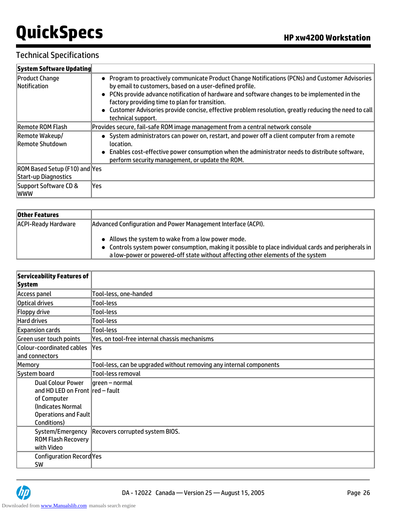| System Software Updating                              |                                                                                                                                                                                                                                                                                                                                                                                                                                                |
|-------------------------------------------------------|------------------------------------------------------------------------------------------------------------------------------------------------------------------------------------------------------------------------------------------------------------------------------------------------------------------------------------------------------------------------------------------------------------------------------------------------|
| <b>Product Change</b><br><b>Notification</b>          | • Program to proactively communicate Product Change Notifications (PCNs) and Customer Advisories<br>by email to customers, based on a user-defined profile.<br>• PCNs provide advance notification of hardware and software changes to be implemented in the<br>factory providing time to plan for transition.<br>• Customer Advisories provide concise, effective problem resolution, greatly reducing the need to call<br>technical support. |
| <b>Remote ROM Flash</b>                               | Provides secure, fail-safe ROM image management from a central network console                                                                                                                                                                                                                                                                                                                                                                 |
| Remote Wakeup/<br>Remote Shutdown                     | • System administrators can power on, restart, and power off a client computer from a remote<br>location.<br>• Enables cost-effective power consumption when the administrator needs to distribute software,<br>perform security management, or update the ROM.                                                                                                                                                                                |
| ROM Based Setup (F10) and Yes<br>Start-up Diagnostics |                                                                                                                                                                                                                                                                                                                                                                                                                                                |
| Support Software CD &<br> WWW                         | lYes                                                                                                                                                                                                                                                                                                                                                                                                                                           |

| <b>Other Features</b> |                                                                                                                                                                                                                                               |
|-----------------------|-----------------------------------------------------------------------------------------------------------------------------------------------------------------------------------------------------------------------------------------------|
| ACPI-Ready Hardware   | Advanced Configuration and Power Management Interface (ACPI).                                                                                                                                                                                 |
|                       | • Allows the system to wake from a low power mode.<br>• Controls system power consumption, making it possible to place individual cards and peripherals in<br>a low-power or powered-off state without affecting other elements of the system |

| Serviceability Features of              |                                                                     |
|-----------------------------------------|---------------------------------------------------------------------|
| System                                  |                                                                     |
| Access panel                            | Tool-less, one-handed                                               |
| Optical drives                          | Tool-less                                                           |
| Floppy drive                            | Tool-less                                                           |
| Hard drives                             | Tool-less                                                           |
| <b>Expansion cards</b>                  | Tool-less                                                           |
| Green user touch points                 | Yes, on tool-free internal chassis mechanisms                       |
| Colour-coordinated cables               | lYes                                                                |
| and connectors                          |                                                                     |
| Memory                                  | Tool-less, can be upgraded without removing any internal components |
| System board                            | <b>Tool-less removal</b>                                            |
| <b>Dual Colour Power</b>                | green – normal                                                      |
| and HD LED on Front red - fault         |                                                                     |
| of Computer                             |                                                                     |
| (Indicates Normal                       |                                                                     |
| Operations and Fault                    |                                                                     |
| Conditions)                             |                                                                     |
| System/Emergency                        | Recovers corrupted system BIOS.                                     |
| <b>ROM Flash Recovery</b><br>with Video |                                                                     |
|                                         |                                                                     |
| Configuration Record Yes<br><b>SW</b>   |                                                                     |
|                                         |                                                                     |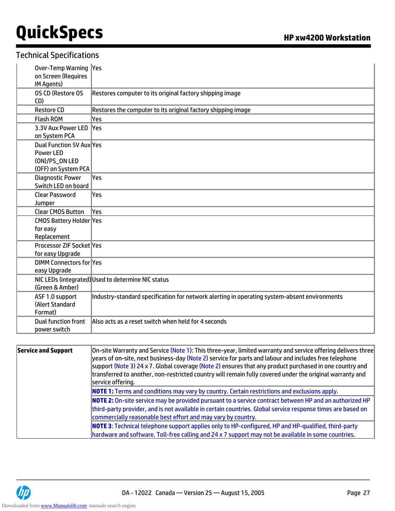| Over-Temp Warning  Yes<br>on Screen (Requires<br>IM Agents)                           |                                                                                              |
|---------------------------------------------------------------------------------------|----------------------------------------------------------------------------------------------|
| OS CD (Restore OS<br>CD)                                                              | Restores computer to its original factory shipping image                                     |
| <b>Restore CD</b>                                                                     | Restores the computer to its original factory shipping image                                 |
| <b>Flash ROM</b>                                                                      | Yes                                                                                          |
| 3.3V Aux Power LED<br>on System PCA                                                   | <b>Yes</b>                                                                                   |
| Dual Function 5V Aux Yes<br><b>Power LED</b><br>(ON)/PS_ON LED<br>(OFF) on System PCA |                                                                                              |
| <b>Diagnostic Power</b><br>Switch LED on board                                        | lYes                                                                                         |
| <b>Clear Password</b><br>Jumper                                                       | lYes                                                                                         |
| <b>Clear CMOS Button</b>                                                              | lYes                                                                                         |
| CMOS Battery Holder Yes<br>for easy<br>Replacement                                    |                                                                                              |
| Processor ZIF Socket Yes<br>for easy Upgrade                                          |                                                                                              |
| <b>DIMM Connectors for Yes</b><br>easy Upgrade                                        |                                                                                              |
| (Green & Amber)                                                                       | NIC LEDs (integrated) Used to determine NIC status                                           |
| ASF 1.0 support<br>(Alert Standard<br>Format)                                         | Industry-standard specification for network alerting in operating system-absent environments |
| <b>Dual function front</b><br>power switch                                            | Also acts as a reset switch when held for 4 seconds                                          |

| Service and Support | $ $ On-site Warranty and Service (Note 1): This three-year, limited warranty and service offering delivers three<br>years of on-site, next business-day (Note 2) service for parts and labour and includes free telephone<br>support (Note 3) 24 x 7. Global coverage (Note 2) ensures that any product purchased in one country and<br>transferred to another, non-restricted country will remain fully covered under the original warranty and<br>service offering. |
|---------------------|-----------------------------------------------------------------------------------------------------------------------------------------------------------------------------------------------------------------------------------------------------------------------------------------------------------------------------------------------------------------------------------------------------------------------------------------------------------------------|
|                     | <b>NOTE 1:</b> Terms and conditions may vary by country. Certain restrictions and exclusions apply.                                                                                                                                                                                                                                                                                                                                                                   |
|                     | <b>NOTE 2:</b> On-site service may be provided pursuant to a service contract between HP and an authorized HP<br>third-party provider, and is not available in certain countries. Global service response times are based on<br>commercially reasonable best effort and may vary by country.                                                                                                                                                                          |
|                     | <b>NOTE 3:</b> Technical telephone support applies only to HP-configured, HP and HP-qualified, third-party                                                                                                                                                                                                                                                                                                                                                            |
|                     | hardware and software. Toll-free calling and 24 x 7 support may not be available in some countries.                                                                                                                                                                                                                                                                                                                                                                   |

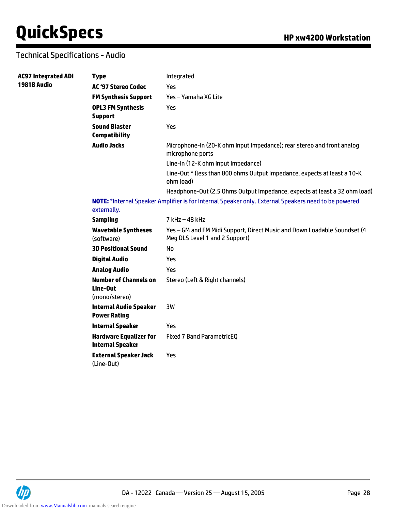# Technical Specifications - Audio

| <b>AC97 Integrated ADI</b> | <b>Type</b>                                               | Integrated                                                                                                 |
|----------------------------|-----------------------------------------------------------|------------------------------------------------------------------------------------------------------------|
| 1981B Audio                | <b>AC '97 Stereo Codec</b>                                | Yes                                                                                                        |
|                            | <b>FM Synthesis Support</b>                               | Yes - Yamaha XG Lite                                                                                       |
|                            | <b>OPL3 FM Synthesis</b><br><b>Support</b>                | Yes                                                                                                        |
|                            | <b>Sound Blaster</b><br><b>Compatibility</b>              | Yes                                                                                                        |
|                            | <b>Audio Jacks</b>                                        | Microphone-In (20-K ohm Input Impedance); rear stereo and front analog<br>microphone ports                 |
|                            |                                                           | Line-In (12-K ohm Input Impedance)                                                                         |
|                            |                                                           | Line-Out * (less than 800 ohms Output Impedance, expects at least a 10-K<br>ohm load)                      |
|                            |                                                           | Headphone-Out (2.5 Ohms Output Impedance, expects at least a 32 ohm load)                                  |
|                            | externally.                                               | NOTE: *Internal Speaker Amplifier is for Internal Speaker only. External Speakers need to be powered       |
|                            | <b>Sampling</b>                                           | 7 kHz - 48 kHz                                                                                             |
|                            | <b>Wavetable Syntheses</b><br>(software)                  | Yes - GM and FM Midi Support, Direct Music and Down Loadable Soundset (4<br>Meg DLS Level 1 and 2 Support) |
|                            | <b>3D Positional Sound</b>                                | No                                                                                                         |
|                            | <b>Digital Audio</b>                                      | Yes                                                                                                        |
|                            | <b>Analog Audio</b>                                       | Yes                                                                                                        |
|                            | <b>Number of Channels on</b><br>Line-Out<br>(mono/stereo) | Stereo (Left & Right channels)                                                                             |
|                            | <b>Internal Audio Speaker</b><br><b>Power Rating</b>      | 3W                                                                                                         |
|                            | <b>Internal Speaker</b>                                   | Yes                                                                                                        |
|                            | <b>Hardware Equalizer for</b><br><b>Internal Speaker</b>  | <b>Fixed 7 Band ParametricEQ</b>                                                                           |
|                            | <b>External Speaker Jack</b><br>(Line-Out)                | Yes                                                                                                        |

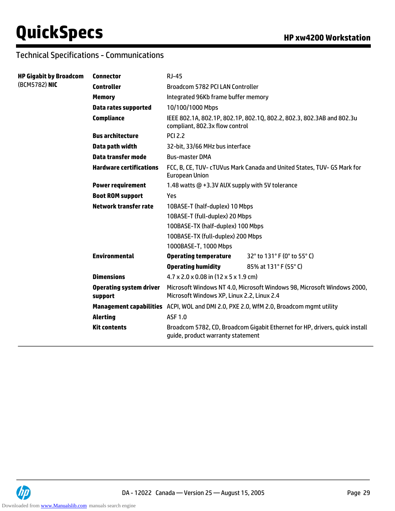## Technical Specifications - Communications

| <b>HP Gigabit by Broadcom</b> | <b>Connector</b>                          | <b>RJ-45</b>                                                                                                          |                             |  |  |
|-------------------------------|-------------------------------------------|-----------------------------------------------------------------------------------------------------------------------|-----------------------------|--|--|
| (BCM5782) NIC                 | <b>Controller</b>                         | Broadcom 5782 PCI LAN Controller                                                                                      |                             |  |  |
|                               | <b>Memory</b>                             | Integrated 96Kb frame buffer memory                                                                                   |                             |  |  |
|                               | <b>Data rates supported</b>               | 10/100/1000 Mbps                                                                                                      |                             |  |  |
|                               | <b>Compliance</b>                         | IEEE 802.1A, 802.1P, 802.1P, 802.1Q, 802.2, 802.3, 802.3AB and 802.3u<br>compliant, 802.3x flow control               |                             |  |  |
|                               | <b>Bus architecture</b>                   | <b>PCI 2.2</b>                                                                                                        |                             |  |  |
|                               | Data path width                           | 32-bit, 33/66 MHz bus interface                                                                                       |                             |  |  |
|                               | <b>Data transfer mode</b>                 | <b>Bus-master DMA</b>                                                                                                 |                             |  |  |
|                               | <b>Hardware certifications</b>            | FCC, B, CE, TUV- cTUVus Mark Canada and United States, TUV- GS Mark for<br><b>European Union</b>                      |                             |  |  |
|                               | <b>Power requirement</b>                  | 1.48 watts @ +3.3V AUX supply with 5V tolerance                                                                       |                             |  |  |
|                               | <b>Boot ROM support</b>                   | Yes                                                                                                                   |                             |  |  |
|                               | Network transfer rate                     | 10BASE-T (half-duplex) 10 Mbps                                                                                        |                             |  |  |
|                               |                                           | 10BASE-T (full-duplex) 20 Mbps                                                                                        |                             |  |  |
|                               |                                           | 100BASE-TX (half-duplex) 100 Mbps                                                                                     |                             |  |  |
|                               |                                           | 100BASE-TX (full-duplex) 200 Mbps                                                                                     |                             |  |  |
|                               |                                           | 1000BASE-T, 1000 Mbps                                                                                                 |                             |  |  |
|                               | <b>Environmental</b>                      | <b>Operating temperature</b>                                                                                          | 32° to 131° F (0° to 55° C) |  |  |
|                               |                                           | <b>Operating humidity</b>                                                                                             | 85% at 131°F (55°C)         |  |  |
|                               | <b>Dimensions</b>                         | $4.7 \times 2.0 \times 0.08$ in $(12 \times 5 \times 1.9$ cm)                                                         |                             |  |  |
|                               | <b>Operating system driver</b><br>support | Microsoft Windows NT 4.0, Microsoft Windows 98, Microsoft Windows 2000,<br>Microsoft Windows XP, Linux 2.2, Linux 2.4 |                             |  |  |
|                               |                                           | Management capabilities ACPI, WOL and DMI 2.0, PXE 2.0, WfM 2.0, Broadcom mgmt utility                                |                             |  |  |
|                               | <b>Alerting</b>                           | <b>ASF 1.0</b>                                                                                                        |                             |  |  |
|                               | <b>Kit contents</b>                       | Broadcom 5782, CD, Broadcom Gigabit Ethernet for HP, drivers, quick install<br>guide, product warranty statement      |                             |  |  |
|                               |                                           |                                                                                                                       |                             |  |  |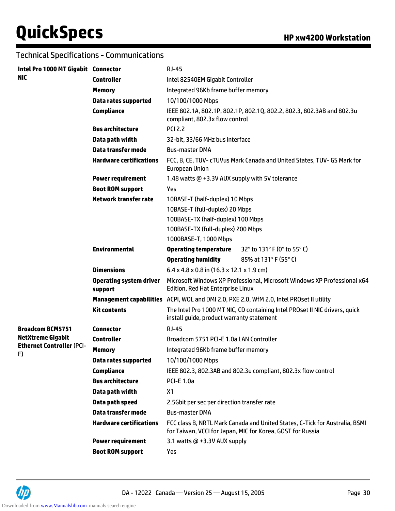## Technical Specifications - Communications

| Intel Pro 1000 MT Gigabit Connector    |                                           | $RJ-45$                                                                                                                                   |                                                                                          |  |  |
|----------------------------------------|-------------------------------------------|-------------------------------------------------------------------------------------------------------------------------------------------|------------------------------------------------------------------------------------------|--|--|
| <b>NIC</b>                             | <b>Controller</b>                         | Intel 82540EM Gigabit Controller                                                                                                          |                                                                                          |  |  |
|                                        | <b>Memory</b>                             | Integrated 96Kb frame buffer memory                                                                                                       |                                                                                          |  |  |
|                                        | <b>Data rates supported</b>               | 10/100/1000 Mbps                                                                                                                          |                                                                                          |  |  |
|                                        | <b>Compliance</b>                         | compliant, 802.3x flow control                                                                                                            | IEEE 802.1A, 802.1P, 802.1P, 802.1Q, 802.2, 802.3, 802.3AB and 802.3u                    |  |  |
|                                        | <b>Bus architecture</b>                   | <b>PCI 2.2</b>                                                                                                                            |                                                                                          |  |  |
|                                        | Data path width                           | 32-bit, 33/66 MHz bus interface                                                                                                           |                                                                                          |  |  |
|                                        | Data transfer mode                        | <b>Bus-master DMA</b>                                                                                                                     |                                                                                          |  |  |
|                                        | <b>Hardware certifications</b>            | FCC, B, CE, TUV- cTUVus Mark Canada and United States, TUV- GS Mark for<br><b>European Union</b>                                          |                                                                                          |  |  |
|                                        | <b>Power requirement</b>                  | 1.48 watts @ +3.3V AUX supply with 5V tolerance                                                                                           |                                                                                          |  |  |
|                                        | <b>Boot ROM support</b>                   | Yes                                                                                                                                       |                                                                                          |  |  |
|                                        | <b>Network transfer rate</b>              | 10BASE-T (half-duplex) 10 Mbps                                                                                                            |                                                                                          |  |  |
|                                        |                                           | 10BASE-T (full-duplex) 20 Mbps                                                                                                            |                                                                                          |  |  |
|                                        |                                           | 100BASE-TX (half-duplex) 100 Mbps                                                                                                         |                                                                                          |  |  |
|                                        |                                           | 100BASE-TX (full-duplex) 200 Mbps                                                                                                         |                                                                                          |  |  |
|                                        |                                           | 1000BASE-T, 1000 Mbps                                                                                                                     |                                                                                          |  |  |
|                                        | <b>Environmental</b>                      | <b>Operating temperature</b>                                                                                                              | 32° to 131° F (0° to 55° C)                                                              |  |  |
|                                        |                                           | <b>Operating humidity</b>                                                                                                                 | 85% at 131°F (55°C)                                                                      |  |  |
|                                        | <b>Dimensions</b>                         | $6.4 \times 4.8 \times 0.8$ in (16.3 x 12.1 x 1.9 cm)                                                                                     |                                                                                          |  |  |
|                                        | <b>Operating system driver</b><br>support | Microsoft Windows XP Professional, Microsoft Windows XP Professional x64<br><b>Edition, Red Hat Enterprise Linux</b>                      |                                                                                          |  |  |
|                                        |                                           |                                                                                                                                           | Management capabilities ACPI, WOL and DMI 2.0, PXE 2.0, WfM 2.0, Intel PROset II utility |  |  |
|                                        | <b>Kit contents</b>                       | The Intel Pro 1000 MT NIC, CD containing Intel PROset II NIC drivers, quick<br>install guide, product warranty statement                  |                                                                                          |  |  |
| <b>Broadcom BCM5751</b>                | <b>Connector</b>                          | <b>RJ-45</b>                                                                                                                              |                                                                                          |  |  |
| <b>NetXtreme Gigabit</b>               | <b>Controller</b>                         | Broadcom 5751 PCI-E 1.0a LAN Controller                                                                                                   |                                                                                          |  |  |
| <b>Ethernet Controller (PCI-</b><br>E) | <b>Memory</b>                             | Integrated 96Kb frame buffer memory                                                                                                       |                                                                                          |  |  |
|                                        | Data rates supported                      | 10/100/1000 Mbps                                                                                                                          |                                                                                          |  |  |
|                                        | <b>Compliance</b>                         |                                                                                                                                           | IEEE 802.3, 802.3AB and 802.3u compliant, 802.3x flow control                            |  |  |
|                                        | <b>Bus architecture</b>                   | <b>PCI-E 1.0a</b>                                                                                                                         |                                                                                          |  |  |
|                                        | Data path width                           | X <sub>1</sub>                                                                                                                            |                                                                                          |  |  |
|                                        | Data path speed                           | 2.5Gbit per sec per direction transfer rate                                                                                               |                                                                                          |  |  |
|                                        | <b>Data transfer mode</b>                 | <b>Bus-master DMA</b>                                                                                                                     |                                                                                          |  |  |
|                                        | <b>Hardware certifications</b>            | FCC class B, NRTL Mark Canada and United States, C-Tick for Australia, BSMI<br>for Taiwan, VCCI for Japan, MIC for Korea, GOST for Russia |                                                                                          |  |  |
|                                        | <b>Power requirement</b>                  | 3.1 watts @ +3.3V AUX supply                                                                                                              |                                                                                          |  |  |
|                                        | <b>Boot ROM support</b>                   | Yes                                                                                                                                       |                                                                                          |  |  |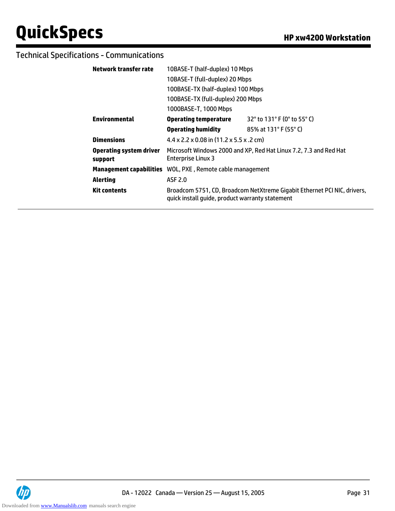## Technical Specifications - Communications

| Network transfer rate                     | 10BASE-T (half-duplex) 10 Mbps                                                                 |                                                                          |  |
|-------------------------------------------|------------------------------------------------------------------------------------------------|--------------------------------------------------------------------------|--|
|                                           | 10BASE-T (full-duplex) 20 Mbps                                                                 |                                                                          |  |
|                                           | 100BASE-TX (half-duplex) 100 Mbps                                                              |                                                                          |  |
|                                           | 100BASE-TX (full-duplex) 200 Mbps                                                              |                                                                          |  |
|                                           | 1000BASE-T, 1000 Mbps                                                                          |                                                                          |  |
| <b>Environmental</b>                      | <b>Operating temperature</b>                                                                   | 32° to 131° F (0° to 55° C)                                              |  |
|                                           | <b>Operating humidity</b>                                                                      | 85% at 131°F (55°C)                                                      |  |
| <b>Dimensions</b>                         | $4.4 \times 2.2 \times 0.08$ in (11.2 x 5.5 x .2 cm)                                           |                                                                          |  |
| <b>Operating system driver</b><br>support | Microsoft Windows 2000 and XP, Red Hat Linux 7.2, 7.3 and Red Hat<br><b>Enterprise Linux 3</b> |                                                                          |  |
|                                           | <b>Management capabilities</b> WOL, PXE, Remote cable management                               |                                                                          |  |
| <b>Alerting</b>                           | ASF 2.0                                                                                        |                                                                          |  |
| <b>Kit contents</b>                       | quick install quide, product warranty statement                                                | Broadcom 5751, CD, Broadcom NetXtreme Gigabit Ethernet PCI NIC, drivers, |  |
|                                           |                                                                                                |                                                                          |  |

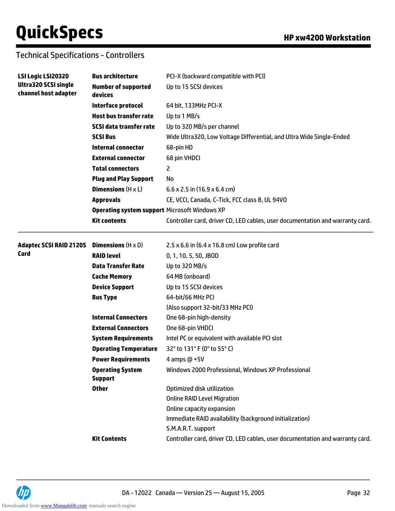# Technical Specifications - Controllers

| LSI Logic LSI20320                                  | <b>Bus architecture</b>                       | PCI-X (backward compatible with PCI)                                          |  |  |
|-----------------------------------------------------|-----------------------------------------------|-------------------------------------------------------------------------------|--|--|
| <b>Ultra320 SCSI single</b><br>channel host adapter | <b>Number of supported</b><br>devices         | Up to 15 SCSI devices                                                         |  |  |
|                                                     | Interface protocol                            | 64 bit, 133MHz PCI-X                                                          |  |  |
|                                                     | <b>Host bus transfer rate</b>                 | Up to 1 MB/s                                                                  |  |  |
|                                                     | <b>SCSI data transfer rate</b>                | Up to 320 MB/s per channel                                                    |  |  |
|                                                     | <b>SCSI Bus</b>                               | Wide Ultra320, Low Voltage Differential, and Ultra Wide Single-Ended          |  |  |
|                                                     | <b>Internal connector</b>                     | 68-pin HD                                                                     |  |  |
|                                                     | <b>External connector</b>                     | 68 pin VHDCI                                                                  |  |  |
|                                                     | <b>Total connectors</b>                       | 2                                                                             |  |  |
|                                                     | <b>Plug and Play Support</b>                  | No                                                                            |  |  |
|                                                     | <b>Dimensions</b> $(H \times L)$              | $6.6 \times 2.5$ in $(16.9 \times 6.4$ cm)                                    |  |  |
|                                                     | <b>Approvals</b>                              | CE, VCCI, Canada, C-Tick, FCC class B, UL 94VO                                |  |  |
|                                                     | Operating system support Microsoft Windows XP |                                                                               |  |  |
|                                                     | <b>Kit contents</b>                           | Controller card, driver CD, LED cables, user documentation and warranty card. |  |  |
| <b>Adaptec SCSI RAID 2120S</b>                      | <b>Dimensions</b> $(H \times D)$              | 2.5 $\times$ 6.6 in (6.4 $\times$ 16.8 cm) Low profile card                   |  |  |
| Card                                                | <b>RAID level</b>                             | 0, 1, 10, 5, 50, JBOD                                                         |  |  |
|                                                     | <b>Data Transfer Rate</b>                     | Up to 320 MB/s                                                                |  |  |
|                                                     | <b>Cache Memory</b>                           | 64 MB (onboard)                                                               |  |  |
|                                                     | <b>Device Support</b>                         | Up to 15 SCSI devices                                                         |  |  |
|                                                     | <b>Bus Type</b>                               | 64-bit/66 MHz PCI                                                             |  |  |
|                                                     |                                               | (Also support 32-bit/33 MHz PCI)                                              |  |  |
|                                                     | <b>Internal Connectors</b>                    | One 68-pin high-density                                                       |  |  |
|                                                     | <b>External Connectors</b>                    | One 68-pin VHDCI                                                              |  |  |
|                                                     | <b>System Requirements</b>                    | Intel PC or equivalent with available PCI slot                                |  |  |
|                                                     | <b>Operating Temperature</b>                  | 32° to 131° F (0° to 55° C)                                                   |  |  |
|                                                     | <b>Power Requirements</b>                     | 4 amps $@$ +5V                                                                |  |  |
|                                                     | <b>Operating System</b><br><b>Support</b>     | Windows 2000 Professional, Windows XP Professional                            |  |  |
|                                                     | <b>Other</b>                                  | Optimized disk utilization                                                    |  |  |
|                                                     |                                               | <b>Online RAID Level Migration</b>                                            |  |  |
|                                                     |                                               | Online capacity expansion                                                     |  |  |
|                                                     |                                               | Immediate RAID availability (background initialization)                       |  |  |
|                                                     |                                               | S.M.A.R.T. support                                                            |  |  |
|                                                     | <b>Kit Contents</b>                           | Controller card, driver CD, LED cables, user documentation and warranty card. |  |  |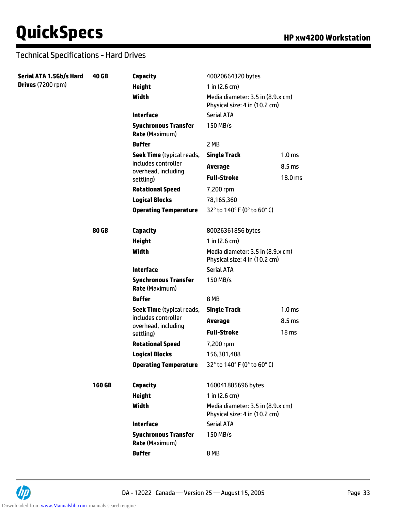| Serial ATA 1.5Gb/s Hard | <b>40 GB</b> | <b>Capacity</b>                                      | 40020664320 bytes                                                  |                   |  |
|-------------------------|--------------|------------------------------------------------------|--------------------------------------------------------------------|-------------------|--|
| Drives (7200 rpm)       |              | <b>Height</b>                                        | 1 in $(2.6 cm)$                                                    |                   |  |
|                         |              | <b>Width</b>                                         | Media diameter: 3.5 in (8.9.x cm)<br>Physical size: 4 in (10.2 cm) |                   |  |
|                         |              | <b>Interface</b>                                     | <b>Serial ATA</b>                                                  |                   |  |
|                         |              | <b>Synchronous Transfer</b><br><b>Rate (Maximum)</b> | 150 MB/s                                                           |                   |  |
|                         |              | <b>Buffer</b>                                        | 2 MB                                                               |                   |  |
|                         |              | <b>Seek Time</b> (typical reads,                     | <b>Single Track</b>                                                | 1.0 <sub>ms</sub> |  |
|                         |              | includes controller                                  | <b>Average</b>                                                     | 8.5 ms            |  |
|                         |              | overhead, including<br>settling)                     | <b>Full-Stroke</b>                                                 | 18.0 ms           |  |
|                         |              | <b>Rotational Speed</b>                              | 7,200 rpm                                                          |                   |  |
|                         |              | <b>Logical Blocks</b>                                | 78,165,360<br>32° to 140° F (0° to 60° C)                          |                   |  |
|                         |              | <b>Operating Temperature</b>                         |                                                                    |                   |  |
|                         | 80 GB        | <b>Capacity</b>                                      | 80026361856 bytes                                                  |                   |  |
|                         |              | <b>Height</b>                                        | $1$ in (2.6 cm)                                                    |                   |  |
|                         |              | Width                                                | Media diameter: 3.5 in (8.9.x cm)<br>Physical size: 4 in (10.2 cm) |                   |  |
|                         |              | <b>Interface</b>                                     | <b>Serial ATA</b>                                                  |                   |  |
|                         |              | <b>Synchronous Transfer</b><br><b>Rate (Maximum)</b> | 150 MB/s                                                           |                   |  |
|                         |              | <b>Buffer</b>                                        | 8 MB                                                               |                   |  |
|                         |              | Seek Time (typical reads,<br>includes controller     | <b>Single Track</b>                                                | 1.0 <sub>ms</sub> |  |
|                         |              |                                                      | <b>Average</b>                                                     | 8.5 ms            |  |
|                         |              | overhead, including<br>settling)                     | <b>Full-Stroke</b>                                                 | 18 <sub>ms</sub>  |  |
|                         |              | <b>Rotational Speed</b>                              | 7,200 rpm                                                          |                   |  |
|                         |              | <b>Logical Blocks</b>                                | 156,301,488                                                        |                   |  |
|                         |              | <b>Operating Temperature</b>                         | 32° to 140° F (0° to 60° C)                                        |                   |  |
|                         | 160 GB       | <b>Capacity</b>                                      | 160041885696 bytes                                                 |                   |  |
|                         |              | <b>Height</b>                                        | 1 in $(2.6 \text{ cm})$                                            |                   |  |
|                         |              | Width                                                | Media diameter: 3.5 in (8.9.x cm)<br>Physical size: 4 in (10.2 cm) |                   |  |
|                         |              | <b>Interface</b>                                     | <b>Serial ATA</b>                                                  |                   |  |
|                         |              | <b>Synchronous Transfer</b><br><b>Rate (Maximum)</b> | 150 MB/s                                                           |                   |  |
|                         |              | <b>Buffer</b>                                        | 8 MB                                                               |                   |  |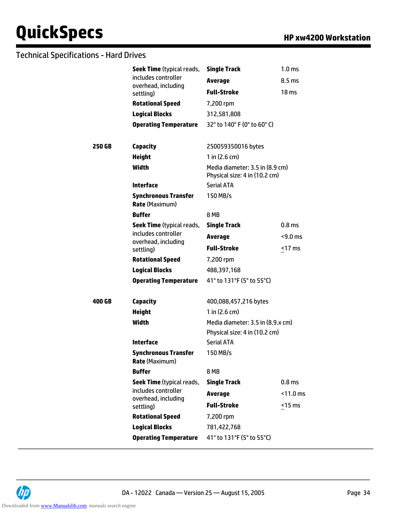|        | <b>Seek Time</b> (typical reads,                     | <b>Single Track</b>                                              | 1.0 <sub>ms</sub> |  |
|--------|------------------------------------------------------|------------------------------------------------------------------|-------------------|--|
|        | includes controller<br>overhead, including           | <b>Average</b>                                                   | 8.5 ms            |  |
|        | settling)                                            | <b>Full-Stroke</b>                                               | 18 <sub>ms</sub>  |  |
|        | <b>Rotational Speed</b>                              | 7,200 rpm                                                        |                   |  |
|        | <b>Logical Blocks</b>                                | 312,581,808                                                      |                   |  |
|        | <b>Operating Temperature</b>                         | 32° to 140° F (0° to 60° C)                                      |                   |  |
|        |                                                      |                                                                  |                   |  |
| 250 GB | <b>Capacity</b>                                      | 250059350016 bytes                                               |                   |  |
|        | <b>Height</b>                                        | 1 in $(2.6 cm)$                                                  |                   |  |
|        | Width                                                | Media diameter: 3.5 in (8.9 cm)<br>Physical size: 4 in (10.2 cm) |                   |  |
|        | <b>Interface</b>                                     | <b>Serial ATA</b>                                                |                   |  |
|        | <b>Synchronous Transfer</b><br><b>Rate (Maximum)</b> | 150 MB/s                                                         |                   |  |
|        | <b>Buffer</b>                                        | <b>8 MB</b>                                                      |                   |  |
|        | <b>Seek Time</b> (typical reads,                     | <b>Single Track</b>                                              | 0.8 <sub>ms</sub> |  |
|        | includes controller<br>overhead, including           | <b>Average</b>                                                   | $<$ 9.0 ms        |  |
|        | settling)                                            | <b>Full-Stroke</b>                                               | $<$ 17 ms         |  |
|        | <b>Rotational Speed</b>                              | 7,200 rpm                                                        |                   |  |
|        | <b>Logical Blocks</b>                                | 488,397,168                                                      |                   |  |
|        | <b>Operating Temperature</b>                         | 41° to 131°F (5° to 55°C)                                        |                   |  |
| 400 GB | <b>Capacity</b>                                      | 400,088,457,216 bytes                                            |                   |  |
|        | <b>Height</b>                                        | 1 in $(2.6 cm)$                                                  |                   |  |
|        | Width                                                | Media diameter: 3.5 in (8.9.x cm)                                |                   |  |
|        |                                                      | Physical size: 4 in (10.2 cm)                                    |                   |  |
|        | <b>Interface</b>                                     | <b>Serial ATA</b>                                                |                   |  |
|        | <b>Synchronous Transfer</b><br><b>Rate (Maximum)</b> | 150 MB/s                                                         |                   |  |
|        | <b>Buffer</b>                                        | 8 MB                                                             |                   |  |
|        | Seek Time (typical reads,                            | <b>Single Track</b>                                              | 0.8 <sub>ms</sub> |  |
|        | includes controller                                  | <b>Average</b>                                                   | $<$ 11.0 ms       |  |
|        | overhead, including<br>settling)                     | <b>Full-Stroke</b>                                               | $15$ ms           |  |
|        | <b>Rotational Speed</b>                              | 7,200 rpm                                                        |                   |  |
|        | <b>Logical Blocks</b>                                | 781,422,768                                                      |                   |  |
|        | <b>Operating Temperature</b>                         | 41° to 131°F (5° to 55°C)                                        |                   |  |
|        |                                                      |                                                                  |                   |  |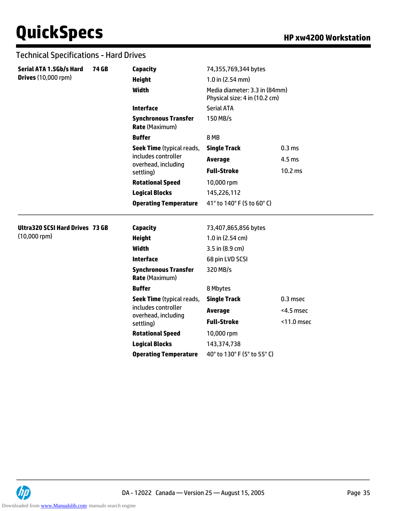| Serial ATA 1.5Gb/s Hard                | <b>74 GB</b> | <b>Capacity</b>                                      | 74,355,769,344 bytes                                                                 |                   |  |
|----------------------------------------|--------------|------------------------------------------------------|--------------------------------------------------------------------------------------|-------------------|--|
| <b>Drives (10,000 rpm)</b>             |              |                                                      | $1.0$ in (2.54 mm)<br>Media diameter: 3.3 in (84mm)<br>Physical size: 4 in (10.2 cm) |                   |  |
|                                        |              | <b>Height</b>                                        |                                                                                      |                   |  |
|                                        |              | <b>Width</b>                                         |                                                                                      |                   |  |
|                                        |              | <b>Interface</b>                                     | <b>Serial ATA</b>                                                                    |                   |  |
|                                        |              | <b>Synchronous Transfer</b><br><b>Rate (Maximum)</b> | 150 MB/s                                                                             |                   |  |
|                                        |              | <b>Buffer</b>                                        | 8 MB                                                                                 |                   |  |
|                                        |              | <b>Seek Time</b> (typical reads,                     | <b>Single Track</b>                                                                  | 0.3 <sub>ms</sub> |  |
|                                        |              | includes controller<br>overhead, including           | <b>Average</b>                                                                       | 4.5 <sub>ms</sub> |  |
|                                        |              | settling)                                            | <b>Full-Stroke</b>                                                                   | 10.2 ms           |  |
|                                        |              | <b>Rotational Speed</b>                              | 10,000 rpm                                                                           |                   |  |
|                                        |              | <b>Logical Blocks</b>                                | 145,226,112<br>41° to 140° F (5 to 60° C)                                            |                   |  |
|                                        |              | <b>Operating Temperature</b>                         |                                                                                      |                   |  |
| <b>Ultra320 SCSI Hard Drives 73 GB</b> |              | <b>Capacity</b>                                      | 73,407,865,856 bytes                                                                 |                   |  |
| $(10,000$ rpm $)$                      |              | <b>Height</b>                                        | 1.0 in (2.54 cm)                                                                     |                   |  |
|                                        |              | <b>Width</b>                                         | 3.5 in (8.9 cm)                                                                      |                   |  |
|                                        |              | <b>Interface</b>                                     | 68 pin LVD SCSI                                                                      |                   |  |
|                                        |              | <b>Synchronous Transfer</b><br><b>Rate (Maximum)</b> | 320 MB/s                                                                             |                   |  |
|                                        |              | <b>Buffer</b>                                        | 8 Mbytes                                                                             |                   |  |
|                                        |              | <b>Seek Time</b> (typical reads,                     | <b>Single Track</b>                                                                  | 0.3 msec          |  |
|                                        |              | includes controller                                  | <b>Average</b>                                                                       | <4.5 msec         |  |
|                                        |              | overhead, including<br>settling)                     | <b>Full-Stroke</b>                                                                   | <11.0 msec        |  |
|                                        |              | <b>Rotational Speed</b>                              | 10,000 rpm                                                                           |                   |  |
|                                        |              | <b>Logical Blocks</b>                                | 143,374,738                                                                          |                   |  |
|                                        |              | <b>Operating Temperature</b>                         | 40° to 130° F (5° to 55° C)                                                          |                   |  |

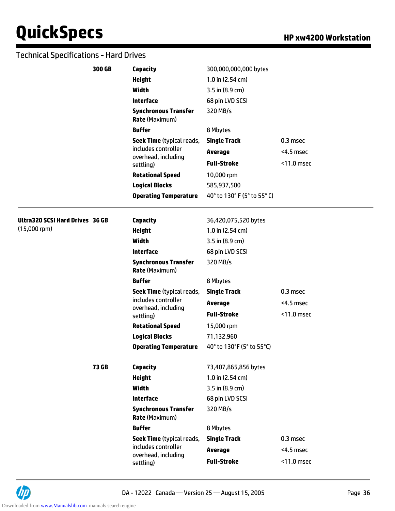|                                        | 300 GB | Capacity                                                                             | 300,000,000,000 bytes       |            |
|----------------------------------------|--------|--------------------------------------------------------------------------------------|-----------------------------|------------|
|                                        |        | <b>Height</b>                                                                        | $1.0$ in (2.54 cm)          |            |
|                                        |        | <b>Width</b>                                                                         | 3.5 in (8.9 cm)             |            |
|                                        |        | <b>Interface</b>                                                                     | 68 pin LVD SCSI             |            |
|                                        |        | <b>Synchronous Transfer</b><br><b>Rate (Maximum)</b>                                 | 320 MB/s                    |            |
|                                        |        | <b>Buffer</b>                                                                        | 8 Mbytes                    |            |
|                                        |        | <b>Seek Time</b> (typical reads,                                                     | <b>Single Track</b>         | 0.3 msec   |
|                                        |        | includes controller<br>overhead, including<br>settling)                              | <b>Average</b>              | <4.5 msec  |
|                                        |        |                                                                                      | <b>Full-Stroke</b>          | <11.0 msec |
|                                        |        | <b>Rotational Speed</b>                                                              | 10,000 rpm                  |            |
|                                        |        | <b>Logical Blocks</b>                                                                | 585,937,500                 |            |
|                                        |        | <b>Operating Temperature</b>                                                         | 40° to 130° F (5° to 55° C) |            |
| <b>Ultra320 SCSI Hard Drives 36 GB</b> |        | Capacity                                                                             | 36,420,075,520 bytes        |            |
| $(15,000$ rpm $)$                      |        | <b>Height</b>                                                                        | 1.0 in (2.54 cm)            |            |
|                                        |        | <b>Width</b>                                                                         | 3.5 in (8.9 cm)             |            |
|                                        |        | <b>Interface</b>                                                                     | 68 pin LVD SCSI             |            |
|                                        |        | <b>Synchronous Transfer</b><br><b>Rate (Maximum)</b>                                 | 320 MB/s                    |            |
|                                        |        | <b>Buffer</b>                                                                        | 8 Mbytes                    |            |
|                                        |        | <b>Seek Time</b> (typical reads,                                                     | <b>Single Track</b>         | 0.3 msec   |
|                                        |        | includes controller<br>overhead, including<br>settling)                              | <b>Average</b>              | <4.5 msec  |
|                                        |        |                                                                                      | <b>Full-Stroke</b>          | <11.0 msec |
|                                        |        | <b>Rotational Speed</b>                                                              | 15,000 rpm                  |            |
|                                        |        | <b>Logical Blocks</b>                                                                | 71,132,960                  |            |
|                                        |        | <b>Operating Temperature</b>                                                         | 40° to 130°F (5° to 55°C)   |            |
|                                        | 73 GB  | <b>Capacity</b>                                                                      | 73,407,865,856 bytes        |            |
|                                        |        | <b>Height</b>                                                                        | 1.0 in (2.54 cm)            |            |
|                                        |        | <b>Width</b>                                                                         | 3.5 in (8.9 cm)             |            |
|                                        |        | <b>Interface</b>                                                                     | 68 pin LVD SCSI             |            |
|                                        |        | <b>Synchronous Transfer</b><br><b>Rate (Maximum)</b>                                 | 320 MB/s                    |            |
|                                        |        | <b>Buffer</b>                                                                        | 8 Mbytes                    |            |
|                                        |        | Seek Time (typical reads,<br>includes controller<br>overhead, including<br>settling) | <b>Single Track</b>         | 0.3 msec   |
|                                        |        |                                                                                      | <b>Average</b>              | <4.5 msec  |
|                                        |        |                                                                                      | <b>Full-Stroke</b>          | <11.0 msec |

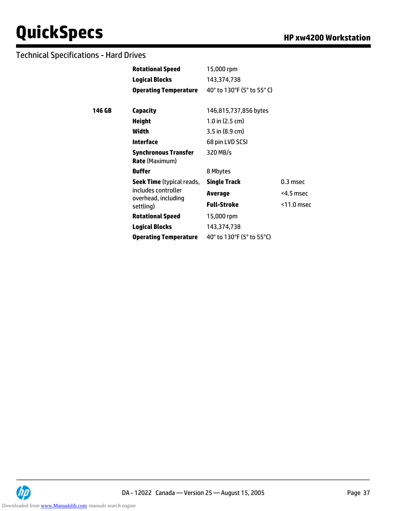### Technical Specifications - Hard Drives

|           | <b>Rotational Speed</b>                              | 15,000 rpm                                                          |               |
|-----------|------------------------------------------------------|---------------------------------------------------------------------|---------------|
|           | <b>Logical Blocks</b>                                | 143,374,738                                                         |               |
|           | <b>Operating Temperature</b>                         | 40° to 130°F (5° to 55° C)                                          |               |
| 146 GB    | Capacity                                             | 146,815,737,856 bytes                                               |               |
|           | <b>Height</b>                                        | $1.0$ in (2.5 cm)                                                   |               |
|           | Width                                                | 3.5 in (8.9 cm)                                                     |               |
|           | Interface                                            | 68 pin LVD SCSI                                                     |               |
|           | <b>Synchronous Transfer</b><br><b>Rate</b> (Maximum) | 320 MB/s                                                            |               |
|           | <b>Buffer</b>                                        | 8 Mbytes                                                            |               |
|           | <b>Seek Time</b> (typical reads,                     | <b>Single Track</b>                                                 | 0.3 msec      |
|           | includes controller<br>overhead, including           | <b>Average</b>                                                      | <4.5 msec     |
| settling) |                                                      | <b>Full-Stroke</b>                                                  | $<$ 11.0 msec |
|           | <b>Rotational Speed</b>                              | 15,000 rpm                                                          |               |
|           | <b>Logical Blocks</b>                                | 143,374,738                                                         |               |
|           | <b>Operating Temperature</b>                         | 40 $^{\circ}$ to 130 $^{\circ}$ F (5 $^{\circ}$ to 55 $^{\circ}$ C) |               |

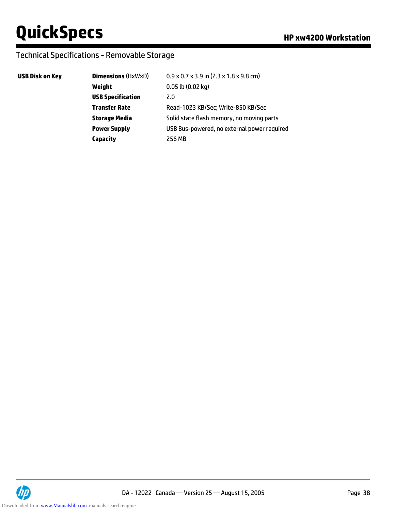### Technical Specifications - Removable Storage

#### **USB Disk on Key**

| <b>Dimensions (HxWxD)</b> | $0.9 \times 0.7 \times 3.9$ in $(2.3 \times 1.8 \times 9.8$ cm) |
|---------------------------|-----------------------------------------------------------------|
| Weight                    | $0.05$ lb $(0.02$ kg)                                           |
| <b>USB Specification</b>  | 2.0                                                             |
| <b>Transfer Rate</b>      | Read-1023 KB/Sec; Write-850 KB/Sec                              |
| <b>Storage Media</b>      | Solid state flash memory, no moving parts                       |
| <b>Power Supply</b>       | USB Bus-powered, no external power required                     |
| Capacity                  | 256 MB                                                          |

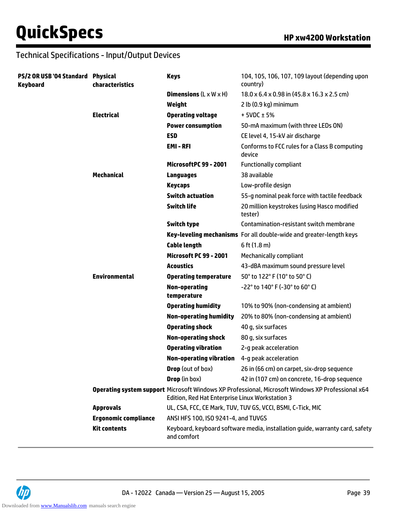| PS/2 OR USB '04 Standard Physical<br><b>Keyboard</b> | characteristics             | <b>Keys</b>                                     | 104, 105, 106, 107, 109 layout (depending upon<br>country)                                        |
|------------------------------------------------------|-----------------------------|-------------------------------------------------|---------------------------------------------------------------------------------------------------|
|                                                      |                             | <b>Dimensions</b> $(L \times W \times H)$       | 18.0 x 6.4 x 0.98 in (45.8 x 16.3 x 2.5 cm)                                                       |
|                                                      |                             | Weight                                          | 2 lb (0.9 kg) minimum                                                                             |
|                                                      | <b>Electrical</b>           | <b>Operating voltage</b>                        | $+5VDC \pm 5%$                                                                                    |
|                                                      |                             | <b>Power consumption</b>                        | 50-mA maximum (with three LEDs ON)                                                                |
|                                                      |                             | <b>ESD</b>                                      | CE level 4, 15-kV air discharge                                                                   |
|                                                      |                             | EMI-RFI                                         | Conforms to FCC rules for a Class B computing<br>device                                           |
|                                                      |                             | MicrosoftPC 99 - 2001                           | <b>Functionally compliant</b>                                                                     |
|                                                      | <b>Mechanical</b>           | <b>Languages</b>                                | 38 available                                                                                      |
|                                                      |                             | <b>Keycaps</b>                                  | Low-profile design                                                                                |
|                                                      |                             | <b>Switch actuation</b>                         | 55-g nominal peak force with tactile feedback                                                     |
|                                                      |                             | <b>Switch life</b>                              | 20 million keystrokes (using Hasco modified<br>tester)                                            |
|                                                      |                             | <b>Switch type</b>                              | Contamination-resistant switch membrane                                                           |
|                                                      |                             |                                                 | Key-leveling mechanisms For all double-wide and greater-length keys                               |
|                                                      |                             | <b>Cable length</b>                             | $6$ ft $(1.8 m)$                                                                                  |
|                                                      |                             | <b>Microsoft PC 99 - 2001</b>                   | <b>Mechanically compliant</b>                                                                     |
|                                                      |                             | <b>Acoustics</b>                                | 43-dBA maximum sound pressure level                                                               |
|                                                      | <b>Environmental</b>        | <b>Operating temperature</b>                    | 50° to 122° F (10° to 50° C)                                                                      |
|                                                      |                             | <b>Non-operating</b><br>temperature             | $-22^{\circ}$ to 140° F (-30° to 60° C)                                                           |
|                                                      |                             | <b>Operating humidity</b>                       | 10% to 90% (non-condensing at ambient)                                                            |
|                                                      |                             | <b>Non-operating humidity</b>                   | 20% to 80% (non-condensing at ambient)                                                            |
|                                                      |                             | <b>Operating shock</b>                          | 40 g, six surfaces                                                                                |
|                                                      |                             | <b>Non-operating shock</b>                      | 80 g, six surfaces                                                                                |
|                                                      |                             | <b>Operating vibration</b>                      | 2-g peak acceleration                                                                             |
|                                                      |                             | <b>Non-operating vibration</b>                  | 4-g peak acceleration                                                                             |
|                                                      |                             | <b>Drop</b> (out of box)                        | 26 in (66 cm) on carpet, six-drop sequence                                                        |
|                                                      |                             | <b>Drop</b> (in box)                            | 42 in (107 cm) on concrete, 16-drop sequence                                                      |
|                                                      |                             | Edition, Red Hat Enterprise Linux Workstation 3 | Operating system support Microsoft Windows XP Professional, Microsoft Windows XP Professional x64 |
|                                                      | <b>Approvals</b>            |                                                 | UL, CSA, FCC, CE Mark, TUV, TUV GS, VCCI, BSMI, C-Tick, MIC                                       |
|                                                      | <b>Ergonomic compliance</b> | ANSI HFS 100, ISO 9241-4, and TUVGS             |                                                                                                   |
|                                                      | <b>Kit contents</b>         | and comfort                                     | Keyboard, keyboard software media, installation guide, warranty card, safety                      |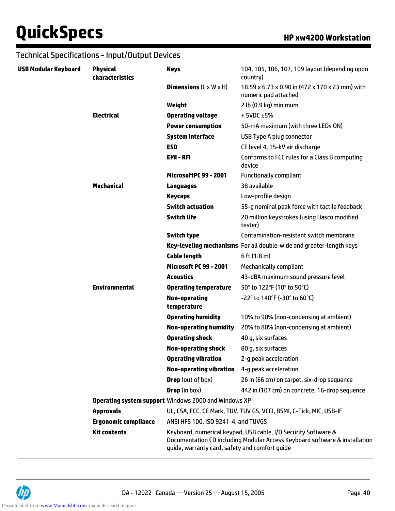| USB Modular Keyboard | <b>Physical</b><br>characteristics | <b>Keys</b>                                                 | 104, 105, 106, 107, 109 layout (depending upon<br>country)                                                                                   |
|----------------------|------------------------------------|-------------------------------------------------------------|----------------------------------------------------------------------------------------------------------------------------------------------|
|                      |                                    | <b>Dimensions</b> $(L \times W \times H)$                   | 18.59 x 6.73 x 0.90 in (472 x 170 x 23 mm) with<br>numeric pad attached                                                                      |
|                      |                                    | Weight                                                      | 2 lb (0.9 kg) minimum                                                                                                                        |
|                      | <b>Electrical</b>                  | <b>Operating voltage</b>                                    | $+5VDC \pm 5%$                                                                                                                               |
|                      |                                    | <b>Power consumption</b>                                    | 50-mA maximum (with three LEDs ON)                                                                                                           |
|                      |                                    | <b>System interface</b>                                     | USB Type A plug connector                                                                                                                    |
|                      |                                    | <b>ESD</b>                                                  | CE level 4, 15-kV air discharge                                                                                                              |
|                      |                                    | <b>EMI-RFI</b>                                              | Conforms to FCC rules for a Class B computing<br>device                                                                                      |
|                      |                                    | MicrosoftPC 99 - 2001                                       | <b>Functionally compliant</b>                                                                                                                |
|                      | <b>Mechanical</b>                  | Languages                                                   | 38 available                                                                                                                                 |
|                      |                                    | <b>Keycaps</b>                                              | Low-profile design                                                                                                                           |
|                      |                                    | <b>Switch actuation</b>                                     | 55-g nominal peak force with tactile feedback                                                                                                |
|                      |                                    | <b>Switch life</b>                                          | 20 million keystrokes (using Hasco modified<br>tester)                                                                                       |
|                      |                                    | <b>Switch type</b>                                          | Contamination-resistant switch membrane                                                                                                      |
|                      |                                    |                                                             | Key-leveling mechanisms For all double-wide and greater-length keys                                                                          |
|                      |                                    | <b>Cable length</b>                                         | $6$ ft $(1.8 \text{ m})$                                                                                                                     |
|                      |                                    | <b>Microsoft PC 99 - 2001</b>                               | <b>Mechanically compliant</b>                                                                                                                |
|                      |                                    | <b>Acoustics</b>                                            | 43-dBA maximum sound pressure level                                                                                                          |
|                      | <b>Environmental</b>               | <b>Operating temperature</b>                                | 50° to 122°F (10° to 50°C)                                                                                                                   |
|                      |                                    | <b>Non-operating</b><br>temperature                         | -22° to 140°F (-30° to 60°C)                                                                                                                 |
|                      |                                    | <b>Operating humidity</b>                                   | 10% to 90% (non-condensing at ambient)                                                                                                       |
|                      |                                    | <b>Non-operating humidity</b>                               | 20% to 80% (non-condensing at ambient)                                                                                                       |
|                      |                                    | <b>Operating shock</b>                                      | 40 g, six surfaces                                                                                                                           |
|                      |                                    | <b>Non-operating shock</b>                                  | 80 g, six surfaces                                                                                                                           |
|                      |                                    | <b>Operating vibration</b>                                  | 2-g peak acceleration                                                                                                                        |
|                      |                                    | <b>Non-operating vibration</b>                              | 4-g peak acceleration                                                                                                                        |
|                      |                                    | <b>Drop</b> (out of box)                                    | 26 in (66 cm) on carpet, six-drop sequence                                                                                                   |
|                      |                                    | <b>Drop</b> (in box)                                        | 442 in (107 cm) on concrete, 16-drop sequence                                                                                                |
|                      |                                    | <b>Operating system support Windows 2000 and Windows XP</b> |                                                                                                                                              |
|                      | <b>Approvals</b>                   |                                                             | UL, CSA, FCC, CE Mark, TUV, TUV GS, VCCI, BSMI, C-Tick, MIC, USB-IF                                                                          |
|                      | <b>Ergonomic compliance</b>        | ANSI HFS 100, ISO 9241-4, and TUVGS                         |                                                                                                                                              |
|                      | <b>Kit contents</b>                | guide, warranty card, safety and comfort guide              | Keyboard, numerical keypad, USB cable, I/O Security Software &<br>Documentation CD including Modular Access Keyboard software & installation |

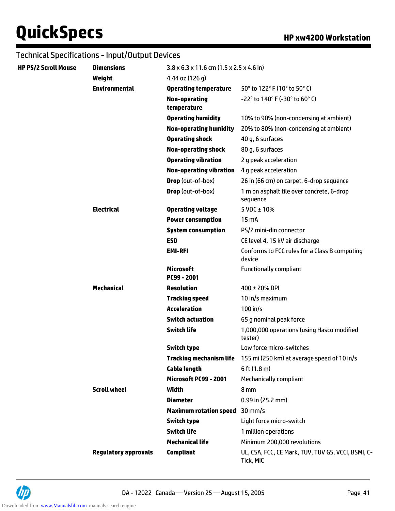| HP PS/2 Scroll Mouse | <b>Dimensions</b>           | $3.8 \times 6.3 \times 11.6$ cm $(1.5 \times 2.5 \times 4.6)$ in |                                                                     |
|----------------------|-----------------------------|------------------------------------------------------------------|---------------------------------------------------------------------|
|                      | Weight                      | 4.44 oz (126 g)                                                  |                                                                     |
|                      | <b>Environmental</b>        | <b>Operating temperature</b>                                     | 50° to 122° F (10° to 50° C)                                        |
|                      |                             | <b>Non-operating</b><br>temperature                              | -22° to 140° F (-30° to 60° C)                                      |
|                      |                             | <b>Operating humidity</b>                                        | 10% to 90% (non-condensing at ambient)                              |
|                      |                             | <b>Non-operating humidity</b>                                    | 20% to 80% (non-condensing at ambient)                              |
|                      |                             | <b>Operating shock</b>                                           | 40 g, 6 surfaces                                                    |
|                      |                             | <b>Non-operating shock</b>                                       | 80 g, 6 surfaces                                                    |
|                      |                             | <b>Operating vibration</b>                                       | 2 g peak acceleration                                               |
|                      |                             | <b>Non-operating vibration</b>                                   | 4 g peak acceleration                                               |
|                      |                             | Drop (out-of-box)                                                | 26 in (66 cm) on carpet, 6-drop sequence                            |
|                      |                             | Drop (out-of-box)                                                | 1 m on asphalt tile over concrete, 6-drop<br>sequence               |
|                      | <b>Electrical</b>           | <b>Operating voltage</b>                                         | 5 VDC $\pm$ 10%                                                     |
|                      |                             | <b>Power consumption</b>                                         | 15 mA                                                               |
|                      |                             | <b>System consumption</b>                                        | PS/2 mini-din connector                                             |
|                      |                             | <b>ESD</b>                                                       | CE level 4, 15 kV air discharge                                     |
|                      |                             | <b>EMI-RFI</b>                                                   | Conforms to FCC rules for a Class B computing<br>device             |
|                      |                             | <b>Microsoft</b><br>PC99 - 2001                                  | <b>Functionally compliant</b>                                       |
|                      | <b>Mechanical</b>           | <b>Resolution</b>                                                | 400 ± 20% DPI                                                       |
|                      |                             | <b>Tracking speed</b>                                            | 10 in/s maximum                                                     |
|                      |                             | <b>Acceleration</b>                                              | $100$ in/s                                                          |
|                      |                             | <b>Switch actuation</b>                                          | 65 g nominal peak force                                             |
|                      |                             | <b>Switch life</b>                                               | 1,000,000 operations (using Hasco modified<br>tester)               |
|                      |                             | Switch type                                                      | Low force micro-switches                                            |
|                      |                             |                                                                  | Tracking mechanism life 155 mi (250 km) at average speed of 10 in/s |
|                      |                             | <b>Cable length</b>                                              | $6$ ft $(1.8 m)$                                                    |
|                      |                             | Microsoft PC99 - 2001                                            | <b>Mechanically compliant</b>                                       |
|                      | <b>Scroll wheel</b>         | Width                                                            | 8 mm                                                                |
|                      |                             | <b>Diameter</b>                                                  | $0.99$ in (25.2 mm)                                                 |
|                      |                             | <b>Maximum rotation speed</b>                                    | $30$ mm/s                                                           |
|                      |                             | <b>Switch type</b>                                               | Light force micro-switch                                            |
|                      |                             | <b>Switch life</b>                                               | 1 million operations                                                |
|                      |                             | <b>Mechanical life</b>                                           | Minimum 200,000 revolutions                                         |
|                      | <b>Regulatory approvals</b> | <b>Compliant</b>                                                 | UL, CSA, FCC, CE Mark, TUV, TUV GS, VCCI, BSMI, C-<br>Tick, MIC     |

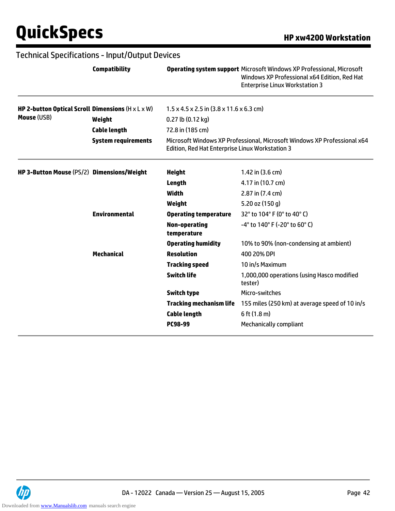|                                                               | <b>Compatibility</b>       |                                                                  | <b>Operating system support Microsoft Windows XP Professional, Microsoft</b><br>Windows XP Professional x64 Edition, Red Hat<br><b>Enterprise Linux Workstation 3</b> |
|---------------------------------------------------------------|----------------------------|------------------------------------------------------------------|-----------------------------------------------------------------------------------------------------------------------------------------------------------------------|
| HP 2-button Optical Scroll Dimensions $(H \times L \times W)$ |                            | $1.5 \times 4.5 \times 2.5$ in $(3.8 \times 11.6 \times 6.3$ cm) |                                                                                                                                                                       |
| Mouse (USB)                                                   | Weight                     | $0.27$ lb $(0.12$ kg)                                            |                                                                                                                                                                       |
|                                                               | <b>Cable length</b>        | 72.8 in (185 cm)                                                 |                                                                                                                                                                       |
|                                                               | <b>System requirements</b> | Edition, Red Hat Enterprise Linux Workstation 3                  | Microsoft Windows XP Professional, Microsoft Windows XP Professional x64                                                                                              |
| HP 3-Button Mouse (PS/2) Dimensions/Weight                    |                            | <b>Height</b>                                                    | 1.42 in $(3.6 \text{ cm})$                                                                                                                                            |
|                                                               |                            | Length                                                           | 4.17 in (10.7 cm)                                                                                                                                                     |
|                                                               |                            | <b>Width</b>                                                     | 2.87 in (7.4 cm)                                                                                                                                                      |
|                                                               |                            | Weight                                                           | 5.20 oz (150 g)                                                                                                                                                       |
|                                                               | <b>Environmental</b>       | <b>Operating temperature</b>                                     | 32° to 104° F (0° to 40° C)                                                                                                                                           |
|                                                               |                            | <b>Non-operating</b><br>temperature                              | $-4^{\circ}$ to 140° F (-20° to 60° C)                                                                                                                                |
|                                                               |                            | <b>Operating humidity</b>                                        | 10% to 90% (non-condensing at ambient)                                                                                                                                |
|                                                               | <b>Mechanical</b>          | <b>Resolution</b>                                                | 400 20% DPI                                                                                                                                                           |
|                                                               |                            | <b>Tracking speed</b>                                            | 10 in/s Maximum                                                                                                                                                       |
|                                                               |                            | <b>Switch life</b>                                               | 1,000,000 operations (using Hasco modified<br>tester)                                                                                                                 |
|                                                               |                            | <b>Switch type</b>                                               | Micro-switches                                                                                                                                                        |
|                                                               |                            | Tracking mechanism life                                          | 155 miles (250 km) at average speed of 10 in/s                                                                                                                        |
|                                                               |                            | Cable length                                                     | $6$ ft $(1.8 m)$                                                                                                                                                      |
|                                                               |                            | <b>PC98-99</b>                                                   | <b>Mechanically compliant</b>                                                                                                                                         |

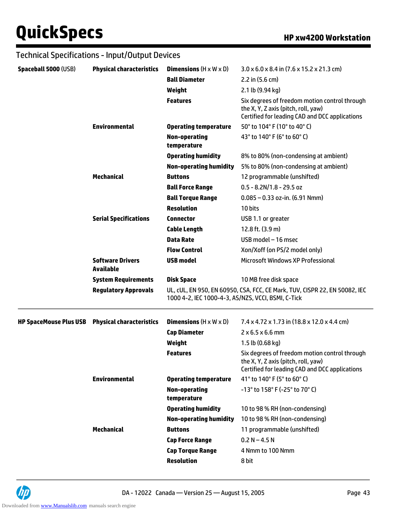|                               | Technical Specifications - Input/Output Devices |                                                                                                                                  |                                                                                                                                        |  |
|-------------------------------|-------------------------------------------------|----------------------------------------------------------------------------------------------------------------------------------|----------------------------------------------------------------------------------------------------------------------------------------|--|
| Spaceball 5000 (USB)          | <b>Physical characteristics</b>                 | <b>Dimensions</b> $(H \times W \times D)$                                                                                        | $3.0 \times 6.0 \times 8.4$ in (7.6 x 15.2 x 21.3 cm)                                                                                  |  |
|                               |                                                 | <b>Ball Diameter</b>                                                                                                             | 2.2 in $(5.6 \text{ cm})$                                                                                                              |  |
|                               |                                                 | Weight                                                                                                                           | 2.1 lb (9.94 kg)                                                                                                                       |  |
|                               |                                                 | <b>Features</b>                                                                                                                  | Six degrees of freedom motion control through<br>the X, Y, Z axis (pitch, roll, yaw)<br>Certified for leading CAD and DCC applications |  |
|                               | <b>Environmental</b>                            | <b>Operating temperature</b>                                                                                                     | 50° to 104° F (10° to 40° C)                                                                                                           |  |
|                               |                                                 | <b>Non-operating</b><br>temperature                                                                                              | 43° to 140° F (6° to 60° C)                                                                                                            |  |
|                               |                                                 | <b>Operating humidity</b>                                                                                                        | 8% to 80% (non-condensing at ambient)                                                                                                  |  |
|                               |                                                 | <b>Non-operating humidity</b>                                                                                                    | 5% to 80% (non-condensing at ambient)                                                                                                  |  |
|                               | <b>Mechanical</b>                               | <b>Buttons</b>                                                                                                                   | 12 programmable (unshifted)                                                                                                            |  |
|                               |                                                 | <b>Ball Force Range</b>                                                                                                          | $0.5 - 8.2N/1.8 - 29.5$ oz                                                                                                             |  |
|                               |                                                 | <b>Ball Torque Range</b>                                                                                                         | $0.085 - 0.33$ oz-in. (6.91 Nmm)                                                                                                       |  |
|                               |                                                 | <b>Resolution</b>                                                                                                                | 10 bits                                                                                                                                |  |
|                               | <b>Serial Specifications</b>                    | <b>Connector</b>                                                                                                                 | USB 1.1 or greater                                                                                                                     |  |
|                               |                                                 | <b>Cable Length</b>                                                                                                              | 12.8 ft. (3.9 m)                                                                                                                       |  |
|                               |                                                 | <b>Data Rate</b>                                                                                                                 | USB model - 16 msec                                                                                                                    |  |
|                               |                                                 | <b>Flow Control</b>                                                                                                              | Xon/Xoff (on PS/2 model only)                                                                                                          |  |
|                               | <b>Software Drivers</b><br><b>Available</b>     | <b>USB model</b>                                                                                                                 | Microsoft Windows XP Professional                                                                                                      |  |
|                               | <b>System Requirements</b>                      | <b>Disk Space</b>                                                                                                                | 10 MB free disk space                                                                                                                  |  |
|                               | <b>Regulatory Approvals</b>                     | UL, CUL, EN 950, EN 60950, CSA, FCC, CE Mark, TUV, CISPR 22, EN 50082, IEC<br>1000 4-2, IEC 1000-4-3, AS/NZS, VCCI, BSMI, C-Tick |                                                                                                                                        |  |
| <b>HP SpaceMouse Plus USB</b> | <b>Physical characteristics</b>                 | <b>Dimensions</b> $(H \times W \times D)$                                                                                        | $7.4 \times 4.72 \times 1.73$ in (18.8 x 12.0 x 4.4 cm)                                                                                |  |
|                               |                                                 | <b>Cap Diameter</b>                                                                                                              | $2 \times 6.5 \times 6.6$ mm                                                                                                           |  |
|                               |                                                 | Weight                                                                                                                           | 1.5 lb (0.68 kg)                                                                                                                       |  |
|                               |                                                 | <b>Features</b>                                                                                                                  | Six degrees of freedom motion control through<br>the X, Y, Z axis (pitch, roll, yaw)<br>Certified for leading CAD and DCC applications |  |
|                               | <b>Environmental</b>                            | <b>Operating temperature</b>                                                                                                     | 41° to 140° F (5° to 60° C)                                                                                                            |  |
|                               |                                                 | <b>Non-operating</b><br>temperature                                                                                              | -13° to 158° F (-25° to 70° C)                                                                                                         |  |
|                               |                                                 | <b>Operating humidity</b>                                                                                                        | 10 to 98 % RH (non-condensing)                                                                                                         |  |
|                               |                                                 | <b>Non-operating humidity</b>                                                                                                    | 10 to 98 % RH (non-condensing)                                                                                                         |  |
|                               | <b>Mechanical</b>                               | <b>Buttons</b>                                                                                                                   | 11 programmable (unshifted)                                                                                                            |  |
|                               |                                                 | <b>Cap Force Range</b>                                                                                                           | $0.2 N - 4.5 N$                                                                                                                        |  |
|                               |                                                 | <b>Cap Torque Range</b>                                                                                                          | 4 Nmm to 100 Nmm                                                                                                                       |  |
|                               |                                                 | <b>Resolution</b>                                                                                                                | 8 bit                                                                                                                                  |  |

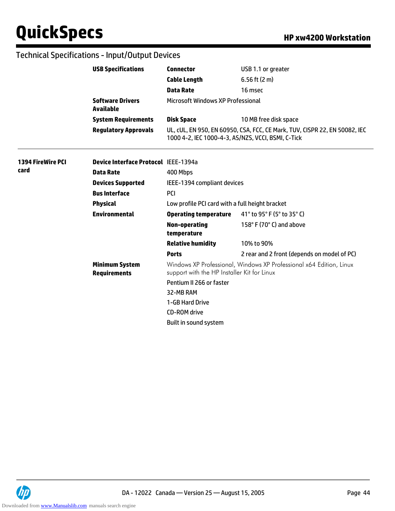|                          | <b>USB Specifications</b>                                                 | <b>Connector</b>                                                                                                   | USB 1.1 or greater                                                         |  |
|--------------------------|---------------------------------------------------------------------------|--------------------------------------------------------------------------------------------------------------------|----------------------------------------------------------------------------|--|
|                          |                                                                           | <b>Cable Length</b>                                                                                                | 6.56 ft $(2 m)$                                                            |  |
|                          |                                                                           | <b>Data Rate</b>                                                                                                   | 16 msec                                                                    |  |
|                          | <b>Software Drivers</b><br><b>Available</b><br><b>System Requirements</b> | Microsoft Windows XP Professional                                                                                  |                                                                            |  |
|                          |                                                                           | <b>Disk Space</b>                                                                                                  | 10 MB free disk space                                                      |  |
|                          | <b>Regulatory Approvals</b>                                               | 1000 4-2, IEC 1000-4-3, AS/NZS, VCCI, BSMI, C-Tick                                                                 | UL, CUL, EN 950, EN 60950, CSA, FCC, CE Mark, TUV, CISPR 22, EN 50082, IEC |  |
| <b>1394 FireWire PCI</b> | <b>Device Interface Protocol IEEE-1394a</b>                               |                                                                                                                    |                                                                            |  |
| card                     | <b>Data Rate</b>                                                          | 400 Mbps                                                                                                           |                                                                            |  |
|                          | <b>Devices Supported</b>                                                  | IEEE-1394 compliant devices                                                                                        |                                                                            |  |
|                          | <b>Bus Interface</b>                                                      | <b>PCI</b>                                                                                                         |                                                                            |  |
|                          | <b>Physical</b>                                                           | Low profile PCI card with a full height bracket                                                                    |                                                                            |  |
|                          | <b>Environmental</b>                                                      | <b>Operating temperature</b>                                                                                       | 41° to 95° F (5° to 35° C)                                                 |  |
|                          |                                                                           | <b>Non-operating</b><br>temperature                                                                                | 158°F (70°C) and above                                                     |  |
|                          |                                                                           | <b>Relative humidity</b>                                                                                           | 10% to 90%                                                                 |  |
|                          |                                                                           | <b>Ports</b>                                                                                                       | 2 rear and 2 front (depends on model of PC)                                |  |
|                          | <b>Minimum System</b><br><b>Requirements</b>                              | Windows XP Professional, Windows XP Professional x64 Edition, Linux<br>support with the HP Installer Kit for Linux |                                                                            |  |
|                          |                                                                           | Pentium II 266 or faster                                                                                           |                                                                            |  |
|                          |                                                                           | 32-MB RAM                                                                                                          |                                                                            |  |
|                          |                                                                           | 1-GB Hard Drive                                                                                                    |                                                                            |  |
|                          |                                                                           | <b>CD-ROM</b> drive                                                                                                |                                                                            |  |
|                          |                                                                           | Built in sound system                                                                                              |                                                                            |  |

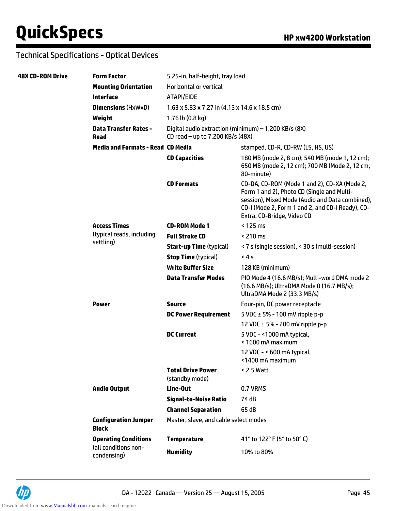| <b>48X CD-ROM Drive</b> | <b>Form Factor</b>                          | 5.25-in, half-height, tray load                                                          |                                                                                                                                                                                                                                 |  |
|-------------------------|---------------------------------------------|------------------------------------------------------------------------------------------|---------------------------------------------------------------------------------------------------------------------------------------------------------------------------------------------------------------------------------|--|
|                         | <b>Mounting Orientation</b>                 | Horizontal or vertical                                                                   |                                                                                                                                                                                                                                 |  |
|                         | <b>Interface</b>                            | ATAPI/EIDE                                                                               |                                                                                                                                                                                                                                 |  |
|                         | <b>Dimensions (HxWxD)</b>                   | $1.63 \times 5.83 \times 7.27$ in (4.13 x 14.6 x 18.5 cm)                                |                                                                                                                                                                                                                                 |  |
|                         | Weight                                      | 1.76 lb $(0.8 \text{ kg})$                                                               |                                                                                                                                                                                                                                 |  |
|                         | <b>Data Transfer Rates -</b><br>Read        | Digital audio extraction (minimum) - 1,200 KB/s (8X)<br>CD read - up to 7,200 KB/s (48X) |                                                                                                                                                                                                                                 |  |
|                         | <b>Media and Formats - Read CD Media</b>    |                                                                                          | stamped, CD-R, CD-RW (LS, HS, US)                                                                                                                                                                                               |  |
|                         |                                             | <b>CD Capacities</b>                                                                     | 180 MB (mode 2, 8 cm); 540 MB (mode 1, 12 cm);<br>650 MB (mode 2, 12 cm); 700 MB (Mode 2, 12 cm,<br>80-minute)                                                                                                                  |  |
|                         |                                             | <b>CD Formats</b>                                                                        | CD-DA, CD-ROM (Mode 1 and 2), CD-XA (Mode 2,<br>Form 1 and 2), Photo CD (Single and Multi-<br>session), Mixed Mode (Audio and Data combined),<br>CD-I (Mode 2, Form 1 and 2, and CD-I Ready), CD-<br>Extra, CD-Bridge, Video CD |  |
|                         | <b>Access Times</b>                         | <b>CD-ROM Mode 1</b>                                                                     | < 125 ms                                                                                                                                                                                                                        |  |
|                         | (typical reads, including                   | <b>Full Stroke CD</b>                                                                    | $< 210 \text{ ms}$                                                                                                                                                                                                              |  |
|                         | settling)                                   | <b>Start-up Time (typical)</b>                                                           | < 7 s (single session), < 30 s (multi-session)                                                                                                                                                                                  |  |
|                         |                                             | <b>Stop Time (typical)</b>                                                               | < 4s                                                                                                                                                                                                                            |  |
|                         |                                             | <b>Write Buffer Size</b>                                                                 | 128 KB (minimum)                                                                                                                                                                                                                |  |
|                         |                                             | <b>Data Transfer Modes</b>                                                               | PIO Mode 4 (16.6 MB/s); Multi-word DMA mode 2<br>(16.6 MB/s); UltraDMA Mode 0 (16.7 MB/s);<br>UltraDMA Mode 2 (33.3 MB/s)                                                                                                       |  |
|                         | <b>Power</b>                                | <b>Source</b>                                                                            | Four-pin, DC power receptacle                                                                                                                                                                                                   |  |
|                         |                                             | <b>DC Power Requirement</b>                                                              | 5 VDC $\pm$ 5% - 100 mV ripple p-p                                                                                                                                                                                              |  |
|                         |                                             |                                                                                          | 12 VDC ± 5% - 200 mV ripple p-p                                                                                                                                                                                                 |  |
|                         |                                             | <b>DC Current</b>                                                                        | 5 VDC - <1000 mA typical,<br>< 1600 mA maximum                                                                                                                                                                                  |  |
|                         |                                             |                                                                                          | 12 VDC - < 600 mA typical,<br><1400 mA maximum                                                                                                                                                                                  |  |
|                         |                                             | <b>Total Drive Power</b><br>(standby mode)                                               | $< 2.5$ Watt                                                                                                                                                                                                                    |  |
|                         | <b>Audio Output</b>                         | Line-Out                                                                                 | 0.7 VRMS                                                                                                                                                                                                                        |  |
|                         |                                             | <b>Signal-to-Noise Ratio</b>                                                             | 74 dB                                                                                                                                                                                                                           |  |
|                         |                                             | <b>Channel Separation</b>                                                                | 65 dB                                                                                                                                                                                                                           |  |
|                         | <b>Configuration Jumper</b><br><b>Block</b> | Master, slave, and cable select modes                                                    |                                                                                                                                                                                                                                 |  |
|                         | <b>Operating Conditions</b>                 | <b>Temperature</b>                                                                       | 41° to 122° F (5° to 50° C)                                                                                                                                                                                                     |  |
|                         | (all conditions non-<br>condensing)         | <b>Humidity</b>                                                                          | 10% to 80%                                                                                                                                                                                                                      |  |

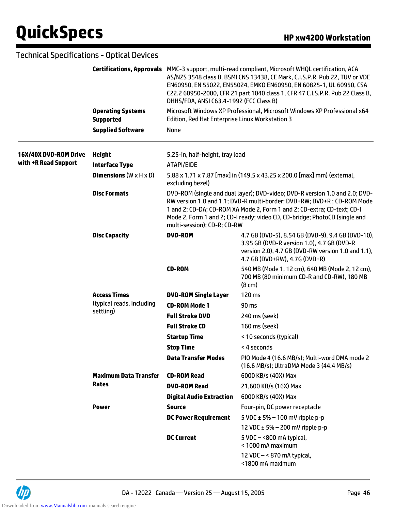|                       | <b>Technical Specifications - Optical Devices</b> |                                                                                                                                                                                                                                                                                                                                               |                                                                                                                                                                                                                                                                                                               |  |
|-----------------------|---------------------------------------------------|-----------------------------------------------------------------------------------------------------------------------------------------------------------------------------------------------------------------------------------------------------------------------------------------------------------------------------------------------|---------------------------------------------------------------------------------------------------------------------------------------------------------------------------------------------------------------------------------------------------------------------------------------------------------------|--|
|                       | <b>Certifications, Approvals</b>                  | DHHS/FDA, ANSI C63.4-1992 (FCC Class B)                                                                                                                                                                                                                                                                                                       | MMC-3 support, multi-read compliant, Microsoft WHQL certification, ACA<br>AS/NZS 3548 class B, BSMI CNS 13438, CE Mark, C.I.S.P.R. Pub 22, TUV or VDE<br>EN60950, EN 55022, EN55024, EMKO EN60950, EN 60825-1, UL 60950, CSA<br>C22.2 60950-2000, CFR 21 part 1040 class 1, CFR 47 C.I.S.P.R. Pub 22 Class B, |  |
|                       | <b>Operating Systems</b><br><b>Supported</b>      | Edition, Red Hat Enterprise Linux Workstation 3                                                                                                                                                                                                                                                                                               | Microsoft Windows XP Professional, Microsoft Windows XP Professional x64                                                                                                                                                                                                                                      |  |
|                       | <b>Supplied Software</b>                          | None                                                                                                                                                                                                                                                                                                                                          |                                                                                                                                                                                                                                                                                                               |  |
| 16X/40X DVD-ROM Drive | <b>Height</b>                                     | 5.25-in, half-height, tray load                                                                                                                                                                                                                                                                                                               |                                                                                                                                                                                                                                                                                                               |  |
| with +R Read Support  | <b>Interface Type</b>                             | ATAPI/EIDE                                                                                                                                                                                                                                                                                                                                    |                                                                                                                                                                                                                                                                                                               |  |
|                       | <b>Dimensions</b> ( $W \times H \times D$ )       | excluding bezel)                                                                                                                                                                                                                                                                                                                              | 5.88 x 1.71 x 7.87 [max] in (149.5 x 43.25 x 200.0 [max] mm) (external,                                                                                                                                                                                                                                       |  |
|                       | <b>Disc Formats</b>                               | DVD-ROM (single and dual layer); DVD-video; DVD-R version 1.0 and 2.0; DVD-<br>RW version 1.0 and 1.1; DVD-R multi-border; DVD+RW; DVD+R; CD-ROM Mode<br>1 and 2; CD-DA; CD-ROM XA Mode 2, Form 1 and 2; CD-extra; CD-text; CD-I<br>Mode 2, Form 1 and 2; CD-I ready; video CD, CD-bridge; PhotoCD (single and<br>multi-session); CD-R; CD-RW |                                                                                                                                                                                                                                                                                                               |  |
|                       | <b>Disc Capacity</b>                              | <b>DVD-ROM</b>                                                                                                                                                                                                                                                                                                                                | 4.7 GB (DVD-5), 8.54 GB (DVD-9), 9.4 GB (DVD-10),<br>3.95 GB (DVD-R version 1.0), 4.7 GB (DVD-R<br>version 2.0), 4.7 GB (DVD-RW version 1.0 and 1.1),<br>4.7 GB (DVD+RW), 4.7G (DVD+R)                                                                                                                        |  |
|                       |                                                   | <b>CD-ROM</b>                                                                                                                                                                                                                                                                                                                                 | 540 MB (Mode 1, 12 cm), 640 MB (Mode 2, 12 cm),<br>700 MB (80 minimum CD-R and CD-RW), 180 MB<br>$(8 \text{ cm})$                                                                                                                                                                                             |  |
|                       | <b>Access Times</b>                               | <b>DVD-ROM Single Layer</b>                                                                                                                                                                                                                                                                                                                   | 120 ms                                                                                                                                                                                                                                                                                                        |  |
|                       | (typical reads, including                         | <b>CD-ROM Mode 1</b>                                                                                                                                                                                                                                                                                                                          | 90 ms                                                                                                                                                                                                                                                                                                         |  |
|                       | settling)                                         | <b>Full Stroke DVD</b>                                                                                                                                                                                                                                                                                                                        | 240 ms (seek)                                                                                                                                                                                                                                                                                                 |  |
|                       |                                                   | <b>Full Stroke CD</b>                                                                                                                                                                                                                                                                                                                         | 160 ms (seek)                                                                                                                                                                                                                                                                                                 |  |
|                       |                                                   | <b>Startup Time</b>                                                                                                                                                                                                                                                                                                                           | < 10 seconds (typical)                                                                                                                                                                                                                                                                                        |  |
|                       |                                                   | <b>Stop Time</b>                                                                                                                                                                                                                                                                                                                              | < 4 seconds                                                                                                                                                                                                                                                                                                   |  |
|                       |                                                   | <b>Data Transfer Modes</b>                                                                                                                                                                                                                                                                                                                    | PIO Mode 4 (16.6 MB/s); Multi-word DMA mode 2<br>(16.6 MB/s); UltraDMA Mode 3 (44.4 MB/s)                                                                                                                                                                                                                     |  |
|                       | <b>Maximum Data Transfer</b>                      | <b>CD-ROM Read</b>                                                                                                                                                                                                                                                                                                                            | 6000 KB/s (40X) Max                                                                                                                                                                                                                                                                                           |  |
|                       | <b>Rates</b>                                      | <b>DVD-ROM Read</b>                                                                                                                                                                                                                                                                                                                           | 21,600 KB/s (16X) Max                                                                                                                                                                                                                                                                                         |  |
|                       |                                                   | <b>Digital Audio Extraction</b>                                                                                                                                                                                                                                                                                                               | 6000 KB/s (40X) Max                                                                                                                                                                                                                                                                                           |  |
|                       | <b>Power</b>                                      | <b>Source</b>                                                                                                                                                                                                                                                                                                                                 | Four-pin, DC power receptacle                                                                                                                                                                                                                                                                                 |  |
|                       |                                                   | <b>DC Power Requirement</b>                                                                                                                                                                                                                                                                                                                   | 5 VDC $\pm$ 5% – 100 mV ripple p-p                                                                                                                                                                                                                                                                            |  |
|                       |                                                   |                                                                                                                                                                                                                                                                                                                                               | 12 VDC $\pm$ 5% – 200 mV ripple p-p                                                                                                                                                                                                                                                                           |  |
|                       |                                                   | <b>DC Current</b>                                                                                                                                                                                                                                                                                                                             | 5 VDC $-$ <800 mA typical,<br>< 1000 mA maximum                                                                                                                                                                                                                                                               |  |
|                       |                                                   |                                                                                                                                                                                                                                                                                                                                               | 12 VDC $-$ < 870 mA typical,<br><1800 mA maximum                                                                                                                                                                                                                                                              |  |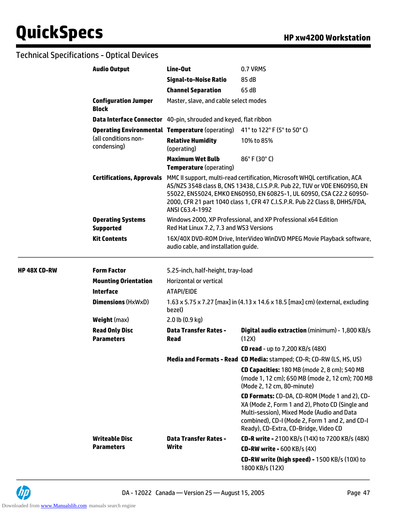|              | <b>Audio Output</b>                          | Line-Out                                                                           | 0.7 VRMS                                                                                                                                                                                                                                                                                                        |
|--------------|----------------------------------------------|------------------------------------------------------------------------------------|-----------------------------------------------------------------------------------------------------------------------------------------------------------------------------------------------------------------------------------------------------------------------------------------------------------------|
|              |                                              | <b>Signal-to-Noise Ratio</b>                                                       | 85 dB                                                                                                                                                                                                                                                                                                           |
|              |                                              | <b>Channel Separation</b>                                                          | 65 dB                                                                                                                                                                                                                                                                                                           |
|              | <b>Configuration Jumper</b><br><b>Block</b>  | Master, slave, and cable select modes                                              |                                                                                                                                                                                                                                                                                                                 |
|              |                                              | Data Interface Connector 40-pin, shrouded and keyed, flat ribbon                   |                                                                                                                                                                                                                                                                                                                 |
|              |                                              | <b>Operating Environmental Temperature</b> (operating) 41° to 122° F (5° to 50° C) |                                                                                                                                                                                                                                                                                                                 |
|              | (all conditions non-<br>condensing)          | <b>Relative Humidity</b><br>(operating)                                            | 10% to 85%                                                                                                                                                                                                                                                                                                      |
|              |                                              | <b>Maximum Wet Bulb</b><br><b>Temperature</b> (operating)                          | 86°F (30°C)                                                                                                                                                                                                                                                                                                     |
|              | <b>Certifications, Approvals</b>             | ANSI C63.4-1992                                                                    | MMC II support, multi-read certification, Microsoft WHQL certification, ACA<br>AS/NZS 3548 class B, CNS 13438, C.I.S.P.R. Pub 22, TUV or VDE EN60950, EN<br>55022, EN55024, EMKO EN60950, EN 60825-1, UL 60950, CSA C22.2 60950-<br>2000, CFR 21 part 1040 class 1, CFR 47 C.I.S.P.R. Pub 22 Class B, DHHS/FDA, |
|              | <b>Operating Systems</b><br><b>Supported</b> | Red Hat Linux 7.2, 7.3 and WS3 Versions                                            | Windows 2000, XP Professional, and XP Professional x64 Edition                                                                                                                                                                                                                                                  |
|              | <b>Kit Contents</b>                          | audio cable, and installation guide.                                               | 16X/40X DVD-ROM Drive, InterVideo WinDVD MPEG Movie Playback software,                                                                                                                                                                                                                                          |
| HP 48X CD-RW | <b>Form Factor</b>                           | 5.25-inch, half-height, tray-load                                                  |                                                                                                                                                                                                                                                                                                                 |
|              | <b>Mounting Orientation</b>                  | <b>Horizontal or vertical</b>                                                      |                                                                                                                                                                                                                                                                                                                 |
|              | <b>Interface</b>                             | ATAPI/EIDE                                                                         |                                                                                                                                                                                                                                                                                                                 |
|              | <b>Dimensions (HxWxD)</b>                    | bezel)                                                                             | 1.63 x 5.75 x 7.27 [max] in (4.13 x 14.6 x 18.5 [max] cm) (external, excluding                                                                                                                                                                                                                                  |
|              | <b>Weight (max)</b>                          | 2.0 lb (0.9 kg)                                                                    |                                                                                                                                                                                                                                                                                                                 |
|              | <b>Read Only Disc</b><br><b>Parameters</b>   | <b>Data Transfer Rates -</b><br><b>Read</b>                                        | Digital audio extraction (minimum) - 1,800 KB/s<br>(12X)                                                                                                                                                                                                                                                        |
|              |                                              |                                                                                    | <b>CD read - up to 7,200 KB/s (48X)</b>                                                                                                                                                                                                                                                                         |
|              |                                              |                                                                                    | Media and Formats - Read CD Media: stamped; CD-R; CD-RW (LS, HS, US)                                                                                                                                                                                                                                            |
|              |                                              |                                                                                    | CD Capacities: 180 MB (mode 2, 8 cm); 540 MB<br>(mode 1, 12 cm); 650 MB (mode 2, 12 cm); 700 MB<br>(Mode 2, 12 cm, 80-minute)                                                                                                                                                                                   |
|              |                                              |                                                                                    | CD Formats: CD-DA, CD-ROM (Mode 1 and 2), CD-<br>XA (Mode 2, Form 1 and 2), Photo CD (Single and<br>Multi-session), Mixed Mode (Audio and Data<br>combined), CD-I (Mode 2, Form 1 and 2, and CD-I<br>Ready), CD-Extra, CD-Bridge, Video CD                                                                      |
|              | <b>Writeable Disc</b>                        | <b>Data Transfer Rates -</b><br>Write                                              | <b>CD-R write - 2100 KB/s (14X) to 7200 KB/s (48X)</b>                                                                                                                                                                                                                                                          |
|              | <b>Parameters</b>                            |                                                                                    | <b>CD-RW write - 600 KB/s (4X)</b>                                                                                                                                                                                                                                                                              |
|              |                                              |                                                                                    | <b>CD-RW write (high speed) - 1500 KB/s (10X) to</b><br>1800 KB/s (12X)                                                                                                                                                                                                                                         |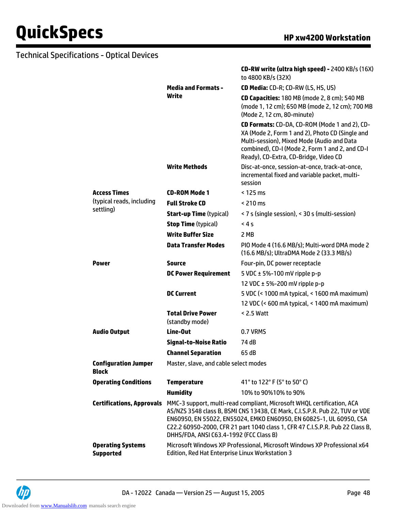|                                              |                                                                                                                             | CD-RW write (ultra high speed) - 2400 KB/s (16X)<br>to 4800 KB/s (32X)                                                                                                                                                                                                                                        |  |
|----------------------------------------------|-----------------------------------------------------------------------------------------------------------------------------|---------------------------------------------------------------------------------------------------------------------------------------------------------------------------------------------------------------------------------------------------------------------------------------------------------------|--|
|                                              | <b>Media and Formats -</b>                                                                                                  | CD Media: CD-R; CD-RW (LS, HS, US)                                                                                                                                                                                                                                                                            |  |
|                                              | Write                                                                                                                       | CD Capacities: 180 MB (mode 2, 8 cm); 540 MB<br>(mode 1, 12 cm); 650 MB (mode 2, 12 cm); 700 MB<br>(Mode 2, 12 cm, 80-minute)                                                                                                                                                                                 |  |
|                                              |                                                                                                                             | CD Formats: CD-DA, CD-ROM (Mode 1 and 2), CD-<br>XA (Mode 2, Form 1 and 2), Photo CD (Single and<br>Multi-session), Mixed Mode (Audio and Data<br>combined), CD-I (Mode 2, Form 1 and 2, and CD-I<br>Ready), CD-Extra, CD-Bridge, Video CD                                                                    |  |
|                                              | <b>Write Methods</b>                                                                                                        | Disc-at-once, session-at-once, track-at-once,<br>incremental fixed and variable packet, multi-<br>session                                                                                                                                                                                                     |  |
| <b>Access Times</b>                          | <b>CD-ROM Mode 1</b>                                                                                                        | < 125 ms                                                                                                                                                                                                                                                                                                      |  |
| (typical reads, including                    | <b>Full Stroke CD</b>                                                                                                       | $< 210$ ms                                                                                                                                                                                                                                                                                                    |  |
| settling)                                    | <b>Start-up Time (typical)</b>                                                                                              | < 7 s (single session), < 30 s (multi-session)                                                                                                                                                                                                                                                                |  |
|                                              | <b>Stop Time (typical)</b>                                                                                                  | 4s                                                                                                                                                                                                                                                                                                            |  |
|                                              | <b>Write Buffer Size</b>                                                                                                    | 2 MB                                                                                                                                                                                                                                                                                                          |  |
|                                              | <b>Data Transfer Modes</b>                                                                                                  | PIO Mode 4 (16.6 MB/s); Multi-word DMA mode 2<br>(16.6 MB/s); UltraDMA Mode 2 (33.3 MB/s)                                                                                                                                                                                                                     |  |
| <b>Power</b>                                 | <b>Source</b>                                                                                                               | Four-pin, DC power receptacle                                                                                                                                                                                                                                                                                 |  |
|                                              | <b>DC Power Requirement</b>                                                                                                 | 5 VDC $\pm$ 5%-100 mV ripple p-p                                                                                                                                                                                                                                                                              |  |
|                                              |                                                                                                                             | 12 VDC ± 5%-200 mV ripple p-p                                                                                                                                                                                                                                                                                 |  |
|                                              | <b>DC Current</b>                                                                                                           | 5 VDC (< 1000 mA typical, < 1600 mA maximum)                                                                                                                                                                                                                                                                  |  |
|                                              |                                                                                                                             | 12 VDC (< 600 mA typical, < 1400 mA maximum)                                                                                                                                                                                                                                                                  |  |
|                                              | <b>Total Drive Power</b><br>(standby mode)                                                                                  | < 2.5 Watt                                                                                                                                                                                                                                                                                                    |  |
| <b>Audio Output</b>                          | Line-Out                                                                                                                    | 0.7 VRMS                                                                                                                                                                                                                                                                                                      |  |
|                                              | <b>Signal-to-Noise Ratio</b>                                                                                                | 74 dB                                                                                                                                                                                                                                                                                                         |  |
|                                              | <b>Channel Separation</b>                                                                                                   | 65 dB                                                                                                                                                                                                                                                                                                         |  |
| <b>Configuration Jumper</b><br><b>Block</b>  | Master, slave, and cable select modes                                                                                       |                                                                                                                                                                                                                                                                                                               |  |
| <b>Operating Conditions</b>                  | <b>Temperature</b>                                                                                                          | 41° to 122° F (5° to 50° C)                                                                                                                                                                                                                                                                                   |  |
|                                              | <b>Humidity</b>                                                                                                             | 10% to 90%10% to 90%                                                                                                                                                                                                                                                                                          |  |
| <b>Certifications, Approvals</b>             | DHHS/FDA, ANSI C63.4-1992 (FCC Class B)                                                                                     | MMC-3 support, multi-read compliant, Microsoft WHQL certification, ACA<br>AS/NZS 3548 class B, BSMI CNS 13438, CE Mark, C.I.S.P.R. Pub 22, TUV or VDE<br>EN60950, EN 55022, EN55024, EMKO EN60950, EN 60825-1, UL 60950, CSA<br>C22.2 60950-2000, CFR 21 part 1040 class 1, CFR 47 C.I.S.P.R. Pub 22 Class B, |  |
| <b>Operating Systems</b><br><b>Supported</b> | Microsoft Windows XP Professional, Microsoft Windows XP Professional x64<br>Edition, Red Hat Enterprise Linux Workstation 3 |                                                                                                                                                                                                                                                                                                               |  |

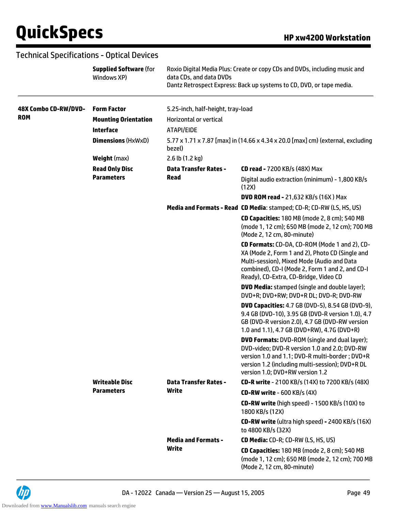### Technical Specifications - Optical Devices

|                      | <b>Supplied Software (for</b><br>Windows XP) | data CDs, and data DVDs           | Roxio Digital Media Plus: Create or copy CDs and DVDs, including music and<br>Dantz Retrospect Express: Back up systems to CD, DVD, or tape media.                                                                                           |
|----------------------|----------------------------------------------|-----------------------------------|----------------------------------------------------------------------------------------------------------------------------------------------------------------------------------------------------------------------------------------------|
| 48X Combo CD-RW/DVD- | <b>Form Factor</b>                           | 5.25-inch, half-height, tray-load |                                                                                                                                                                                                                                              |
| <b>ROM</b>           | <b>Mounting Orientation</b>                  | <b>Horizontal or vertical</b>     |                                                                                                                                                                                                                                              |
|                      | <b>Interface</b>                             | ATAPI/EIDE                        |                                                                                                                                                                                                                                              |
|                      | <b>Dimensions (HxWxD)</b>                    | bezel)                            | 5.77 x 1.71 x 7.87 [max] in (14.66 x 4.34 x 20.0 [max] cm) (external, excluding                                                                                                                                                              |
|                      | <b>Weight</b> (max)                          | 2.6 lb (1.2 kg)                   |                                                                                                                                                                                                                                              |
|                      | <b>Read Only Disc</b>                        | <b>Data Transfer Rates -</b>      | <b>CD read - 7200 KB/s (48X) Max</b>                                                                                                                                                                                                         |
|                      | <b>Parameters</b>                            | Read                              | Digital audio extraction (minimum) - 1,800 KB/s<br>(12X)                                                                                                                                                                                     |
|                      |                                              |                                   | <b>DVD ROM read - 21,632 KB/s (16X) Max</b>                                                                                                                                                                                                  |
|                      |                                              |                                   | Media and Formats - Read CD Media: stamped; CD-R; CD-RW (LS, HS, US)                                                                                                                                                                         |
|                      |                                              |                                   | CD Capacities: 180 MB (mode 2, 8 cm); 540 MB<br>(mode 1, 12 cm); 650 MB (mode 2, 12 cm); 700 MB<br>(Mode 2, 12 cm, 80-minute)                                                                                                                |
|                      |                                              |                                   | CD Formats: CD-DA, CD-ROM (Mode 1 and 2), CD-<br>XA (Mode 2, Form 1 and 2), Photo CD (Single and<br>Multi-session), Mixed Mode (Audio and Data<br>combined), CD-I (Mode 2, Form 1 and 2, and CD-I<br>Ready), CD-Extra, CD-Bridge, Video CD   |
|                      |                                              |                                   | <b>DVD Media:</b> stamped (single and double layer);<br>DVD+R; DVD+RW; DVD+R DL; DVD-R; DVD-RW                                                                                                                                               |
|                      |                                              |                                   | <b>DVD Capacities:</b> 4.7 GB (DVD-5), 8.54 GB (DVD-9),<br>9.4 GB (DVD-10), 3.95 GB (DVD-R version 1.0), 4.7<br>GB (DVD-R version 2.0), 4.7 GB (DVD-RW version<br>1.0 and 1.1), 4.7 GB (DVD+RW), 4.7G (DVD+R)                                |
|                      |                                              |                                   | <b>DVD Formats: DVD-ROM</b> (single and dual layer);<br>DVD-video; DVD-R version 1.0 and 2.0; DVD-RW<br>version 1.0 and 1.1; DVD-R multi-border; DVD+R<br>version 1.2 (including multi-session); DVD+R DL<br>version 1.0; DVD+RW version 1.2 |
|                      | <b>Writeable Disc</b>                        | <b>Data Transfer Rates -</b>      | <b>CD-R write - 2100 KB/s (14X) to 7200 KB/s (48X)</b>                                                                                                                                                                                       |
|                      | <b>Parameters</b>                            | Write                             | <b>CD-RW write - 600 KB/s (4X)</b>                                                                                                                                                                                                           |
|                      |                                              |                                   | CD-RW write (high speed) - 1500 KB/s (10X) to<br>1800 KB/s (12X)                                                                                                                                                                             |
|                      |                                              |                                   | <b>CD-RW write</b> (ultra high speed) - 2400 KB/s (16X)<br>to 4800 KB/s (32X)                                                                                                                                                                |
|                      |                                              | <b>Media and Formats -</b>        | CD Media: CD-R; CD-RW (LS, HS, US)                                                                                                                                                                                                           |
|                      |                                              | Write                             | CD Capacities: 180 MB (mode 2, 8 cm); 540 MB<br>(mode 1, 12 cm); 650 MB (mode 2, 12 cm); 700 MB<br>(Mode 2, 12 cm, 80-minute)                                                                                                                |

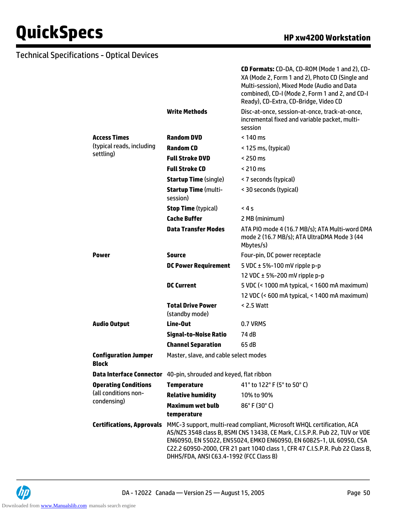|                                             |                                                                                                                                                                                                                                                                                                                                                          | <b>CD Formats:</b> CD-DA, CD-ROM (Mode 1 and 2), CD-<br>XA (Mode 2, Form 1 and 2), Photo CD (Single and<br>Multi-session), Mixed Mode (Audio and Data<br>combined), CD-I (Mode 2, Form 1 and 2, and CD-I<br>Ready), CD-Extra, CD-Bridge, Video CD |
|---------------------------------------------|----------------------------------------------------------------------------------------------------------------------------------------------------------------------------------------------------------------------------------------------------------------------------------------------------------------------------------------------------------|---------------------------------------------------------------------------------------------------------------------------------------------------------------------------------------------------------------------------------------------------|
|                                             | <b>Write Methods</b>                                                                                                                                                                                                                                                                                                                                     | Disc-at-once, session-at-once, track-at-once,<br>incremental fixed and variable packet, multi-<br>session                                                                                                                                         |
| <b>Access Times</b>                         | <b>Random DVD</b>                                                                                                                                                                                                                                                                                                                                        | $< 140 \text{ ms}$                                                                                                                                                                                                                                |
| (typical reads, including                   | <b>Random CD</b>                                                                                                                                                                                                                                                                                                                                         | < 125 ms, (typical)                                                                                                                                                                                                                               |
| settling)                                   | <b>Full Stroke DVD</b>                                                                                                                                                                                                                                                                                                                                   | $<$ 250 ms                                                                                                                                                                                                                                        |
|                                             | <b>Full Stroke CD</b>                                                                                                                                                                                                                                                                                                                                    | $< 210 \text{ ms}$                                                                                                                                                                                                                                |
|                                             | <b>Startup Time (single)</b>                                                                                                                                                                                                                                                                                                                             | < 7 seconds (typical)                                                                                                                                                                                                                             |
|                                             | <b>Startup Time (multi-</b><br>session)                                                                                                                                                                                                                                                                                                                  | < 30 seconds (typical)                                                                                                                                                                                                                            |
|                                             | <b>Stop Time (typical)</b>                                                                                                                                                                                                                                                                                                                               | 4s                                                                                                                                                                                                                                                |
|                                             | <b>Cache Buffer</b>                                                                                                                                                                                                                                                                                                                                      | 2 MB (minimum)                                                                                                                                                                                                                                    |
|                                             | <b>Data Transfer Modes</b>                                                                                                                                                                                                                                                                                                                               | ATA PIO mode 4 (16.7 MB/s); ATA Multi-word DMA<br>mode 2 (16.7 MB/s); ATA UltraDMA Mode 3 (44<br>Mbytes/s)                                                                                                                                        |
| <b>Power</b>                                | Source                                                                                                                                                                                                                                                                                                                                                   | Four-pin, DC power receptacle                                                                                                                                                                                                                     |
|                                             | <b>DC Power Requirement</b>                                                                                                                                                                                                                                                                                                                              | 5 VDC $\pm$ 5%-100 mV ripple p-p                                                                                                                                                                                                                  |
|                                             |                                                                                                                                                                                                                                                                                                                                                          | 12 VDC $\pm$ 5%-200 mV ripple p-p                                                                                                                                                                                                                 |
|                                             | <b>DC Current</b>                                                                                                                                                                                                                                                                                                                                        | 5 VDC (< 1000 mA typical, < 1600 mA maximum)                                                                                                                                                                                                      |
|                                             |                                                                                                                                                                                                                                                                                                                                                          | 12 VDC (< 600 mA typical, < 1400 mA maximum)                                                                                                                                                                                                      |
|                                             | <b>Total Drive Power</b><br>(standby mode)                                                                                                                                                                                                                                                                                                               | $< 2.5$ Watt                                                                                                                                                                                                                                      |
| <b>Audio Output</b>                         | Line-Out                                                                                                                                                                                                                                                                                                                                                 | 0.7 VRMS                                                                                                                                                                                                                                          |
|                                             | <b>Signal-to-Noise Ratio</b>                                                                                                                                                                                                                                                                                                                             | 74 dB                                                                                                                                                                                                                                             |
|                                             | <b>Channel Separation</b>                                                                                                                                                                                                                                                                                                                                | 65 dB                                                                                                                                                                                                                                             |
| <b>Configuration Jumper</b><br><b>Block</b> | Master, slave, and cable select modes                                                                                                                                                                                                                                                                                                                    |                                                                                                                                                                                                                                                   |
| <b>Data Interface Connector</b>             | 40-pin, shrouded and keyed, flat ribbon                                                                                                                                                                                                                                                                                                                  |                                                                                                                                                                                                                                                   |
| <b>Operating Conditions</b>                 | <b>Temperature</b>                                                                                                                                                                                                                                                                                                                                       | 41° to 122° F (5° to 50° C)                                                                                                                                                                                                                       |
| (all conditions non-<br>condensing)         | <b>Relative humidity</b>                                                                                                                                                                                                                                                                                                                                 | 10% to 90%                                                                                                                                                                                                                                        |
|                                             | <b>Maximum wet bulb</b><br>temperature                                                                                                                                                                                                                                                                                                                   | $86^{\circ}$ F (30 $^{\circ}$ C)                                                                                                                                                                                                                  |
| <b>Certifications, Approvals</b>            | MMC-3 support, multi-read compliant, Microsoft WHQL certification, ACA<br>AS/NZS 3548 class B, BSMI CNS 13438, CE Mark, C.I.S.P.R. Pub 22, TUV or VDE<br>EN60950, EN 55022, EN55024, EMKO EN60950, EN 60825-1, UL 60950, CSA<br>C22.2 60950-2000, CFR 21 part 1040 class 1, CFR 47 C.I.S.P.R. Pub 22 Class B,<br>DHHS/FDA, ANSI C63.4-1992 (FCC Class B) |                                                                                                                                                                                                                                                   |

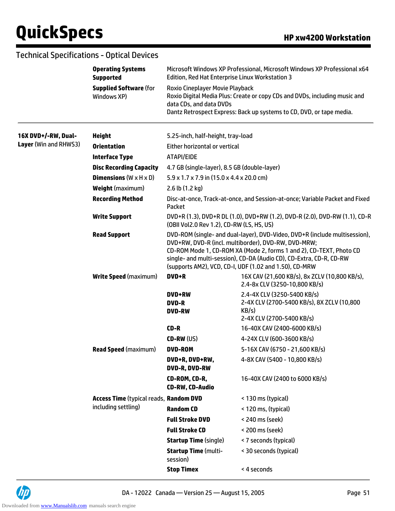|                       | <b>Technical Specifications - Optical Devices</b> |                                                                                       |                                                                                                                                                                                                                                                                                                                                           |  |
|-----------------------|---------------------------------------------------|---------------------------------------------------------------------------------------|-------------------------------------------------------------------------------------------------------------------------------------------------------------------------------------------------------------------------------------------------------------------------------------------------------------------------------------------|--|
|                       | <b>Operating Systems</b><br><b>Supported</b>      | Edition, Red Hat Enterprise Linux Workstation 3                                       | Microsoft Windows XP Professional, Microsoft Windows XP Professional x64                                                                                                                                                                                                                                                                  |  |
|                       | <b>Supplied Software (for</b><br>Windows XP)      | <b>Roxio Cineplayer Movie Playback</b><br>data CDs, and data DVDs                     | Roxio Digital Media Plus: Create or copy CDs and DVDs, including music and<br>Dantz Retrospect Express: Back up systems to CD, DVD, or tape media.                                                                                                                                                                                        |  |
| 16X DVD+/-RW, Dual-   | <b>Height</b>                                     | 5.25-inch, half-height, tray-load                                                     |                                                                                                                                                                                                                                                                                                                                           |  |
| Layer (Win and RHWS3) | <b>Orientation</b>                                | Either horizontal or vertical                                                         |                                                                                                                                                                                                                                                                                                                                           |  |
|                       | <b>Interface Type</b>                             | ATAPI/EIDE                                                                            |                                                                                                                                                                                                                                                                                                                                           |  |
|                       | <b>Disc Recording Capacity</b>                    | 4.7 GB (single-layer), 8.5 GB (double-layer)                                          |                                                                                                                                                                                                                                                                                                                                           |  |
|                       | <b>Dimensions</b> ( $W \times H \times D$ )       | $5.9 \times 1.7 \times 7.9$ in (15.0 x 4.4 x 20.0 cm)                                 |                                                                                                                                                                                                                                                                                                                                           |  |
|                       | <b>Weight (maximum)</b>                           | 2.6 lb (1.2 kg)                                                                       |                                                                                                                                                                                                                                                                                                                                           |  |
|                       | <b>Recording Method</b>                           | Disc-at-once, Track-at-once, and Session-at-once; Variable Packet and Fixed<br>Packet |                                                                                                                                                                                                                                                                                                                                           |  |
|                       | <b>Write Support</b>                              | (OBII Vol2.0 Rev 1.2), CD-RW (LS, HS, US)                                             | DVD+R (1.3), DVD+R DL (1.0), DVD+RW (1.2), DVD-R (2.0), DVD-RW (1.1), CD-R                                                                                                                                                                                                                                                                |  |
|                       | <b>Read Support</b>                               |                                                                                       | DVD-ROM (single- and dual-layer), DVD-Video, DVD+R (include multisession),<br>DVD+RW, DVD-R (incl. multiborder), DVD-RW, DVD-MRW;<br>CD-ROM Mode 1, CD-ROM XA (Mode 2, forms 1 and 2), CD-TEXT, Photo CD<br>single- and multi-session), CD-DA (Audio CD), CD-Extra, CD-R, CD-RW<br>(supports AM2), VCD, CD-I, UDF (1.02 and 1.50), CD-MRW |  |
|                       | <b>Write Speed (maximum)</b>                      | DVD+R                                                                                 | 16X CAV (21,600 KB/s), 8x ZCLV (10,800 KB/s),<br>2.4-8x CLV (3250-10,800 KB/s)                                                                                                                                                                                                                                                            |  |
|                       |                                                   | <b>DVD+RW</b><br><b>DVD-R</b><br><b>DVD-RW</b>                                        | 2.4-4X CLV (3250-5400 KB/s)<br>2-4X CLV (2700-5400 KB/s), 8X ZCLV (10,800<br>KB/s)<br>2-4X CLV (2700-5400 KB/s)                                                                                                                                                                                                                           |  |
|                       |                                                   | CD-R                                                                                  | 16-40X CAV (2400-6000 KB/s)                                                                                                                                                                                                                                                                                                               |  |
|                       |                                                   | $CD-RW$ (US)                                                                          | 4-24X CLV (600-3600 KB/s)                                                                                                                                                                                                                                                                                                                 |  |
|                       | <b>Read Speed (maximum)</b>                       | <b>DVD-ROM</b>                                                                        | 5-16X CAV (6750 - 21,600 KB/s)                                                                                                                                                                                                                                                                                                            |  |
|                       |                                                   | DVD+R, DVD+RW,<br>DVD-R, DVD-RW                                                       | 4-8X CAV (5400 - 10,800 KB/s)                                                                                                                                                                                                                                                                                                             |  |
|                       |                                                   | CD-ROM, CD-R,<br><b>CD-RW, CD-Audio</b>                                               | 16-40X CAV (2400 to 6000 KB/s)                                                                                                                                                                                                                                                                                                            |  |
|                       | Access Time (typical reads, Random DVD            |                                                                                       | < 130 ms (typical)                                                                                                                                                                                                                                                                                                                        |  |
|                       | including settling)                               | <b>Random CD</b>                                                                      | < 120 ms, (typical)                                                                                                                                                                                                                                                                                                                       |  |
|                       |                                                   | <b>Full Stroke DVD</b>                                                                | < 240 ms (seek)                                                                                                                                                                                                                                                                                                                           |  |
|                       |                                                   | <b>Full Stroke CD</b>                                                                 | < 200 ms (seek)                                                                                                                                                                                                                                                                                                                           |  |
|                       |                                                   | <b>Startup Time (single)</b>                                                          | < 7 seconds (typical)                                                                                                                                                                                                                                                                                                                     |  |
|                       |                                                   | <b>Startup Time (multi-</b><br>session)                                               | < 30 seconds (typical)                                                                                                                                                                                                                                                                                                                    |  |
|                       |                                                   | <b>Stop Timex</b>                                                                     | < 4 seconds                                                                                                                                                                                                                                                                                                                               |  |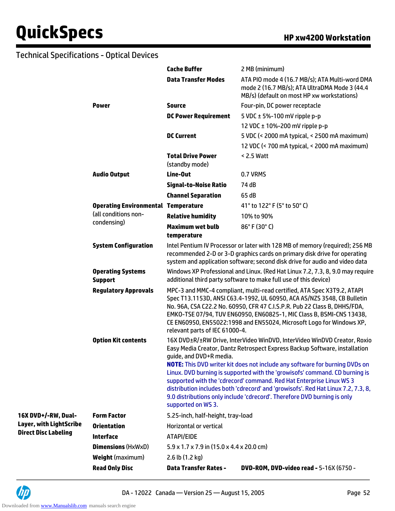|                                                |                                            | <b>Cache Buffer</b>                                   | 2 MB (minimum)                                                                                                                                                                                                                                                                                                                                                                                                                                                                                                                                                       |
|------------------------------------------------|--------------------------------------------|-------------------------------------------------------|----------------------------------------------------------------------------------------------------------------------------------------------------------------------------------------------------------------------------------------------------------------------------------------------------------------------------------------------------------------------------------------------------------------------------------------------------------------------------------------------------------------------------------------------------------------------|
|                                                |                                            | <b>Data Transfer Modes</b>                            | ATA PIO mode 4 (16.7 MB/s); ATA Multi-word DMA<br>mode 2 (16.7 MB/s); ATA UltraDMA Mode 3 (44.4<br>MB/s) (default on most HP xw workstations)                                                                                                                                                                                                                                                                                                                                                                                                                        |
|                                                | <b>Power</b>                               | <b>Source</b>                                         | Four-pin, DC power receptacle                                                                                                                                                                                                                                                                                                                                                                                                                                                                                                                                        |
|                                                |                                            | <b>DC Power Requirement</b>                           | 5 VDC $\pm$ 5%-100 mV ripple p-p                                                                                                                                                                                                                                                                                                                                                                                                                                                                                                                                     |
|                                                |                                            |                                                       | 12 VDC ± 10%-200 mV ripple p-p                                                                                                                                                                                                                                                                                                                                                                                                                                                                                                                                       |
|                                                |                                            | <b>DC Current</b>                                     | 5 VDC (< 2000 mA typical, < 2500 mA maximum)                                                                                                                                                                                                                                                                                                                                                                                                                                                                                                                         |
|                                                |                                            |                                                       | 12 VDC (< 700 mA typical, < 2000 mA maximum)                                                                                                                                                                                                                                                                                                                                                                                                                                                                                                                         |
|                                                |                                            | <b>Total Drive Power</b><br>(standby mode)            | < 2.5 Watt                                                                                                                                                                                                                                                                                                                                                                                                                                                                                                                                                           |
|                                                | <b>Audio Output</b>                        | Line-Out                                              | 0.7 VRMS                                                                                                                                                                                                                                                                                                                                                                                                                                                                                                                                                             |
|                                                |                                            | <b>Signal-to-Noise Ratio</b>                          | 74 dB                                                                                                                                                                                                                                                                                                                                                                                                                                                                                                                                                                |
|                                                |                                            | <b>Channel Separation</b>                             | 65 dB                                                                                                                                                                                                                                                                                                                                                                                                                                                                                                                                                                |
|                                                | <b>Operating Environmental Temperature</b> |                                                       | 41 $\degree$ to 122 $\degree$ F (5 $\degree$ to 50 $\degree$ C)                                                                                                                                                                                                                                                                                                                                                                                                                                                                                                      |
|                                                | (all conditions non-                       | <b>Relative humidity</b>                              | 10% to 90%                                                                                                                                                                                                                                                                                                                                                                                                                                                                                                                                                           |
|                                                | condensing)                                | <b>Maximum wet bulb</b>                               | 86°F (30°C)                                                                                                                                                                                                                                                                                                                                                                                                                                                                                                                                                          |
|                                                |                                            | temperature                                           |                                                                                                                                                                                                                                                                                                                                                                                                                                                                                                                                                                      |
|                                                | <b>System Configuration</b>                |                                                       | Intel Pentium IV Processor or later with 128 MB of memory (required); 256 MB<br>recommended 2-D or 3-D graphics cards on primary disk drive for operating<br>system and application software; second disk drive for audio and video data                                                                                                                                                                                                                                                                                                                             |
|                                                | <b>Operating Systems</b><br><b>Support</b> |                                                       | Windows XP Professional and Linux. (Red Hat Linux 7.2, 7.3, 8, 9.0 may require<br>additional third party software to make full use of this device)                                                                                                                                                                                                                                                                                                                                                                                                                   |
|                                                | <b>Regulatory Approvals</b>                | relevant parts of IEC 61000-4.                        | MPC-3 and MMC-4 compliant, multi-read certified, ATA Spec X3T9.2, ATAPI<br>Spec T13.1153D, ANSI C63.4-1992, UL 60950, ACA AS/NZS 3548, CB Bulletin<br>No. 96A, CSA C22.2 No. 60950, CFR 47 C.I.S.P.R. Pub 22 Class B, DHHS/FDA,<br>EMKO-TSE 07/94, TUV EN60950, EN60825-1, MIC Class B, BSMI-CNS 13438,<br>CE EN60950, EN55022:1998 and EN55024, Microsoft Logo for Windows XP,                                                                                                                                                                                      |
|                                                | <b>Option Kit contents</b>                 | guide, and DVD+R media.<br>supported on WS 3.         | 16X DVD±R/±RW Drive, InterVideo WinDVD, InterVideo WinDVD Creator, Roxio<br>Easy Media Creator, Dantz Retrospect Express Backup Software, installation<br><b>NOTE:</b> This DVD writer kit does not include any software for burning DVDs on<br>Linux. DVD burning is supported with the 'growisofs' command. CD burning is<br>supported with the 'cdrecord' command. Red Hat Enterprise Linux WS 3<br>distribution includes both 'cdrecord' and 'growisofs'. Red Hat Linux 7.2, 7.3, 8,<br>9.0 distributions only include 'cdrecord'. Therefore DVD burning is only |
| 16X DVD+/-RW, Dual-<br>Layer, with LightScribe | <b>Form Factor</b>                         | 5.25-inch, half-height, tray-load                     |                                                                                                                                                                                                                                                                                                                                                                                                                                                                                                                                                                      |
|                                                | <b>Orientation</b>                         | <b>Horizontal or vertical</b>                         |                                                                                                                                                                                                                                                                                                                                                                                                                                                                                                                                                                      |
| <b>Direct Disc Labeling</b>                    | <b>Interface</b>                           | ATAPI/EIDE                                            |                                                                                                                                                                                                                                                                                                                                                                                                                                                                                                                                                                      |
|                                                | <b>Dimensions (HxWxD)</b>                  | $5.9 \times 1.7 \times 7.9$ in (15.0 x 4.4 x 20.0 cm) |                                                                                                                                                                                                                                                                                                                                                                                                                                                                                                                                                                      |
|                                                | <b>Weight</b> (maximum)                    | 2.6 lb (1.2 kg)                                       |                                                                                                                                                                                                                                                                                                                                                                                                                                                                                                                                                                      |
|                                                | <b>Read Only Disc</b>                      | <b>Data Transfer Rates -</b>                          | <b>DVD-ROM, DVD-video read - 5-16X (6750 -</b>                                                                                                                                                                                                                                                                                                                                                                                                                                                                                                                       |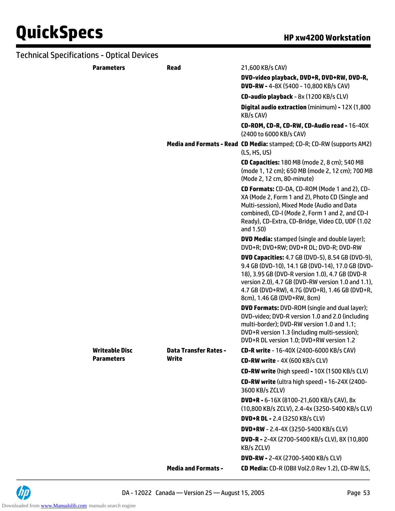| <b>Technical Specifications - Optical Devices</b> |                              |                                                                                                                                                                                                                                                                                                       |
|---------------------------------------------------|------------------------------|-------------------------------------------------------------------------------------------------------------------------------------------------------------------------------------------------------------------------------------------------------------------------------------------------------|
| <b>Parameters</b>                                 | <b>Read</b>                  | 21,600 KB/s CAV)                                                                                                                                                                                                                                                                                      |
|                                                   |                              | DVD-video playback, DVD+R, DVD+RW, DVD-R,<br>DVD-RW - 4-8X (5400 - 10,800 KB/s CAV)                                                                                                                                                                                                                   |
|                                                   |                              | CD-audio playback - 8x (1200 KB/s CLV)                                                                                                                                                                                                                                                                |
|                                                   |                              | Digital audio extraction (minimum) - 12X (1,800<br>KB/s CAV)                                                                                                                                                                                                                                          |
|                                                   |                              | CD-ROM, CD-R, CD-RW, CD-Audio read - 16-40X<br>(2400 to 6000 KB/s CAV)                                                                                                                                                                                                                                |
|                                                   |                              | Media and Formats - Read CD Media: stamped; CD-R; CD-RW (supports AM2)<br>(LS, HS, US)                                                                                                                                                                                                                |
|                                                   |                              | CD Capacities: 180 MB (mode 2, 8 cm); 540 MB<br>(mode 1, 12 cm); 650 MB (mode 2, 12 cm); 700 MB<br>(Mode 2, 12 cm, 80-minute)                                                                                                                                                                         |
|                                                   |                              | CD Formats: CD-DA, CD-ROM (Mode 1 and 2), CD-<br>XA (Mode 2, Form 1 and 2), Photo CD (Single and<br>Multi-session), Mixed Mode (Audio and Data<br>combined), CD-I (Mode 2, Form 1 and 2, and CD-I<br>Ready), CD-Extra, CD-Bridge, Video CD, UDF (1.02<br>and 1.50)                                    |
|                                                   |                              | <b>DVD Media:</b> stamped (single and double layer);<br>DVD+R; DVD+RW; DVD+R DL; DVD-R; DVD-RW                                                                                                                                                                                                        |
|                                                   |                              | <b>DVD Capacities:</b> 4.7 GB (DVD-5), 8.54 GB (DVD-9),<br>9.4 GB (DVD-10), 14.1 GB (DVD-14), 17.0 GB (DVD-<br>18), 3.95 GB (DVD-R version 1.0), 4.7 GB (DVD-R<br>version 2.0), 4.7 GB (DVD-RW version 1.0 and 1.1),<br>4.7 GB (DVD+RW), 4.7G (DVD+R), 1.46 GB (DVD+R,<br>8cm), 1.46 GB (DVD+RW, 8cm) |
|                                                   |                              | <b>DVD Formats: DVD-ROM (single and dual layer);</b><br>DVD-video; DVD-R version 1.0 and 2.0 (including<br>multi-border); DVD-RW version 1.0 and 1.1;<br>DVD+R version 1.3 (including multi-session);<br>DVD+R DL version 1.0; DVD+RW version 1.2                                                     |
| <b>Writeable Disc</b>                             | <b>Data Transfer Rates -</b> | CD-R write - 16-40X (2400-6000 KB/s CAV)                                                                                                                                                                                                                                                              |
| <b>Parameters</b>                                 | Write                        | CD-RW write - 4X (600 KB/s CLV)                                                                                                                                                                                                                                                                       |
|                                                   |                              | CD-RW write (high speed) - 10X (1500 KB/s CLV)                                                                                                                                                                                                                                                        |
|                                                   |                              | <b>CD-RW write</b> (ultra high speed) - 16-24X (2400-<br>3600 KB/s ZCLV)                                                                                                                                                                                                                              |
|                                                   |                              | $DVD+R - 6-16X (8100-21,600 KB/s CAV), 8x$<br>(10,800 KB/s ZCLV), 2.4-4x (3250-5400 KB/s CLV)                                                                                                                                                                                                         |
|                                                   |                              | <b>DVD+R DL - 2.4 (3250 KB/s CLV)</b>                                                                                                                                                                                                                                                                 |
|                                                   |                              | <b>DVD+RW</b> - 2.4-4X (3250-5400 KB/s CLV)                                                                                                                                                                                                                                                           |
|                                                   |                              | <b>DVD-R - 2-4X (2700-5400 KB/s CLV), 8X (10,800</b><br>KB/s ZCLV)                                                                                                                                                                                                                                    |
|                                                   |                              | <b>DVD-RW - 2-4X (2700-5400 KB/s CLV)</b>                                                                                                                                                                                                                                                             |
|                                                   | <b>Media and Formats -</b>   | CD Media: CD-R (OBII Vol2.0 Rev 1.2), CD-RW (LS,                                                                                                                                                                                                                                                      |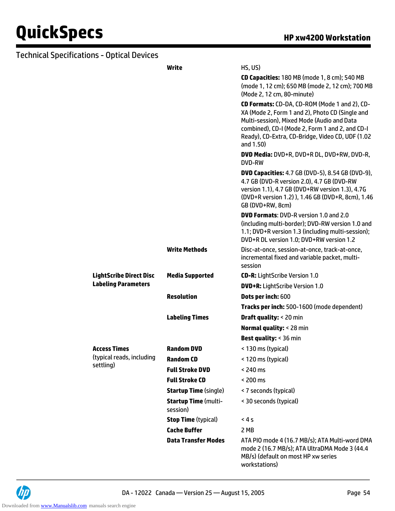| <b>Technical Specifications - Optical Devices</b> |                                         |                                                                                                                                                                                                                                                                    |
|---------------------------------------------------|-----------------------------------------|--------------------------------------------------------------------------------------------------------------------------------------------------------------------------------------------------------------------------------------------------------------------|
|                                                   | Write                                   | HS, US)                                                                                                                                                                                                                                                            |
|                                                   |                                         | CD Capacities: 180 MB (mode 1, 8 cm); 540 MB<br>(mode 1, 12 cm); 650 MB (mode 2, 12 cm); 700 MB<br>(Mode 2, 12 cm, 80-minute)                                                                                                                                      |
|                                                   |                                         | CD Formats: CD-DA, CD-ROM (Mode 1 and 2), CD-<br>XA (Mode 2, Form 1 and 2), Photo CD (Single and<br>Multi-session), Mixed Mode (Audio and Data<br>combined), CD-I (Mode 2, Form 1 and 2, and CD-I<br>Ready), CD-Extra, CD-Bridge, Video CD, UDF (1.02<br>and 1.50) |
|                                                   |                                         | DVD Media: DVD+R, DVD+R DL, DVD+RW, DVD-R,<br>DVD-RW                                                                                                                                                                                                               |
|                                                   |                                         | <b>DVD Capacities:</b> 4.7 GB (DVD-5), 8.54 GB (DVD-9),<br>4.7 GB (DVD-R version 2.0), 4.7 GB (DVD-RW<br>version 1.1), 4.7 GB (DVD+RW version 1.3), 4.7G<br>(DVD+R version 1.2)), 1.46 GB (DVD+R, 8cm), 1.46<br>GB (DVD+RW, 8cm)                                   |
|                                                   |                                         | <b>DVD Formats: DVD-R version 1.0 and 2.0</b><br>(including multi-border); DVD-RW version 1.0 and<br>1.1; DVD+R version 1.3 (including multi-session);<br>DVD+R DL version 1.0; DVD+RW version 1.2                                                                 |
|                                                   | <b>Write Methods</b>                    | Disc-at-once, session-at-once, track-at-once,<br>incremental fixed and variable packet, multi-<br>session                                                                                                                                                          |
| <b>LightScribe Direct Disc</b>                    | <b>Media Supported</b>                  | <b>CD-R:</b> LightScribe Version 1.0                                                                                                                                                                                                                               |
| <b>Labeling Parameters</b>                        |                                         | <b>DVD+R:</b> LightScribe Version 1.0                                                                                                                                                                                                                              |
|                                                   | <b>Resolution</b>                       | Dots per inch: 600                                                                                                                                                                                                                                                 |
|                                                   |                                         | Tracks per inch: 500-1600 (mode dependent)                                                                                                                                                                                                                         |
|                                                   | <b>Labeling Times</b>                   | <b>Draft quality: &lt; 20 min</b>                                                                                                                                                                                                                                  |
|                                                   |                                         | <b>Normal quality: &lt; 28 min</b>                                                                                                                                                                                                                                 |
|                                                   |                                         | <b>Best quality: &lt; 36 min</b>                                                                                                                                                                                                                                   |
| <b>Access Times</b>                               | <b>Random DVD</b>                       | < 130 ms (typical)                                                                                                                                                                                                                                                 |
| (typical reads, including                         | <b>Random CD</b>                        | < 120 ms (typical)                                                                                                                                                                                                                                                 |
| settling)                                         | <b>Full Stroke DVD</b>                  | $<$ 240 ms                                                                                                                                                                                                                                                         |
|                                                   | <b>Full Stroke CD</b>                   | < 200 ms                                                                                                                                                                                                                                                           |
|                                                   | <b>Startup Time (single)</b>            | < 7 seconds (typical)                                                                                                                                                                                                                                              |
|                                                   | <b>Startup Time (multi-</b><br>session) | < 30 seconds (typical)                                                                                                                                                                                                                                             |
|                                                   | <b>Stop Time (typical)</b>              | < 4s                                                                                                                                                                                                                                                               |
|                                                   | <b>Cache Buffer</b>                     | 2 MB                                                                                                                                                                                                                                                               |
|                                                   | <b>Data Transfer Modes</b>              | ATA PIO mode 4 (16.7 MB/s); ATA Multi-word DMA<br>mode 2 (16.7 MB/s); ATA UltraDMA Mode 3 (44.4<br>MB/s) (default on most HP xw series                                                                                                                             |

workstations)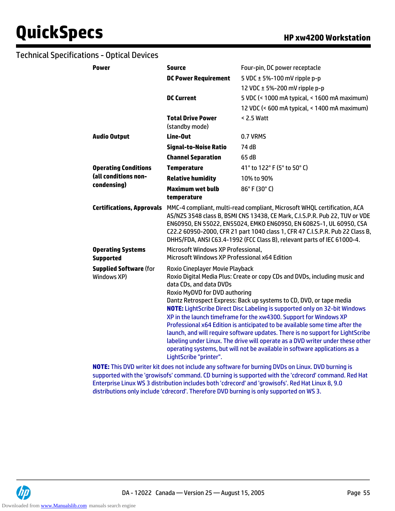| <b>Power</b>                                 | <b>Source</b>                                                                                                                                                                                                                                                                                                                                                                                                                                                                                                                                                                                                                                                                                                                                                         | Four-pin, DC power receptacle                                                                                                                                                                                                                                                                                                                                                                                        |
|----------------------------------------------|-----------------------------------------------------------------------------------------------------------------------------------------------------------------------------------------------------------------------------------------------------------------------------------------------------------------------------------------------------------------------------------------------------------------------------------------------------------------------------------------------------------------------------------------------------------------------------------------------------------------------------------------------------------------------------------------------------------------------------------------------------------------------|----------------------------------------------------------------------------------------------------------------------------------------------------------------------------------------------------------------------------------------------------------------------------------------------------------------------------------------------------------------------------------------------------------------------|
|                                              | <b>DC Power Requirement</b>                                                                                                                                                                                                                                                                                                                                                                                                                                                                                                                                                                                                                                                                                                                                           | 5 VDC $\pm$ 5%-100 mV ripple p-p                                                                                                                                                                                                                                                                                                                                                                                     |
|                                              |                                                                                                                                                                                                                                                                                                                                                                                                                                                                                                                                                                                                                                                                                                                                                                       | 12 VDC ± 5%-200 mV ripple p-p                                                                                                                                                                                                                                                                                                                                                                                        |
|                                              | <b>DC Current</b>                                                                                                                                                                                                                                                                                                                                                                                                                                                                                                                                                                                                                                                                                                                                                     | 5 VDC (< 1000 mA typical, < 1600 mA maximum)                                                                                                                                                                                                                                                                                                                                                                         |
|                                              |                                                                                                                                                                                                                                                                                                                                                                                                                                                                                                                                                                                                                                                                                                                                                                       | 12 VDC (< 600 mA typical, < 1400 mA maximum)                                                                                                                                                                                                                                                                                                                                                                         |
|                                              | <b>Total Drive Power</b><br>(standby mode)                                                                                                                                                                                                                                                                                                                                                                                                                                                                                                                                                                                                                                                                                                                            | < 2.5 Watt                                                                                                                                                                                                                                                                                                                                                                                                           |
| <b>Audio Output</b>                          | Line-Out                                                                                                                                                                                                                                                                                                                                                                                                                                                                                                                                                                                                                                                                                                                                                              | 0.7 VRMS                                                                                                                                                                                                                                                                                                                                                                                                             |
|                                              | <b>Signal-to-Noise Ratio</b>                                                                                                                                                                                                                                                                                                                                                                                                                                                                                                                                                                                                                                                                                                                                          | 74 dB                                                                                                                                                                                                                                                                                                                                                                                                                |
|                                              | <b>Channel Separation</b>                                                                                                                                                                                                                                                                                                                                                                                                                                                                                                                                                                                                                                                                                                                                             | 65 dB                                                                                                                                                                                                                                                                                                                                                                                                                |
| <b>Operating Conditions</b>                  | <b>Temperature</b>                                                                                                                                                                                                                                                                                                                                                                                                                                                                                                                                                                                                                                                                                                                                                    | 41° to 122° F (5° to 50° C)                                                                                                                                                                                                                                                                                                                                                                                          |
| (all conditions non-                         | <b>Relative humidity</b>                                                                                                                                                                                                                                                                                                                                                                                                                                                                                                                                                                                                                                                                                                                                              | 10% to 90%                                                                                                                                                                                                                                                                                                                                                                                                           |
| condensing)                                  | <b>Maximum wet bulb</b>                                                                                                                                                                                                                                                                                                                                                                                                                                                                                                                                                                                                                                                                                                                                               | 86°F (30°C)                                                                                                                                                                                                                                                                                                                                                                                                          |
|                                              | temperature                                                                                                                                                                                                                                                                                                                                                                                                                                                                                                                                                                                                                                                                                                                                                           |                                                                                                                                                                                                                                                                                                                                                                                                                      |
|                                              |                                                                                                                                                                                                                                                                                                                                                                                                                                                                                                                                                                                                                                                                                                                                                                       | Certifications, Approvals MMC-4 compliant, multi-read compliant, Microsoft WHQL certification, ACA<br>AS/NZS 3548 class B, BSMI CNS 13438, CE Mark, C.I.S.P.R. Pub 22, TUV or VDE<br>EN60950, EN 55022, EN55024, EMKO EN60950, EN 60825-1, UL 60950, CSA<br>C22.2 60950-2000, CFR 21 part 1040 class 1, CFR 47 C.I.S.P.R. Pub 22 Class B,<br>DHHS/FDA, ANSI C63.4-1992 (FCC Class B), relevant parts of IEC 61000-4. |
| <b>Operating Systems</b><br><b>Supported</b> | Microsoft Windows XP Professional,<br>Microsoft Windows XP Professional x64 Edition                                                                                                                                                                                                                                                                                                                                                                                                                                                                                                                                                                                                                                                                                   |                                                                                                                                                                                                                                                                                                                                                                                                                      |
| <b>Supplied Software (for</b><br>Windows XP) | Roxio Cineplayer Movie Playback<br>Roxio Digital Media Plus: Create or copy CDs and DVDs, including music and<br>data CDs, and data DVDs<br>Roxio MyDVD for DVD authoring<br>Dantz Retrospect Express: Back up systems to CD, DVD, or tape media<br><b>NOTE:</b> LightScribe Direct Disc Labeling is supported only on 32-bit Windows<br>XP in the launch timeframe for the xw4300. Support for Windows XP<br>Professional x64 Edition is anticipated to be available some time after the<br>launch, and will require software updates. There is no support for LightScribe<br>labeling under Linux. The drive will operate as a DVD writer under these other<br>operating systems, but will not be available in software applications as a<br>LightScribe "printer". |                                                                                                                                                                                                                                                                                                                                                                                                                      |
|                                              |                                                                                                                                                                                                                                                                                                                                                                                                                                                                                                                                                                                                                                                                                                                                                                       | IATE: This BUD white this deep not include any ceftware for hypning BUDs on Linux. BUD hypning is                                                                                                                                                                                                                                                                                                                    |

**NOTE:** This DVD writer kit does not include any software for burning DVDs on Linux. DVD burning is supported with the 'growisofs' command. CD burning is supported with the 'cdrecord' command. Red Hat Enterprise Linux WS 3 distribution includes both 'cdrecord' and 'growisofs'. Red Hat Linux 8, 9.0 distributions only include 'cdrecord'. Therefore DVD burning is only supported on WS 3.

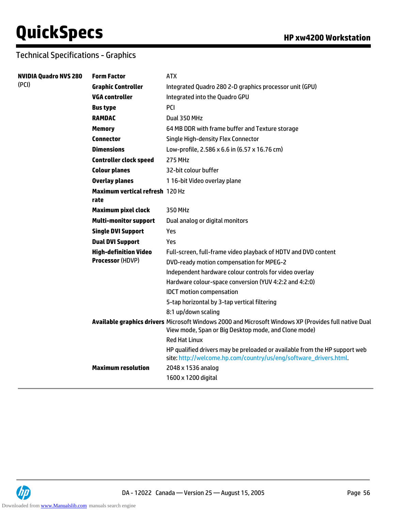| <b>NVIDIA Quadro NVS 280</b> | <b>Form Factor</b>                             | <b>ATX</b>                                                                                                                                                    |
|------------------------------|------------------------------------------------|---------------------------------------------------------------------------------------------------------------------------------------------------------------|
| (PCI)                        | <b>Graphic Controller</b>                      | Integrated Quadro 280 2-D graphics processor unit (GPU)                                                                                                       |
|                              | VGA controller                                 | Integrated into the Quadro GPU                                                                                                                                |
|                              | <b>Bus type</b>                                | PCI                                                                                                                                                           |
|                              | <b>RAMDAC</b>                                  | Dual 350 MHz                                                                                                                                                  |
|                              | <b>Memory</b>                                  | 64 MB DDR with frame buffer and Texture storage                                                                                                               |
|                              | <b>Connector</b>                               | Single High-density Flex Connector                                                                                                                            |
|                              | <b>Dimensions</b>                              | Low-profile, 2.586 x 6.6 in (6.57 x 16.76 cm)                                                                                                                 |
|                              | <b>Controller clock speed</b>                  | <b>275 MHz</b>                                                                                                                                                |
|                              | <b>Colour planes</b>                           | 32-bit colour buffer                                                                                                                                          |
|                              | <b>Overlay planes</b>                          | 116-bit Video overlay plane                                                                                                                                   |
|                              | <b>Maximum vertical refresh 120 Hz</b><br>rate |                                                                                                                                                               |
|                              | <b>Maximum pixel clock</b>                     | 350 MHz                                                                                                                                                       |
|                              | <b>Multi-monitor support</b>                   | Dual analog or digital monitors                                                                                                                               |
|                              | <b>Single DVI Support</b>                      | Yes                                                                                                                                                           |
|                              | <b>Dual DVI Support</b>                        | Yes                                                                                                                                                           |
|                              | <b>High-definition Video</b>                   | Full-screen, full-frame video playback of HDTV and DVD content                                                                                                |
|                              | Processor (HDVP)                               | DVD-ready motion compensation for MPEG-2                                                                                                                      |
|                              |                                                | Independent hardware colour controls for video overlay                                                                                                        |
|                              |                                                | Hardware colour-space conversion (YUV 4:2:2 and 4:2:0)                                                                                                        |
|                              |                                                | <b>IDCT</b> motion compensation                                                                                                                               |
|                              |                                                | 5-tap horizontal by 3-tap vertical filtering                                                                                                                  |
|                              |                                                | 8:1 up/down scaling                                                                                                                                           |
|                              |                                                | Available graphics drivers Microsoft Windows 2000 and Microsoft Windows XP (Provides full native Dual<br>View mode, Span or Big Desktop mode, and Clone mode) |
|                              |                                                | <b>Red Hat Linux</b>                                                                                                                                          |
|                              |                                                | HP qualified drivers may be preloaded or available from the HP support web<br>site: http://welcome.hp.com/country/us/eng/software_drivers.html.               |
|                              | <b>Maximum resolution</b>                      | 2048 x 1536 analog                                                                                                                                            |
|                              |                                                | 1600 x 1200 digital                                                                                                                                           |

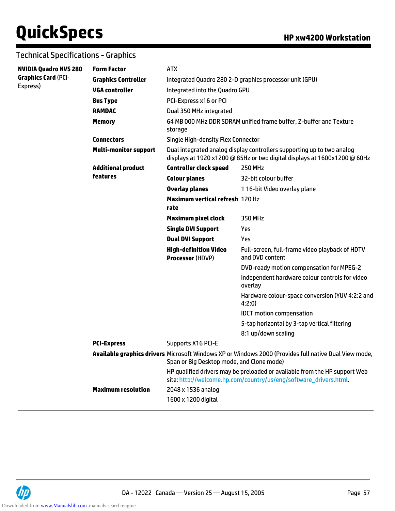| <b>NVIDIA Quadro NVS 280</b>           | <b>Form Factor</b>           | <b>ATX</b>                                                                                                                                          |                                                                                                                                                 |  |
|----------------------------------------|------------------------------|-----------------------------------------------------------------------------------------------------------------------------------------------------|-------------------------------------------------------------------------------------------------------------------------------------------------|--|
| <b>Graphics Card (PCI-</b><br>Express) | <b>Graphics Controller</b>   |                                                                                                                                                     | Integrated Quadro 280 2-D graphics processor unit (GPU)                                                                                         |  |
|                                        | <b>VGA controller</b>        | Integrated into the Quadro GPU                                                                                                                      |                                                                                                                                                 |  |
|                                        | <b>Bus Type</b>              | PCI-Express x16 or PCI                                                                                                                              |                                                                                                                                                 |  |
|                                        | <b>RAMDAC</b>                | Dual 350 MHz integrated                                                                                                                             |                                                                                                                                                 |  |
|                                        | <b>Memory</b>                | storage                                                                                                                                             | 64 MB 000 MHz DDR SDRAM unified frame buffer, Z-buffer and Texture                                                                              |  |
|                                        | <b>Connectors</b>            | Single High-density Flex Connector                                                                                                                  |                                                                                                                                                 |  |
|                                        | <b>Multi-monitor support</b> | Dual integrated analog display controllers supporting up to two analog<br>displays at 1920 x1200 @ 85Hz or two digital displays at 1600x1200 @ 60Hz |                                                                                                                                                 |  |
|                                        | <b>Additional product</b>    | <b>Controller clock speed</b>                                                                                                                       | <b>250 MHz</b>                                                                                                                                  |  |
|                                        | features                     | <b>Colour planes</b>                                                                                                                                | 32-bit colour buffer                                                                                                                            |  |
|                                        |                              | <b>Overlay planes</b>                                                                                                                               | 116-bit Video overlay plane                                                                                                                     |  |
|                                        |                              | <b>Maximum vertical refresh 120 Hz</b><br>rate                                                                                                      |                                                                                                                                                 |  |
|                                        |                              | <b>Maximum pixel clock</b>                                                                                                                          | 350 MHz                                                                                                                                         |  |
|                                        |                              | <b>Single DVI Support</b>                                                                                                                           | Yes                                                                                                                                             |  |
|                                        |                              | <b>Dual DVI Support</b>                                                                                                                             | Yes                                                                                                                                             |  |
|                                        |                              | <b>High-definition Video</b><br><b>Processor (HDVP)</b>                                                                                             | Full-screen, full-frame video playback of HDTV<br>and DVD content                                                                               |  |
|                                        |                              |                                                                                                                                                     | DVD-ready motion compensation for MPEG-2                                                                                                        |  |
|                                        |                              |                                                                                                                                                     | Independent hardware colour controls for video<br>overlay                                                                                       |  |
|                                        |                              |                                                                                                                                                     | Hardware colour-space conversion (YUV 4:2:2 and<br>4:2:0)                                                                                       |  |
|                                        |                              |                                                                                                                                                     | <b>IDCT</b> motion compensation                                                                                                                 |  |
|                                        |                              |                                                                                                                                                     | 5-tap horizontal by 3-tap vertical filtering                                                                                                    |  |
|                                        |                              |                                                                                                                                                     | 8:1 up/down scaling                                                                                                                             |  |
|                                        | <b>PCI-Express</b>           | Supports X16 PCI-E                                                                                                                                  |                                                                                                                                                 |  |
|                                        |                              | Span or Big Desktop mode, and Clone mode)                                                                                                           | Available graphics drivers Microsoft Windows XP or Windows 2000 (Provides full native Dual View mode,                                           |  |
|                                        |                              |                                                                                                                                                     | HP qualified drivers may be preloaded or available from the HP support Web<br>site: http://welcome.hp.com/country/us/eng/software_drivers.html. |  |
|                                        | <b>Maximum resolution</b>    | 2048 x 1536 analog<br>1600 x 1200 digital                                                                                                           |                                                                                                                                                 |  |
|                                        |                              |                                                                                                                                                     |                                                                                                                                                 |  |

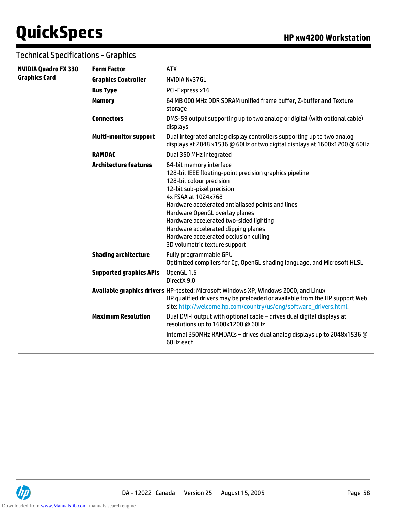| <b>NVIDIA Quadro FX 330</b> | <b>Form Factor</b>             | <b>ATX</b>                                                                                                                                                                                                                                                                                                                                                                                                               |
|-----------------------------|--------------------------------|--------------------------------------------------------------------------------------------------------------------------------------------------------------------------------------------------------------------------------------------------------------------------------------------------------------------------------------------------------------------------------------------------------------------------|
| <b>Graphics Card</b>        | <b>Graphics Controller</b>     | <b>NVIDIA Nv37GL</b>                                                                                                                                                                                                                                                                                                                                                                                                     |
|                             | <b>Bus Type</b>                | PCI-Express x16                                                                                                                                                                                                                                                                                                                                                                                                          |
|                             | <b>Memory</b>                  | 64 MB 000 MHz DDR SDRAM unified frame buffer, Z-buffer and Texture<br>storage                                                                                                                                                                                                                                                                                                                                            |
|                             | <b>Connectors</b>              | DMS-59 output supporting up to two analog or digital (with optional cable)<br>displays                                                                                                                                                                                                                                                                                                                                   |
|                             | <b>Multi-monitor support</b>   | Dual integrated analog display controllers supporting up to two analog<br>displays at 2048 x1536 @ 60Hz or two digital displays at 1600x1200 @ 60Hz                                                                                                                                                                                                                                                                      |
|                             | <b>RAMDAC</b>                  | Dual 350 MHz integrated                                                                                                                                                                                                                                                                                                                                                                                                  |
|                             | <b>Architecture features</b>   | 64-bit memory interface<br>128-bit IEEE floating-point precision graphics pipeline<br>128-bit colour precision<br>12-bit sub-pixel precision<br>4x FSAA at 1024x768<br>Hardware accelerated antialiased points and lines<br>Hardware OpenGL overlay planes<br>Hardware accelerated two-sided lighting<br>Hardware accelerated clipping planes<br>Hardware accelerated occlusion culling<br>3D volumetric texture support |
|                             | <b>Shading architecture</b>    | Fully programmable GPU<br>Optimized compilers for Cg, OpenGL shading language, and Microsoft HLSL                                                                                                                                                                                                                                                                                                                        |
|                             | <b>Supported graphics APIs</b> | OpenGL 1.5<br>DirectX 9.0                                                                                                                                                                                                                                                                                                                                                                                                |
|                             |                                | Available graphics drivers HP-tested: Microsoft Windows XP, Windows 2000, and Linux<br>HP qualified drivers may be preloaded or available from the HP support Web<br>site: http://welcome.hp.com/country/us/eng/software_drivers.html.                                                                                                                                                                                   |
|                             | <b>Maximum Resolution</b>      | Dual DVI-I output with optional cable - drives dual digital displays at<br>resolutions up to 1600x1200 @ 60Hz                                                                                                                                                                                                                                                                                                            |
|                             |                                | Internal 350MHz RAMDACs - drives dual analog displays up to 2048x1536 @<br>60Hz each                                                                                                                                                                                                                                                                                                                                     |

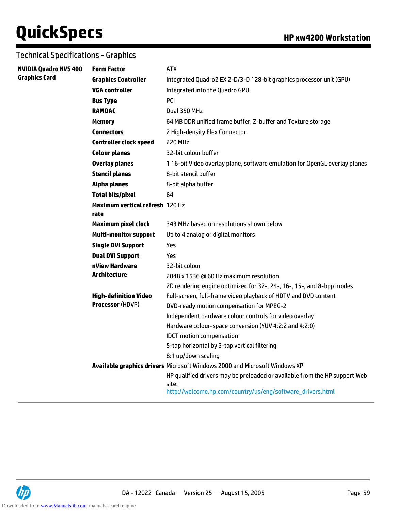| <b>NVIDIA Quadro NVS 400</b> | <b>Form Factor</b>                                                         | <b>ATX</b>                                                                          |  |  |
|------------------------------|----------------------------------------------------------------------------|-------------------------------------------------------------------------------------|--|--|
| <b>Graphics Card</b>         | <b>Graphics Controller</b>                                                 | Integrated Quadro2 EX 2-D/3-D 128-bit graphics processor unit (GPU)                 |  |  |
|                              | <b>VGA controller</b>                                                      | Integrated into the Quadro GPU                                                      |  |  |
|                              | <b>Bus Type</b>                                                            | <b>PCI</b>                                                                          |  |  |
|                              | <b>RAMDAC</b>                                                              | Dual 350 MHz                                                                        |  |  |
|                              | <b>Memory</b>                                                              | 64 MB DDR unified frame buffer, Z-buffer and Texture storage                        |  |  |
|                              | <b>Connectors</b>                                                          | 2 High-density Flex Connector                                                       |  |  |
|                              | <b>Controller clock speed</b>                                              | <b>220 MHz</b>                                                                      |  |  |
|                              | <b>Colour planes</b>                                                       | 32-bit colour buffer                                                                |  |  |
|                              | <b>Overlay planes</b>                                                      | 116-bit Video overlay plane, software emulation for OpenGL overlay planes           |  |  |
|                              | <b>Stencil planes</b>                                                      | 8-bit stencil buffer                                                                |  |  |
|                              | <b>Alpha planes</b>                                                        | 8-bit alpha buffer                                                                  |  |  |
|                              | <b>Total bits/pixel</b>                                                    | 64                                                                                  |  |  |
|                              | <b>Maximum vertical refresh 120 Hz</b><br>rate                             |                                                                                     |  |  |
|                              | <b>Maximum pixel clock</b>                                                 | 343 MHz based on resolutions shown below                                            |  |  |
|                              | <b>Multi-monitor support</b>                                               | Up to 4 analog or digital monitors                                                  |  |  |
|                              | <b>Single DVI Support</b>                                                  | Yes                                                                                 |  |  |
|                              | <b>Dual DVI Support</b>                                                    | Yes                                                                                 |  |  |
|                              | nView Hardware                                                             | 32-bit colour                                                                       |  |  |
|                              | <b>Architecture</b>                                                        | 2048 x 1536 @ 60 Hz maximum resolution                                              |  |  |
|                              |                                                                            | 2D rendering engine optimized for 32-, 24-, 16-, 15-, and 8-bpp modes               |  |  |
|                              | <b>High-definition Video</b>                                               | Full-screen, full-frame video playback of HDTV and DVD content                      |  |  |
|                              | <b>Processor (HDVP)</b>                                                    | DVD-ready motion compensation for MPEG-2                                            |  |  |
|                              |                                                                            | Independent hardware colour controls for video overlay                              |  |  |
|                              |                                                                            | Hardware colour-space conversion (YUV 4:2:2 and 4:2:0)                              |  |  |
|                              |                                                                            | <b>IDCT</b> motion compensation                                                     |  |  |
|                              |                                                                            | 5-tap horizontal by 3-tap vertical filtering                                        |  |  |
|                              |                                                                            | 8:1 up/down scaling                                                                 |  |  |
|                              | Available graphics drivers Microsoft Windows 2000 and Microsoft Windows XP |                                                                                     |  |  |
|                              |                                                                            | HP qualified drivers may be preloaded or available from the HP support Web<br>site: |  |  |
|                              |                                                                            | http://welcome.hp.com/country/us/eng/software_drivers.html                          |  |  |

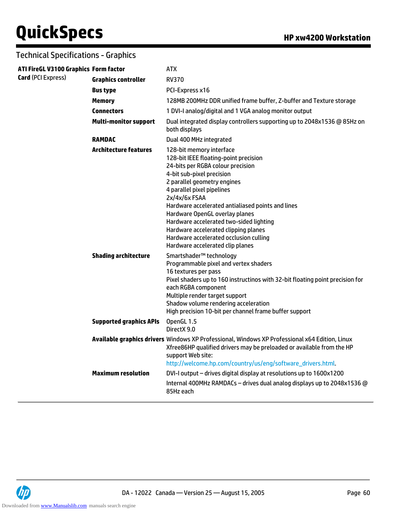| ATI FireGL V3100 Graphics Form factor |                                | <b>ATX</b>                                                                                                                                                                                                                                                                                                                                                                                                                                                                |
|---------------------------------------|--------------------------------|---------------------------------------------------------------------------------------------------------------------------------------------------------------------------------------------------------------------------------------------------------------------------------------------------------------------------------------------------------------------------------------------------------------------------------------------------------------------------|
| Card (PCI Express)                    | <b>Graphics controller</b>     | <b>RV370</b>                                                                                                                                                                                                                                                                                                                                                                                                                                                              |
|                                       | <b>Bus type</b>                | PCI-Express x16                                                                                                                                                                                                                                                                                                                                                                                                                                                           |
|                                       | <b>Memory</b>                  | 128MB 200MHz DDR unified frame buffer, Z-buffer and Texture storage                                                                                                                                                                                                                                                                                                                                                                                                       |
|                                       | <b>Connectors</b>              | 1 DVI-I analog/digital and 1 VGA analog monitor output                                                                                                                                                                                                                                                                                                                                                                                                                    |
|                                       | <b>Multi-monitor support</b>   | Dual integrated display controllers supporting up to 2048x1536 @ 85Hz on<br>both displays                                                                                                                                                                                                                                                                                                                                                                                 |
|                                       | <b>RAMDAC</b>                  | Dual 400 MHz integrated                                                                                                                                                                                                                                                                                                                                                                                                                                                   |
|                                       | <b>Architecture features</b>   | 128-bit memory interface<br>128-bit IEEE floating-point precision<br>24-bits per RGBA colour precision<br>4-bit sub-pixel precision<br>2 parallel geometry engines<br>4 parallel pixel pipelines<br>2x/4x/6x FSAA<br>Hardware accelerated antialiased points and lines<br>Hardware OpenGL overlay planes<br>Hardware accelerated two-sided lighting<br>Hardware accelerated clipping planes<br>Hardware accelerated occlusion culling<br>Hardware accelerated clip planes |
|                                       | <b>Shading architecture</b>    | Smartshader™ technology<br>Programmable pixel and vertex shaders<br>16 textures per pass<br>Pixel shaders up to 160 instructinos with 32-bit floating point precision for<br>each RGBA component<br>Multiple render target support<br>Shadow volume rendering acceleration<br>High precision 10-bit per channel frame buffer support                                                                                                                                      |
|                                       | <b>Supported graphics APIs</b> | OpenGL 1.5<br>DirectX 9.0                                                                                                                                                                                                                                                                                                                                                                                                                                                 |
|                                       |                                | Available graphics drivers Windows XP Professional, Windows XP Professional x64 Edition, Linux<br>Xfree86HP qualified drivers may be preloaded or available from the HP<br>support Web site:<br>http://welcome.hp.com/country/us/eng/software_drivers.html.                                                                                                                                                                                                               |
|                                       | <b>Maximum resolution</b>      | DVI-I output - drives digital display at resolutions up to 1600x1200                                                                                                                                                                                                                                                                                                                                                                                                      |
|                                       |                                | Internal 400MHz RAMDACs - drives dual analog displays up to 2048x1536 @<br>85Hz each                                                                                                                                                                                                                                                                                                                                                                                      |

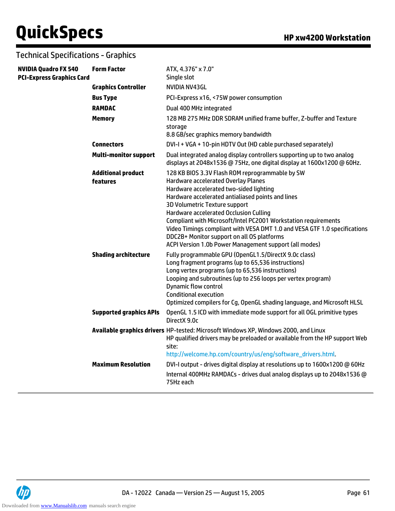| <b>NVIDIA Quadro FX 540</b><br><b>PCI-Express Graphics Card</b> | <b>Form Factor</b>                    | ATX, 4.376" x 7.0"<br>Single slot                                                                                                                                                                                                                                                                                                                                                                                                                                                                                        |
|-----------------------------------------------------------------|---------------------------------------|--------------------------------------------------------------------------------------------------------------------------------------------------------------------------------------------------------------------------------------------------------------------------------------------------------------------------------------------------------------------------------------------------------------------------------------------------------------------------------------------------------------------------|
|                                                                 | <b>Graphics Controller</b>            | <b>NVIDIA NV43GL</b>                                                                                                                                                                                                                                                                                                                                                                                                                                                                                                     |
|                                                                 | <b>Bus Type</b>                       | PCI-Express x16, <75W power consumption                                                                                                                                                                                                                                                                                                                                                                                                                                                                                  |
|                                                                 | <b>RAMDAC</b>                         | Dual 400 MHz integrated                                                                                                                                                                                                                                                                                                                                                                                                                                                                                                  |
|                                                                 | <b>Memory</b>                         | 128 MB 275 MHz DDR SDRAM unified frame buffer, Z-buffer and Texture<br>storage<br>8.8 GB/sec graphics memory bandwidth                                                                                                                                                                                                                                                                                                                                                                                                   |
|                                                                 | <b>Connectors</b>                     | DVI-I + VGA + 10-pin HDTV Out (HD cable purchased separately)                                                                                                                                                                                                                                                                                                                                                                                                                                                            |
|                                                                 | <b>Multi-monitor support</b>          | Dual integrated analog display controllers supporting up to two analog<br>displays at 2048x1536 @ 75Hz, one digital display at 1600x1200 @ 60Hz.                                                                                                                                                                                                                                                                                                                                                                         |
|                                                                 | <b>Additional product</b><br>features | 128 KB BIOS 3.3V Flash ROM reprogrammable by SW<br>Hardware accelerated Overlay Planes<br>Hardware accelerated two-sided lighting<br>Hardware accelerated antialiased points and lines<br>3D Volumetric Texture support<br>Hardware accelerated Occlusion Culling<br>Compliant with Microsoft/Intel PC2001 Workstation requirements<br>Video Timings compliant with VESA DMT 1.0 and VESA GTF 1.0 specifications<br>DDC2B+ Monitor support on all OS platforms<br>ACPI Version 1.0b Power Management support (all modes) |
|                                                                 | <b>Shading architecture</b>           | Fully programmable GPU (OpenGL1.5/DirectX 9.0c class)<br>Long fragment programs (up to 65,536 instructions)<br>Long vertex programs (up to 65,536 instructions)<br>Looping and subroutines (up to 256 loops per vertex program)<br><b>Dynamic flow control</b><br><b>Conditional execution</b><br>Optimized compilers for Cg, OpenGL shading language, and Microsoft HLSL                                                                                                                                                |
|                                                                 | <b>Supported graphics APIs</b>        | OpenGL 1.5 ICD with immediate mode support for all OGL primitive types<br>DirectX 9.0c                                                                                                                                                                                                                                                                                                                                                                                                                                   |
|                                                                 |                                       | Available graphics drivers HP-tested: Microsoft Windows XP, Windows 2000, and Linux<br>HP qualified drivers may be preloaded or available from the HP support Web<br>site:<br>http://welcome.hp.com/country/us/eng/software_drivers.html.                                                                                                                                                                                                                                                                                |
|                                                                 | <b>Maximum Resolution</b>             | DVI-I output - drives digital display at resolutions up to 1600x1200 @ 60Hz                                                                                                                                                                                                                                                                                                                                                                                                                                              |
|                                                                 |                                       | Internal 400MHz RAMDACs - drives dual analog displays up to 2048x1536 @<br>75Hz each                                                                                                                                                                                                                                                                                                                                                                                                                                     |

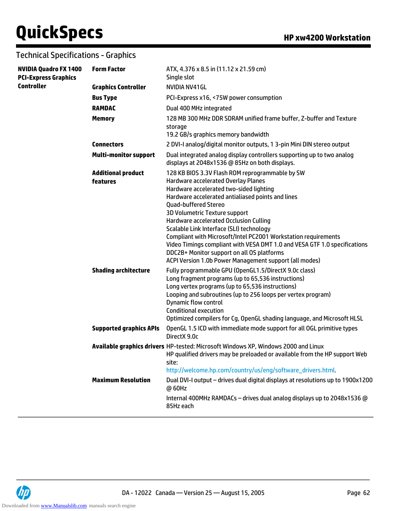| <b>NVIDIA Quadro FX 1400</b><br><b>PCI-Express Graphics</b> | <b>Form Factor</b>                    | ATX, 4.376 x 8.5 in (11.12 x 21.59 cm)<br>Single slot                                                                                                                                                                                                                                                                                                                                                                                                                                                                                                                                               |
|-------------------------------------------------------------|---------------------------------------|-----------------------------------------------------------------------------------------------------------------------------------------------------------------------------------------------------------------------------------------------------------------------------------------------------------------------------------------------------------------------------------------------------------------------------------------------------------------------------------------------------------------------------------------------------------------------------------------------------|
| <b>Controller</b>                                           | <b>Graphics Controller</b>            | NVIDIA NV41GL                                                                                                                                                                                                                                                                                                                                                                                                                                                                                                                                                                                       |
|                                                             | <b>Bus Type</b>                       | PCI-Express x16, <75W power consumption                                                                                                                                                                                                                                                                                                                                                                                                                                                                                                                                                             |
|                                                             | <b>RAMDAC</b>                         | Dual 400 MHz integrated                                                                                                                                                                                                                                                                                                                                                                                                                                                                                                                                                                             |
|                                                             | <b>Memory</b>                         | 128 MB 300 MHz DDR SDRAM unified frame buffer, Z-buffer and Texture<br>storage<br>19.2 GB/s graphics memory bandwidth                                                                                                                                                                                                                                                                                                                                                                                                                                                                               |
|                                                             | <b>Connectors</b>                     | 2 DVI-I analog/digital monitor outputs, 1 3-pin Mini DIN stereo output                                                                                                                                                                                                                                                                                                                                                                                                                                                                                                                              |
|                                                             | <b>Multi-monitor support</b>          | Dual integrated analog display controllers supporting up to two analog<br>displays at 2048x1536 @ 85Hz on both displays.                                                                                                                                                                                                                                                                                                                                                                                                                                                                            |
|                                                             | <b>Additional product</b><br>features | 128 KB BIOS 3.3V Flash ROM reprogrammable by SW<br>Hardware accelerated Overlay Planes<br>Hardware accelerated two-sided lighting<br>Hardware accelerated antialiased points and lines<br><b>Quad-buffered Stereo</b><br>3D Volumetric Texture support<br>Hardware accelerated Occlusion Culling<br>Scalable Link Interface (SLI) technology<br>Compliant with Microsoft/Intel PC2001 Workstation requirements<br>Video Timings compliant with VESA DMT 1.0 and VESA GTF 1.0 specifications<br>DDC2B+ Monitor support on all OS platforms<br>ACPI Version 1.0b Power Management support (all modes) |
|                                                             | <b>Shading architecture</b>           | Fully programmable GPU (OpenGL1.5/DirectX 9.0c class)<br>Long fragment programs (up to 65,536 instructions)<br>Long vertex programs (up to 65,536 instructions)<br>Looping and subroutines (up to 256 loops per vertex program)<br><b>Dynamic flow control</b><br><b>Conditional execution</b><br>Optimized compilers for Cg, OpenGL shading language, and Microsoft HLSL                                                                                                                                                                                                                           |
|                                                             | <b>Supported graphics APIs</b>        | OpenGL 1.5 ICD with immediate mode support for all OGL primitive types<br>DirectX 9.0c                                                                                                                                                                                                                                                                                                                                                                                                                                                                                                              |
|                                                             |                                       | Available graphics drivers HP-tested: Microsoft Windows XP, Windows 2000 and Linux<br>HP qualified drivers may be preloaded or available from the HP support Web<br>site:<br>http://welcome.hp.com/country/us/eng/software_drivers.html.                                                                                                                                                                                                                                                                                                                                                            |
|                                                             | <b>Maximum Resolution</b>             | Dual DVI-I output - drives dual digital displays at resolutions up to 1900x1200<br>@60Hz                                                                                                                                                                                                                                                                                                                                                                                                                                                                                                            |
|                                                             |                                       | Internal 400MHz RAMDACs - drives dual analog displays up to 2048x1536 @<br>85Hz each                                                                                                                                                                                                                                                                                                                                                                                                                                                                                                                |

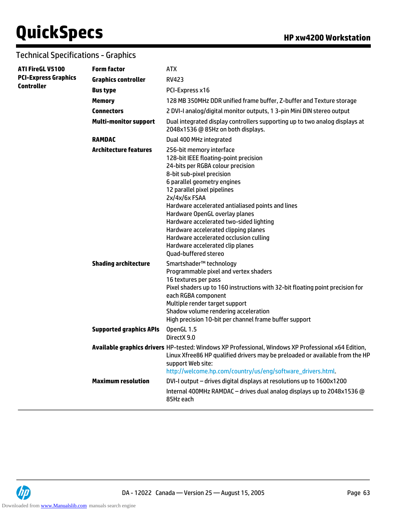| <b>ATI FireGL V5100</b>                          | <b>Form factor</b>             | <b>ATX</b>                                                                                                                                                                                                                                                                                                                                                                                                                                                                                           |
|--------------------------------------------------|--------------------------------|------------------------------------------------------------------------------------------------------------------------------------------------------------------------------------------------------------------------------------------------------------------------------------------------------------------------------------------------------------------------------------------------------------------------------------------------------------------------------------------------------|
| <b>PCI-Express Graphics</b><br><b>Controller</b> | <b>Graphics controller</b>     | <b>RV423</b>                                                                                                                                                                                                                                                                                                                                                                                                                                                                                         |
|                                                  | <b>Bus type</b>                | PCI-Express x16                                                                                                                                                                                                                                                                                                                                                                                                                                                                                      |
|                                                  | <b>Memory</b>                  | 128 MB 350MHz DDR unified frame buffer, Z-buffer and Texture storage                                                                                                                                                                                                                                                                                                                                                                                                                                 |
|                                                  | <b>Connectors</b>              | 2 DVI-I analog/digital monitor outputs, 1 3-pin Mini DIN stereo output                                                                                                                                                                                                                                                                                                                                                                                                                               |
|                                                  | <b>Multi-monitor support</b>   | Dual integrated display controllers supporting up to two analog displays at<br>2048x1536 @ 85Hz on both displays.                                                                                                                                                                                                                                                                                                                                                                                    |
|                                                  | <b>RAMDAC</b>                  | Dual 400 MHz integrated                                                                                                                                                                                                                                                                                                                                                                                                                                                                              |
|                                                  | <b>Architecture features</b>   | 256-bit memory interface<br>128-bit IEEE floating-point precision<br>24-bits per RGBA colour precision<br>8-bit sub-pixel precision<br>6 parallel geometry engines<br>12 parallel pixel pipelines<br>$2x/4x/6x$ FSAA<br>Hardware accelerated antialiased points and lines<br>Hardware OpenGL overlay planes<br>Hardware accelerated two-sided lighting<br>Hardware accelerated clipping planes<br>Hardware accelerated occlusion culling<br>Hardware accelerated clip planes<br>Quad-buffered stereo |
|                                                  | <b>Shading architecture</b>    | Smartshader <sup>™</sup> technology<br>Programmable pixel and vertex shaders<br>16 textures per pass<br>Pixel shaders up to 160 instructions with 32-bit floating point precision for<br>each RGBA component<br>Multiple render target support<br>Shadow volume rendering acceleration<br>High precision 10-bit per channel frame buffer support                                                                                                                                                     |
|                                                  | <b>Supported graphics APIs</b> | OpenGL 1.5<br>DirectX 9.0                                                                                                                                                                                                                                                                                                                                                                                                                                                                            |
|                                                  |                                | Available graphics drivers HP-tested: Windows XP Professional, Windows XP Professional x64 Edition,<br>Linux Xfree86 HP qualified drivers may be preloaded or available from the HP<br>support Web site:<br>http://welcome.hp.com/country/us/eng/software_drivers.html.                                                                                                                                                                                                                              |
|                                                  | <b>Maximum resolution</b>      | DVI-I output - drives digital displays at resolutions up to 1600x1200                                                                                                                                                                                                                                                                                                                                                                                                                                |
|                                                  |                                | Internal 400MHz RAMDAC - drives dual analog displays up to 2048x1536 @<br>85Hz each                                                                                                                                                                                                                                                                                                                                                                                                                  |

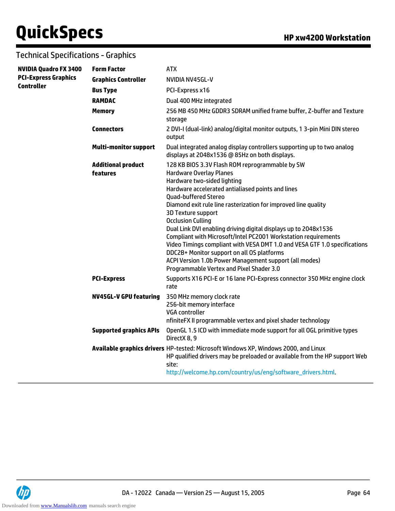| <b>NVIDIA Quadro FX 3400</b> | <b>Form Factor</b>                    | <b>ATX</b>                                                                                                                                                                                                                                                                                                                                                                                                                                                                                                                                                                                                                                                                                            |
|------------------------------|---------------------------------------|-------------------------------------------------------------------------------------------------------------------------------------------------------------------------------------------------------------------------------------------------------------------------------------------------------------------------------------------------------------------------------------------------------------------------------------------------------------------------------------------------------------------------------------------------------------------------------------------------------------------------------------------------------------------------------------------------------|
| <b>PCI-Express Graphics</b>  | <b>Graphics Controller</b>            | NVIDIA NV45GL-V                                                                                                                                                                                                                                                                                                                                                                                                                                                                                                                                                                                                                                                                                       |
| <b>Controller</b>            | <b>Bus Type</b>                       | PCI-Express x16                                                                                                                                                                                                                                                                                                                                                                                                                                                                                                                                                                                                                                                                                       |
|                              | <b>RAMDAC</b>                         | Dual 400 MHz integrated                                                                                                                                                                                                                                                                                                                                                                                                                                                                                                                                                                                                                                                                               |
|                              | <b>Memory</b>                         | 256 MB 450 MHz GDDR3 SDRAM unified frame buffer, Z-buffer and Texture<br>storage                                                                                                                                                                                                                                                                                                                                                                                                                                                                                                                                                                                                                      |
|                              | <b>Connectors</b>                     | 2 DVI-I (dual-link) analog/digital monitor outputs, 1 3-pin Mini DIN stereo<br>output                                                                                                                                                                                                                                                                                                                                                                                                                                                                                                                                                                                                                 |
|                              | <b>Multi-monitor support</b>          | Dual integrated analog display controllers supporting up to two analog<br>displays at 2048x1536 @ 85Hz on both displays.                                                                                                                                                                                                                                                                                                                                                                                                                                                                                                                                                                              |
|                              | <b>Additional product</b><br>features | 128 KB BIOS 3.3V Flash ROM reprogrammable by SW<br><b>Hardware Overlay Planes</b><br>Hardware two-sided lighting<br>Hardware accelerated antialiased points and lines<br><b>Quad-buffered Stereo</b><br>Diamond exit rule line rasterization for improved line quality<br><b>3D Texture support</b><br><b>Occlusion Culling</b><br>Dual Link DVI enabling driving digital displays up to 2048x1536<br>Compliant with Microsoft/Intel PC2001 Workstation requirements<br>Video Timings compliant with VESA DMT 1.0 and VESA GTF 1.0 specifications<br>DDC2B+ Monitor support on all OS platforms<br>ACPI Version 1.0b Power Management support (all modes)<br>Programmable Vertex and Pixel Shader 3.0 |
|                              | <b>PCI-Express</b>                    | Supports X16 PCI-E or 16 lane PCI-Express connector 350 MHz engine clock<br>rate                                                                                                                                                                                                                                                                                                                                                                                                                                                                                                                                                                                                                      |
|                              | <b>NV45GL-V GPU featuring</b>         | 350 MHz memory clock rate<br>256-bit memory interface<br><b>VGA</b> controller<br>nfiniteFX II programmable vertex and pixel shader technology                                                                                                                                                                                                                                                                                                                                                                                                                                                                                                                                                        |
|                              | <b>Supported graphics APIs</b>        | OpenGL 1.5 ICD with immediate mode support for all OGL primitive types<br>DirectX 8, 9                                                                                                                                                                                                                                                                                                                                                                                                                                                                                                                                                                                                                |
|                              |                                       | Available graphics drivers HP-tested: Microsoft Windows XP, Windows 2000, and Linux<br>HP qualified drivers may be preloaded or available from the HP support Web<br>site:<br>http://welcome.hp.com/country/us/eng/software_drivers.html.                                                                                                                                                                                                                                                                                                                                                                                                                                                             |

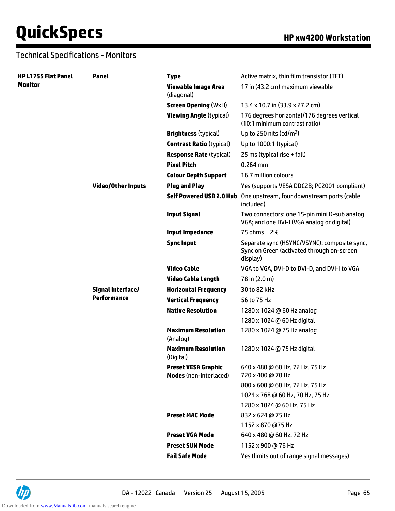| <b>HP L1755 Flat Panel</b> | Panel                     | <b>Type</b>                                                 | Active matrix, thin film transistor (TFT)                                                              |
|----------------------------|---------------------------|-------------------------------------------------------------|--------------------------------------------------------------------------------------------------------|
| <b>Monitor</b>             |                           | <b>Viewable Image Area</b><br>(diagonal)                    | 17 in (43.2 cm) maximum viewable                                                                       |
|                            |                           | <b>Screen Opening (WxH)</b>                                 | 13.4 x 10.7 in (33.9 x 27.2 cm)                                                                        |
|                            |                           | <b>Viewing Angle (typical)</b>                              | 176 degrees horizontal/176 degrees vertical<br>(10:1 minimum contrast ratio)                           |
|                            |                           | <b>Brightness (typical)</b>                                 | Up to 250 nits ( $cd/m2$ )                                                                             |
|                            |                           | <b>Contrast Ratio (typical)</b>                             | Up to 1000:1 (typical)                                                                                 |
|                            |                           | <b>Response Rate (typical)</b>                              | 25 ms (typical rise + fall)                                                                            |
|                            |                           | <b>Pixel Pitch</b>                                          | $0.264$ mm                                                                                             |
|                            |                           | <b>Colour Depth Support</b>                                 | 16.7 million colours                                                                                   |
|                            | <b>Video/Other Inputs</b> | <b>Plug and Play</b>                                        | Yes (supports VESA DDC2B; PC2001 compliant)                                                            |
|                            |                           | <b>Self Powered USB 2.0 Hub</b>                             | One upstream, four downstream ports (cable<br>included)                                                |
|                            |                           | <b>Input Signal</b>                                         | Two connectors: one 15-pin mini D-sub analog<br>VGA; and one DVI-I (VGA analog or digital)             |
|                            |                           | <b>Input Impedance</b>                                      | 75 ohms ± 2%                                                                                           |
|                            |                           | <b>Sync Input</b>                                           | Separate sync (HSYNC/VSYNC); composite sync,<br>Sync on Green (activated through on-screen<br>display) |
|                            |                           | <b>Video Cable</b>                                          | VGA to VGA, DVI-D to DVI-D, and DVI-I to VGA                                                           |
|                            |                           | <b>Video Cable Length</b>                                   | 78 in (2.0 m)                                                                                          |
|                            | Signal Interface/         | <b>Horizontal Frequency</b>                                 | 30 to 82 kHz                                                                                           |
|                            | Performance               | <b>Vertical Frequency</b>                                   | 56 to 75 Hz                                                                                            |
|                            |                           | <b>Native Resolution</b>                                    | 1280 x 1024 @ 60 Hz analog                                                                             |
|                            |                           |                                                             | 1280 x 1024 @ 60 Hz digital                                                                            |
|                            |                           | <b>Maximum Resolution</b><br>(Analog)                       | 1280 x 1024 @ 75 Hz analog                                                                             |
|                            |                           | <b>Maximum Resolution</b><br>(Digital)                      | 1280 x 1024 @ 75 Hz digital                                                                            |
|                            |                           | <b>Preset VESA Graphic</b><br><b>Modes</b> (non-interlaced) | 640 x 480 @ 60 Hz, 72 Hz, 75 Hz<br>720 x 400 @ 70 Hz                                                   |
|                            |                           |                                                             | 800 x 600 @ 60 Hz, 72 Hz, 75 Hz                                                                        |
|                            |                           |                                                             | 1024 x 768 @ 60 Hz, 70 Hz, 75 Hz                                                                       |
|                            |                           |                                                             | 1280 x 1024 @ 60 Hz, 75 Hz                                                                             |
|                            |                           | <b>Preset MAC Mode</b>                                      | 832 x 624 @ 75 Hz                                                                                      |
|                            |                           |                                                             | 1152 x 870 @75 Hz                                                                                      |
|                            |                           | <b>Preset VGA Mode</b>                                      | 640 x 480 @ 60 Hz, 72 Hz                                                                               |
|                            |                           | <b>Preset SUN Mode</b>                                      | 1152 x 900 @ 76 Hz                                                                                     |
|                            |                           | <b>Fail Safe Mode</b>                                       | Yes (limits out of range signal messages)                                                              |

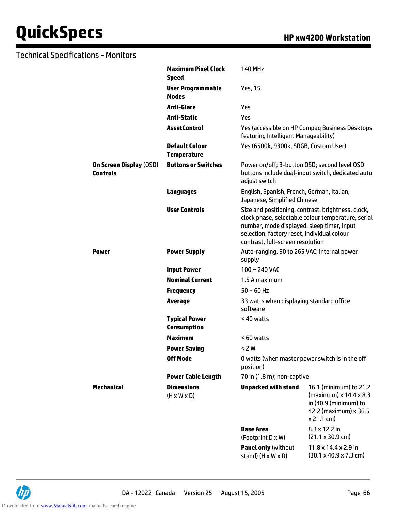|                                                   | <b>Maximum Pixel Clock</b><br><b>Speed</b>   | <b>140 MHz</b>                                                                                                                |                                                                                                                    |  |
|---------------------------------------------------|----------------------------------------------|-------------------------------------------------------------------------------------------------------------------------------|--------------------------------------------------------------------------------------------------------------------|--|
|                                                   | <b>User Programmable</b><br><b>Modes</b>     | <b>Yes, 15</b>                                                                                                                |                                                                                                                    |  |
|                                                   | <b>Anti-Glare</b>                            | Yes                                                                                                                           |                                                                                                                    |  |
|                                                   | <b>Anti-Static</b>                           | Yes                                                                                                                           |                                                                                                                    |  |
|                                                   | <b>AssetControl</b>                          | featuring Intelligent Manageability)                                                                                          | Yes (accessible on HP Compag Business Desktops                                                                     |  |
|                                                   | <b>Default Colour</b><br><b>Temperature</b>  | Yes (6500k, 9300k, SRGB, Custom User)                                                                                         |                                                                                                                    |  |
| <b>On Screen Display (OSD)</b><br><b>Controls</b> | <b>Buttons or Switches</b>                   | Power on/off; 3-button OSD; second level OSD<br>buttons include dual-input switch, dedicated auto<br>adjust switch            |                                                                                                                    |  |
|                                                   | <b>Languages</b>                             | English, Spanish, French, German, Italian,<br>Japanese, Simplified Chinese                                                    |                                                                                                                    |  |
|                                                   | <b>User Controls</b>                         | number, mode displayed, sleep timer, input<br>selection, factory reset, individual colour<br>contrast, full-screen resolution | Size and positioning, contrast, brightness, clock,<br>clock phase, selectable colour temperature, serial           |  |
| <b>Power</b>                                      | <b>Power Supply</b>                          | Auto-ranging, 90 to 265 VAC; internal power<br>supply                                                                         |                                                                                                                    |  |
|                                                   | <b>Input Power</b>                           | $100 - 240$ VAC                                                                                                               |                                                                                                                    |  |
|                                                   | <b>Nominal Current</b>                       | 1.5 A maximum                                                                                                                 |                                                                                                                    |  |
|                                                   | <b>Frequency</b>                             | $50 \sim 60$ Hz                                                                                                               |                                                                                                                    |  |
|                                                   | <b>Average</b>                               | 33 watts when displaying standard office<br>software                                                                          |                                                                                                                    |  |
|                                                   | <b>Typical Power</b><br><b>Consumption</b>   | < 40 watts                                                                                                                    |                                                                                                                    |  |
|                                                   | <b>Maximum</b>                               | < 60 watts                                                                                                                    |                                                                                                                    |  |
|                                                   | <b>Power Saving</b>                          | < 2 W                                                                                                                         |                                                                                                                    |  |
|                                                   | <b>Off Mode</b>                              | O watts (when master power switch is in the off<br>position)                                                                  |                                                                                                                    |  |
|                                                   | <b>Power Cable Length</b>                    | 70 in (1.8 m); non-captive                                                                                                    |                                                                                                                    |  |
| <b>Mechanical</b>                                 | <b>Dimensions</b><br>$(H \times W \times D)$ | <b>Unpacked with stand</b>                                                                                                    | 16.1 (minimum) to 21.2<br>(maximum) x 14.4 x 8.3<br>in (40.9 (minimum) to<br>42.2 (maximum) x 36.5<br>$x 21.1$ cm) |  |
|                                                   |                                              | <b>Base Area</b>                                                                                                              | 8.3 x 12.2 in                                                                                                      |  |
|                                                   |                                              | (Footprint D x W)                                                                                                             | $(21.1 \times 30.9 \text{ cm})$                                                                                    |  |
|                                                   |                                              | <b>Panel only (without</b><br>stand) $(H \times W \times D)$                                                                  | $11.8 \times 14.4 \times 2.9$ in<br>$(30.1 \times 40.9 \times 7.3 \text{ cm})$                                     |  |

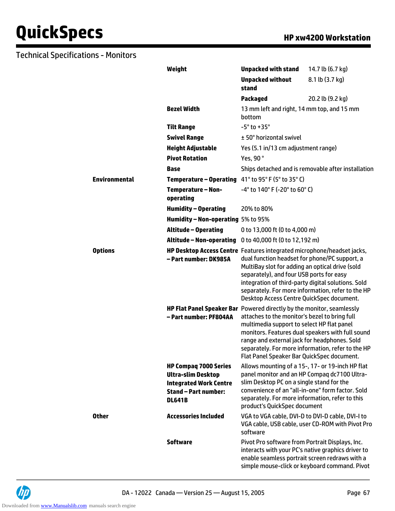|                      | Weight                                                                                                                                     | <b>Unpacked with stand</b>                                                                                                                                                                                                                                                                                                                                                     | 14.7 lb (6.7 kg)                                   |  |
|----------------------|--------------------------------------------------------------------------------------------------------------------------------------------|--------------------------------------------------------------------------------------------------------------------------------------------------------------------------------------------------------------------------------------------------------------------------------------------------------------------------------------------------------------------------------|----------------------------------------------------|--|
|                      |                                                                                                                                            | <b>Unpacked without</b><br>stand                                                                                                                                                                                                                                                                                                                                               | 8.1 lb (3.7 kg)                                    |  |
|                      |                                                                                                                                            | Packaged                                                                                                                                                                                                                                                                                                                                                                       | 20.2 lb (9.2 kg)                                   |  |
|                      | <b>Bezel Width</b>                                                                                                                         | 13 mm left and right, 14 mm top, and 15 mm<br>bottom                                                                                                                                                                                                                                                                                                                           |                                                    |  |
|                      | <b>Tilt Range</b>                                                                                                                          | $-5^\circ$ to $+35^\circ$                                                                                                                                                                                                                                                                                                                                                      |                                                    |  |
|                      | <b>Swivel Range</b>                                                                                                                        | ± 50° horizontal swivel                                                                                                                                                                                                                                                                                                                                                        |                                                    |  |
|                      | <b>Height Adjustable</b>                                                                                                                   | Yes (5.1 in/13 cm adjustment range)                                                                                                                                                                                                                                                                                                                                            |                                                    |  |
|                      | <b>Pivot Rotation</b>                                                                                                                      | Yes, 90°                                                                                                                                                                                                                                                                                                                                                                       |                                                    |  |
|                      | Base                                                                                                                                       |                                                                                                                                                                                                                                                                                                                                                                                | Ships detached and is removable after installation |  |
| <b>Environmental</b> | Temperature - Operating 41° to 95° F (5° to 35° C)                                                                                         |                                                                                                                                                                                                                                                                                                                                                                                |                                                    |  |
|                      | <b>Temperature - Non-</b><br>operating                                                                                                     | -4° to 140° F (-20° to 60° C)                                                                                                                                                                                                                                                                                                                                                  |                                                    |  |
|                      | <b>Humidity - Operating</b>                                                                                                                | 20% to 80%                                                                                                                                                                                                                                                                                                                                                                     |                                                    |  |
|                      | Humidity - Non-operating 5% to 95%                                                                                                         |                                                                                                                                                                                                                                                                                                                                                                                |                                                    |  |
|                      | <b>Altitude - Operating</b>                                                                                                                | 0 to 13,000 ft (0 to 4,000 m)                                                                                                                                                                                                                                                                                                                                                  |                                                    |  |
|                      | Altitude - Non-operating                                                                                                                   | 0 to 40,000 ft (0 to 12,192 m)                                                                                                                                                                                                                                                                                                                                                 |                                                    |  |
| <b>Options</b>       | - Part number: DK985A                                                                                                                      | HP Desktop Access Centre Features integrated microphone/headset jacks,<br>dual function headset for phone/PC support, a<br>MultiBay slot for adding an optical drive (sold<br>separately), and four USB ports for easy<br>integration of third-party digital solutions. Sold<br>separately. For more information, refer to the HP<br>Desktop Access Centre QuickSpec document. |                                                    |  |
|                      | HP Flat Panel Speaker Bar Powered directly by the monitor, seamlessly<br>- Part number: PF804AA                                            | attaches to the monitor's bezel to bring full<br>multimedia support to select HP flat panel<br>monitors. Features dual speakers with full sound<br>range and external jack for headphones. Sold<br>separately. For more information, refer to the HP<br>Flat Panel Speaker Bar QuickSpec document.                                                                             |                                                    |  |
|                      | <b>HP Compaq 7000 Series</b><br><b>Ultra-slim Desktop</b><br><b>Integrated Work Centre</b><br><b>Stand - Part number:</b><br><b>DL641B</b> | Allows mounting of a 15-, 17- or 19-inch HP flat<br>panel monitor and an HP Compag dc7100 Ultra-<br>slim Desktop PC on a single stand for the<br>convenience of an "all-in-one" form factor. Sold<br>separately. For more information, refer to this<br>product's QuickSpec document                                                                                           |                                                    |  |
| <b>Other</b>         | <b>Accessories Included</b>                                                                                                                | VGA to VGA cable, DVI-D to DVI-D cable, DVI-I to<br>VGA cable, USB cable, user CD-ROM with Pivot Pro<br>software                                                                                                                                                                                                                                                               |                                                    |  |
|                      | <b>Software</b>                                                                                                                            | Pivot Pro software from Portrait Displays, Inc.<br>interacts with your PC's native graphics driver to<br>enable seamless portrait screen redraws with a<br>simple mouse-click or keyboard command. Pivot                                                                                                                                                                       |                                                    |  |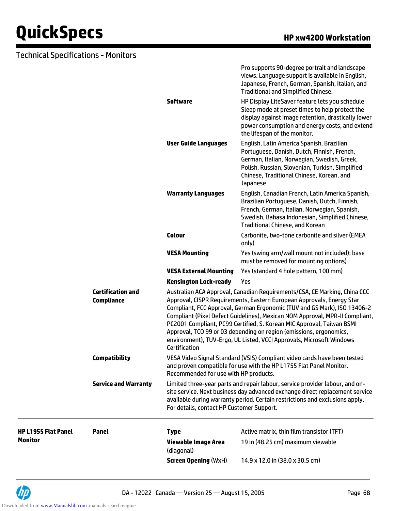#### Technical Specifications - Monitors

|                                               |                                                                                                                                                                                                                                                                                                                                                                                                                                                                                                                                       | display against image retention, drastically lower<br>power consumption and energy costs, and extend                                                                                                                                                |
|-----------------------------------------------|---------------------------------------------------------------------------------------------------------------------------------------------------------------------------------------------------------------------------------------------------------------------------------------------------------------------------------------------------------------------------------------------------------------------------------------------------------------------------------------------------------------------------------------|-----------------------------------------------------------------------------------------------------------------------------------------------------------------------------------------------------------------------------------------------------|
|                                               |                                                                                                                                                                                                                                                                                                                                                                                                                                                                                                                                       | the lifespan of the monitor.                                                                                                                                                                                                                        |
|                                               | <b>User Guide Languages</b>                                                                                                                                                                                                                                                                                                                                                                                                                                                                                                           | English, Latin America Spanish, Brazilian<br>Portuguese, Danish, Dutch, Finnish, French,<br>German, Italian, Norwegian, Swedish, Greek,<br>Polish, Russian, Slovenian, Turkish, Simplified<br>Chinese, Traditional Chinese, Korean, and<br>Japanese |
|                                               | <b>Warranty Languages</b>                                                                                                                                                                                                                                                                                                                                                                                                                                                                                                             | English, Canadian French, Latin America Spanish,<br>Brazilian Portuguese, Danish, Dutch, Finnish,<br>French, German, Italian, Norwegian, Spanish,<br>Swedish, Bahasa Indonesian, Simplified Chinese,<br><b>Traditional Chinese, and Korean</b>      |
|                                               | <b>Colour</b>                                                                                                                                                                                                                                                                                                                                                                                                                                                                                                                         | Carbonite, two-tone carbonite and silver (EMEA<br>only)                                                                                                                                                                                             |
|                                               | <b>VESA Mounting</b>                                                                                                                                                                                                                                                                                                                                                                                                                                                                                                                  | Yes (swing arm/wall mount not included); base<br>must be removed for mounting options)                                                                                                                                                              |
|                                               | <b>VESA External Mounting</b>                                                                                                                                                                                                                                                                                                                                                                                                                                                                                                         | Yes (standard 4 hole pattern, 100 mm)                                                                                                                                                                                                               |
|                                               | <b>Kensington Lock-ready</b>                                                                                                                                                                                                                                                                                                                                                                                                                                                                                                          | Yes                                                                                                                                                                                                                                                 |
| <b>Certification and</b><br><b>Compliance</b> | Australian ACA Approval, Canadian Requirements/CSA, CE Marking, China CCC<br>Approval, CISPR Requirements, Eastern European Approvals, Energy Star<br>Compliant, FCC Approval, German Ergonomic (TUV and GS Mark), ISO 13406-2<br>Compliant (Pixel Defect Guidelines), Mexican NOM Approval, MPR-II Compliant,<br>PC2001 Compliant, PC99 Certified, S. Korean MIC Approval, Taiwan BSMI<br>Approval, TCO 99 or 03 depending on region (emissions, ergonomics,<br>environment), TUV-Ergo, UL Listed, VCCI Approvals, Microsoft Windows |                                                                                                                                                                                                                                                     |
|                                               | Certification                                                                                                                                                                                                                                                                                                                                                                                                                                                                                                                         |                                                                                                                                                                                                                                                     |
| <b>Compatibility</b>                          | Recommended for use with HP products.                                                                                                                                                                                                                                                                                                                                                                                                                                                                                                 | VESA Video Signal Standard (VSIS) Compliant video cards have been tested<br>and proven compatible for use with the HP L1755 Flat Panel Monitor.                                                                                                     |
| <b>Service and Warranty</b>                   | For details, contact HP Customer Support.                                                                                                                                                                                                                                                                                                                                                                                                                                                                                             | Limited three-year parts and repair labour, service provider labour, and on-<br>site service. Next business day advanced exchange direct replacement service<br>available during warranty period. Certain restrictions and exclusions apply.        |
| <b>Panel</b>                                  | <b>Type</b>                                                                                                                                                                                                                                                                                                                                                                                                                                                                                                                           | Active matrix, thin film transistor (TFT)                                                                                                                                                                                                           |
|                                               | <b>Viewable Image Area</b><br>(diagonal)                                                                                                                                                                                                                                                                                                                                                                                                                                                                                              | 19 in (48.25 cm) maximum viewable                                                                                                                                                                                                                   |

**HP L1955 Flat Panel**

**Monitor**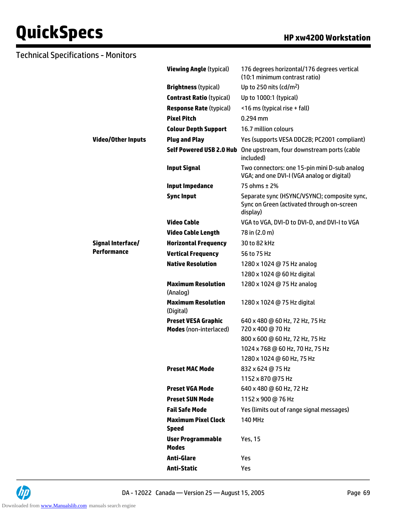| <b>Technical Specifications - Monitors</b> |                                                             |                                                                                                        |
|--------------------------------------------|-------------------------------------------------------------|--------------------------------------------------------------------------------------------------------|
|                                            | <b>Viewing Angle (typical)</b>                              | 176 degrees horizontal/176 degrees vertical<br>(10:1 minimum contrast ratio)                           |
|                                            | <b>Brightness (typical)</b>                                 | Up to 250 nits (cd/m <sup>2</sup> )                                                                    |
|                                            | <b>Contrast Ratio (typical)</b>                             | Up to 1000:1 (typical)                                                                                 |
|                                            | <b>Response Rate (typical)</b>                              | <16 ms (typical rise + fall)                                                                           |
|                                            | <b>Pixel Pitch</b>                                          | $0.294$ mm                                                                                             |
|                                            | <b>Colour Depth Support</b>                                 | 16.7 million colours                                                                                   |
| <b>Video/Other Inputs</b>                  | <b>Plug and Play</b>                                        | Yes (supports VESA DDC2B; PC2001 compliant)                                                            |
|                                            |                                                             | Self Powered USB 2.0 Hub One upstream, four downstream ports (cable<br>included)                       |
|                                            | <b>Input Signal</b>                                         | Two connectors: one 15-pin mini D-sub analog<br>VGA; and one DVI-I (VGA analog or digital)             |
|                                            | <b>Input Impedance</b>                                      | 75 ohms ± 2%                                                                                           |
|                                            | <b>Sync Input</b>                                           | Separate sync (HSYNC/VSYNC); composite sync,<br>Sync on Green (activated through on-screen<br>display) |
|                                            | <b>Video Cable</b>                                          | VGA to VGA, DVI-D to DVI-D, and DVI-I to VGA                                                           |
|                                            | <b>Video Cable Length</b>                                   | 78 in (2.0 m)                                                                                          |
| Signal Interface/                          | <b>Horizontal Frequency</b>                                 | 30 to 82 kHz                                                                                           |
| <b>Performance</b>                         | <b>Vertical Frequency</b>                                   | 56 to 75 Hz                                                                                            |
|                                            | <b>Native Resolution</b>                                    | 1280 x 1024 @ 75 Hz analog                                                                             |
|                                            |                                                             | 1280 x 1024 @ 60 Hz digital                                                                            |
|                                            | <b>Maximum Resolution</b><br>(Analog)                       | 1280 x 1024 @ 75 Hz analog                                                                             |
|                                            | <b>Maximum Resolution</b><br>(Digital)                      | 1280 x 1024 @ 75 Hz digital                                                                            |
|                                            | <b>Preset VESA Graphic</b><br><b>Modes</b> (non-interlaced) | 640 x 480 @ 60 Hz, 72 Hz, 75 Hz<br>720 x 400 @ 70 Hz                                                   |
|                                            |                                                             | 800 x 600 @ 60 Hz, 72 Hz, 75 Hz                                                                        |
|                                            |                                                             | 1024 x 768 @ 60 Hz, 70 Hz, 75 Hz                                                                       |
|                                            |                                                             | 1280 x 1024 @ 60 Hz, 75 Hz                                                                             |
|                                            | <b>Preset MAC Mode</b>                                      | 832 x 624 @ 75 Hz                                                                                      |
|                                            |                                                             | 1152 x 870 @75 Hz                                                                                      |
|                                            | <b>Preset VGA Mode</b>                                      | 640 x 480 @ 60 Hz, 72 Hz                                                                               |
|                                            | <b>Preset SUN Mode</b>                                      | 1152 x 900 @ 76 Hz                                                                                     |
|                                            | <b>Fail Safe Mode</b>                                       | Yes (limits out of range signal messages)                                                              |
|                                            | <b>Maximum Pixel Clock</b><br><b>Speed</b>                  | <b>140 MHz</b>                                                                                         |
|                                            | <b>User Programmable</b><br><b>Modes</b>                    | Yes, 15                                                                                                |
|                                            | <b>Anti-Glare</b>                                           | Yes                                                                                                    |
|                                            | <b>Anti-Static</b>                                          | Yes                                                                                                    |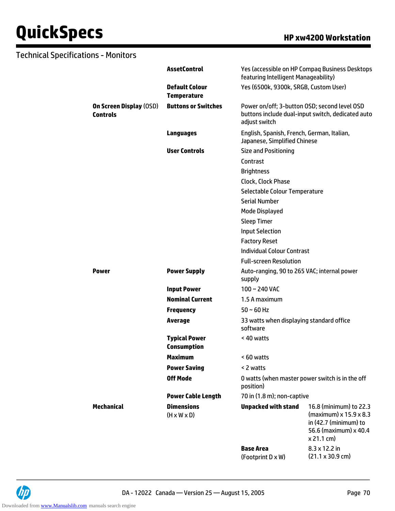| <b>Technical Specifications - Monitors</b>        |                                              |                                                                            |                                                                                                                  |
|---------------------------------------------------|----------------------------------------------|----------------------------------------------------------------------------|------------------------------------------------------------------------------------------------------------------|
|                                                   | <b>AssetControl</b>                          | featuring Intelligent Manageability)                                       | Yes (accessible on HP Compaq Business Desktops                                                                   |
|                                                   | <b>Default Colour</b><br><b>Temperature</b>  | Yes (6500k, 9300k, SRGB, Custom User)                                      |                                                                                                                  |
| <b>On Screen Display (OSD)</b><br><b>Controls</b> | <b>Buttons or Switches</b>                   | adjust switch                                                              | Power on/off; 3-button OSD; second level OSD<br>buttons include dual-input switch, dedicated auto                |
|                                                   | <b>Languages</b>                             | English, Spanish, French, German, Italian,<br>Japanese, Simplified Chinese |                                                                                                                  |
|                                                   | <b>User Controls</b>                         | <b>Size and Positioning</b>                                                |                                                                                                                  |
|                                                   |                                              | Contrast                                                                   |                                                                                                                  |
|                                                   |                                              | <b>Brightness</b>                                                          |                                                                                                                  |
|                                                   |                                              | Clock, Clock Phase                                                         |                                                                                                                  |
|                                                   |                                              | Selectable Colour Temperature                                              |                                                                                                                  |
|                                                   |                                              | <b>Serial Number</b>                                                       |                                                                                                                  |
|                                                   |                                              | Mode Displayed                                                             |                                                                                                                  |
|                                                   |                                              | <b>Sleep Timer</b>                                                         |                                                                                                                  |
|                                                   |                                              | <b>Input Selection</b>                                                     |                                                                                                                  |
|                                                   |                                              | <b>Factory Reset</b>                                                       |                                                                                                                  |
|                                                   |                                              | <b>Individual Colour Contrast</b>                                          |                                                                                                                  |
|                                                   |                                              | <b>Full-screen Resolution</b>                                              |                                                                                                                  |
| <b>Power</b>                                      | <b>Power Supply</b>                          | Auto-ranging, 90 to 265 VAC; internal power<br>supply                      |                                                                                                                  |
|                                                   | <b>Input Power</b>                           | 100~240 VAC                                                                |                                                                                                                  |
|                                                   | <b>Nominal Current</b>                       | 1.5 A maximum                                                              |                                                                                                                  |
|                                                   | <b>Frequency</b>                             | $50 \sim 60$ Hz                                                            |                                                                                                                  |
|                                                   | <b>Average</b>                               | 33 watts when displaying standard office<br>software                       |                                                                                                                  |
|                                                   | <b>Typical Power</b><br><b>Consumption</b>   | < 40 watts                                                                 |                                                                                                                  |
|                                                   | <b>Maximum</b>                               | < 60 watts                                                                 |                                                                                                                  |
|                                                   | <b>Power Saving</b>                          | < 2 watts                                                                  |                                                                                                                  |
|                                                   | <b>Off Mode</b>                              | position)                                                                  | 0 watts (when master power switch is in the off                                                                  |
|                                                   | <b>Power Cable Length</b>                    | 70 in (1.8 m); non-captive                                                 |                                                                                                                  |
| <b>Mechanical</b>                                 | <b>Dimensions</b><br>$(H \times W \times D)$ | <b>Unpacked with stand</b>                                                 | 16.8 (minimum) to 22.3<br>(maximum) x 15.9 x 8.3<br>in (42.7 (minimum) to<br>56.6 (maximum) x 40.4<br>x 21.1 cm) |
|                                                   |                                              | <b>Base Area</b><br>(Footprint D x W)                                      | 8.3 x 12.2 in<br>$(21.1 \times 30.9 \text{ cm})$                                                                 |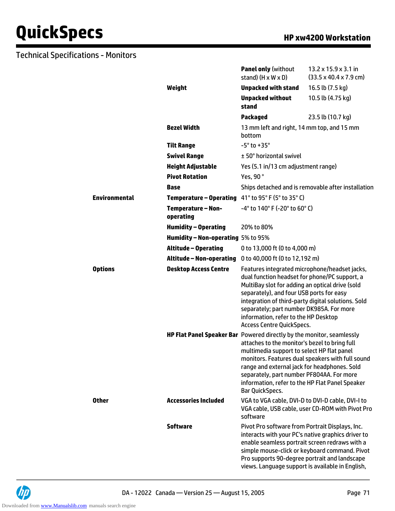|                      |                                                                              | <b>Panel only (without</b><br>stand) $(H \times W \times D)$                                                                                                                                                                                                                                                                                                                | $13.2 \times 15.9 \times 3.1$ in<br>$(33.5 \times 40.4 \times 7.9 \text{ cm})$                      |
|----------------------|------------------------------------------------------------------------------|-----------------------------------------------------------------------------------------------------------------------------------------------------------------------------------------------------------------------------------------------------------------------------------------------------------------------------------------------------------------------------|-----------------------------------------------------------------------------------------------------|
|                      | Weight                                                                       | <b>Unpacked with stand</b>                                                                                                                                                                                                                                                                                                                                                  | 16.5 lb (7.5 kg)                                                                                    |
|                      |                                                                              | <b>Unpacked without</b><br>stand                                                                                                                                                                                                                                                                                                                                            | 10.5 lb (4.75 kg)                                                                                   |
|                      |                                                                              | <b>Packaged</b>                                                                                                                                                                                                                                                                                                                                                             | 23.5 lb (10.7 kg)                                                                                   |
|                      | <b>Bezel Width</b>                                                           | 13 mm left and right, 14 mm top, and 15 mm<br>bottom                                                                                                                                                                                                                                                                                                                        |                                                                                                     |
|                      | <b>Tilt Range</b>                                                            | $-5^\circ$ to $+35^\circ$                                                                                                                                                                                                                                                                                                                                                   |                                                                                                     |
|                      | <b>Swivel Range</b>                                                          | ± 50° horizontal swivel                                                                                                                                                                                                                                                                                                                                                     |                                                                                                     |
|                      | <b>Height Adjustable</b>                                                     | Yes (5.1 in/13 cm adjustment range)                                                                                                                                                                                                                                                                                                                                         |                                                                                                     |
|                      | <b>Pivot Rotation</b>                                                        | Yes, 90°                                                                                                                                                                                                                                                                                                                                                                    |                                                                                                     |
|                      | Base                                                                         |                                                                                                                                                                                                                                                                                                                                                                             | Ships detached and is removable after installation                                                  |
| <b>Environmental</b> | Temperature – Operating                                                      | 41° to 95° F (5° to 35° C)                                                                                                                                                                                                                                                                                                                                                  |                                                                                                     |
|                      | <b>Temperature - Non-</b><br>operating                                       | $-4^{\circ}$ to 140° F (-20° to 60° C)                                                                                                                                                                                                                                                                                                                                      |                                                                                                     |
|                      | <b>Humidity - Operating</b>                                                  | 20% to 80%                                                                                                                                                                                                                                                                                                                                                                  |                                                                                                     |
|                      | Humidity - Non-operating 5% to 95%                                           |                                                                                                                                                                                                                                                                                                                                                                             |                                                                                                     |
|                      | <b>Altitude - Operating</b>                                                  | 0 to 13,000 ft (0 to 4,000 m)                                                                                                                                                                                                                                                                                                                                               |                                                                                                     |
|                      | Altitude – Non-operating                                                     | 0 to 40,000 ft (0 to 12,192 m)                                                                                                                                                                                                                                                                                                                                              |                                                                                                     |
| <b>Options</b>       | <b>Desktop Access Centre</b>                                                 | Features integrated microphone/headset jacks,<br>dual function headset for phone/PC support, a<br>MultiBay slot for adding an optical drive (sold<br>separately), and four USB ports for easy<br>integration of third-party digital solutions. Sold<br>separately; part number DK985A. For more<br>information, refer to the HP Desktop<br><b>Access Centre QuickSpecs.</b> |                                                                                                     |
|                      | <b>HP Flat Panel Speaker Bar</b> Powered directly by the monitor, seamlessly | attaches to the monitor's bezel to bring full<br>multimedia support to select HP flat panel<br>range and external jack for headphones. Sold<br>separately, part number PF804AA. For more<br>information, refer to the HP Flat Panel Speaker<br>Bar QuickSpecs.                                                                                                              | monitors. Features dual speakers with full sound                                                    |
| <b>Other</b>         | <b>Accessories Included</b>                                                  | VGA to VGA cable, DVI-D to DVI-D cable, DVI-I to<br>software                                                                                                                                                                                                                                                                                                                | VGA cable, USB cable, user CD-ROM with Pivot Pro                                                    |
|                      | <b>Software</b>                                                              | Pivot Pro software from Portrait Displays, Inc.<br>enable seamless portrait screen redraws with a<br>Pro supports 90-degree portrait and landscape<br>views. Language support is available in English,                                                                                                                                                                      | interacts with your PC's native graphics driver to<br>simple mouse-click or keyboard command. Pivot |

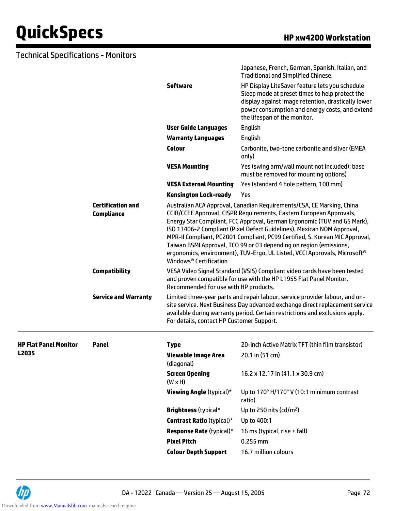|                              |                                               |                                                                                                                                                                                                                                                                                                                                                                                                                                                                                                                                                                                        | Japanese, French, German, Spanish, Italian, and<br><b>Traditional and Simplified Chinese.</b>                                                                                                                                            |  |
|------------------------------|-----------------------------------------------|----------------------------------------------------------------------------------------------------------------------------------------------------------------------------------------------------------------------------------------------------------------------------------------------------------------------------------------------------------------------------------------------------------------------------------------------------------------------------------------------------------------------------------------------------------------------------------------|------------------------------------------------------------------------------------------------------------------------------------------------------------------------------------------------------------------------------------------|--|
|                              |                                               | <b>Software</b>                                                                                                                                                                                                                                                                                                                                                                                                                                                                                                                                                                        | HP Display LiteSaver feature lets you schedule<br>Sleep mode at preset times to help protect the<br>display against image retention, drastically lower<br>power consumption and energy costs, and extend<br>the lifespan of the monitor. |  |
|                              |                                               | <b>User Guide Languages</b>                                                                                                                                                                                                                                                                                                                                                                                                                                                                                                                                                            | English                                                                                                                                                                                                                                  |  |
|                              |                                               | <b>Warranty Languages</b>                                                                                                                                                                                                                                                                                                                                                                                                                                                                                                                                                              | English                                                                                                                                                                                                                                  |  |
|                              |                                               | <b>Colour</b>                                                                                                                                                                                                                                                                                                                                                                                                                                                                                                                                                                          | Carbonite, two-tone carbonite and silver (EMEA<br>only)                                                                                                                                                                                  |  |
|                              |                                               | <b>VESA Mounting</b>                                                                                                                                                                                                                                                                                                                                                                                                                                                                                                                                                                   | Yes (swing arm/wall mount not included); base<br>must be removed for mounting options)                                                                                                                                                   |  |
|                              |                                               | <b>VESA External Mounting</b>                                                                                                                                                                                                                                                                                                                                                                                                                                                                                                                                                          | Yes (standard 4 hole pattern, 100 mm)                                                                                                                                                                                                    |  |
|                              |                                               | <b>Kensington Lock-ready</b>                                                                                                                                                                                                                                                                                                                                                                                                                                                                                                                                                           | Yes                                                                                                                                                                                                                                      |  |
|                              | <b>Certification and</b><br><b>Compliance</b> | Australian ACA Approval, Canadian Requirements/CSA, CE Marking, China<br>CCIB/CCEE Approval, CISPR Requirements, Eastern European Approvals,<br>Energy Star Compliant, FCC Approval, German Ergonomic (TUV and GS Mark),<br>ISO 13406-2 Compliant (Pixel Defect Guidelines), Mexican NOM Approval,<br>MPR-II Compliant, PC2001 Compliant, PC99 Certified, S. Korean MIC Approval,<br>Taiwan BSMI Approval, TCO 99 or 03 depending on region (emissions,<br>ergonomics, environment), TUV-Ergo, UL Listed, VCCI Approvals, Microsoft <sup>®</sup><br>Windows <sup>®</sup> Certification |                                                                                                                                                                                                                                          |  |
|                              | <b>Compatibility</b>                          | VESA Video Signal Standard (VSIS) Compliant video cards have been tested<br>and proven compatible for use with the HP L1955 Flat Panel Monitor.<br>Recommended for use with HP products.                                                                                                                                                                                                                                                                                                                                                                                               |                                                                                                                                                                                                                                          |  |
|                              | <b>Service and Warranty</b>                   | Limited three-year parts and repair labour, service provider labour, and on-<br>site service. Next Business Day advanced exchange direct replacement service<br>available during warranty period. Certain restrictions and exclusions apply.<br>For details, contact HP Customer Support.                                                                                                                                                                                                                                                                                              |                                                                                                                                                                                                                                          |  |
| <b>HP Flat Panel Monitor</b> | Panel                                         | <b>Type</b>                                                                                                                                                                                                                                                                                                                                                                                                                                                                                                                                                                            | 20-inch Active Matrix TFT (thin film transistor)                                                                                                                                                                                         |  |
| L2035                        |                                               | <b>Viewable Image Area</b><br>(diagonal)                                                                                                                                                                                                                                                                                                                                                                                                                                                                                                                                               | 20.1 in (51 cm)                                                                                                                                                                                                                          |  |
|                              |                                               | <b>Screen Opening</b><br>$(W \times H)$                                                                                                                                                                                                                                                                                                                                                                                                                                                                                                                                                | 16.2 x 12.17 in (41.1 x 30.9 cm)                                                                                                                                                                                                         |  |
|                              |                                               | <b>Viewing Angle (typical)*</b>                                                                                                                                                                                                                                                                                                                                                                                                                                                                                                                                                        | Up to 170° H/170° V (10:1 minimum contrast<br>ratio)                                                                                                                                                                                     |  |
|                              |                                               | <b>Brightness (typical*</b>                                                                                                                                                                                                                                                                                                                                                                                                                                                                                                                                                            | Up to 250 nits (cd/m <sup>2</sup> )                                                                                                                                                                                                      |  |
|                              |                                               | <b>Contrast Ratio (typical)*</b>                                                                                                                                                                                                                                                                                                                                                                                                                                                                                                                                                       | Up to 400:1                                                                                                                                                                                                                              |  |
|                              |                                               | <b>Response Rate (typical)*</b>                                                                                                                                                                                                                                                                                                                                                                                                                                                                                                                                                        | 16 ms (typical, rise + fall)                                                                                                                                                                                                             |  |
|                              |                                               | <b>Pixel Pitch</b>                                                                                                                                                                                                                                                                                                                                                                                                                                                                                                                                                                     | 0.255 mm                                                                                                                                                                                                                                 |  |
|                              |                                               | <b>Colour Depth Support</b>                                                                                                                                                                                                                                                                                                                                                                                                                                                                                                                                                            | 16.7 million colours                                                                                                                                                                                                                     |  |

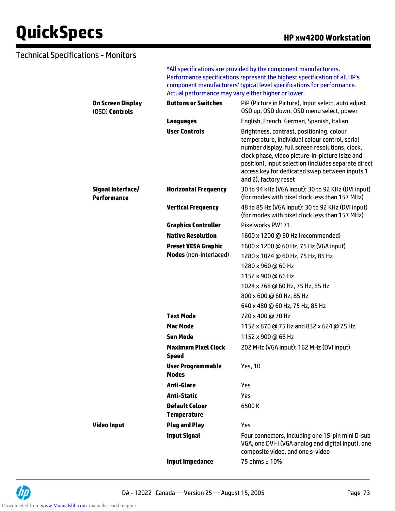#### Technical Specifications - Monitors

\*All specifications are provided by the component manufacturers. Performance specifications represent the highest specification of all HP's component manufacturers' typical level specifications for performance. Actual performance may vary either higher or lower.

| On Screen Display<br>(OSD) Controls | <b>Buttons or Switches</b>                  | PiP (Picture in Picture), Input select, auto adjust,<br>OSD up, OSD down, OSD menu select, power                                                                                                                                                                                                                                     |
|-------------------------------------|---------------------------------------------|--------------------------------------------------------------------------------------------------------------------------------------------------------------------------------------------------------------------------------------------------------------------------------------------------------------------------------------|
|                                     | <b>Languages</b>                            | English, French, German, Spanish, Italian                                                                                                                                                                                                                                                                                            |
|                                     | <b>User Controls</b>                        | Brightness, contrast, positioning, colour<br>temperature, individual colour control, serial<br>number display, full screen resolutions, clock,<br>clock phase, video picture-in-picture (size and<br>position), input selection (includes separate direct<br>access key for dedicated swap between inputs 1<br>and 2), factory reset |
| Signal Interface/<br>Performance    | <b>Horizontal Frequency</b>                 | 30 to 94 kHz (VGA input); 30 to 92 KHz (DVI input)<br>(for modes with pixel clock less than 157 MHz)                                                                                                                                                                                                                                 |
|                                     | <b>Vertical Frequency</b>                   | 48 to 85 Hz (VGA input); 30 to 92 KHz (DVI input)<br>(for modes with pixel clock less than 157 MHz)                                                                                                                                                                                                                                  |
|                                     | <b>Graphics Controller</b>                  | Pixelworks PW171                                                                                                                                                                                                                                                                                                                     |
|                                     | <b>Native Resolution</b>                    | 1600 x 1200 @ 60 Hz (recommended)                                                                                                                                                                                                                                                                                                    |
|                                     | <b>Preset VESA Graphic</b>                  | 1600 x 1200 @ 60 Hz, 75 Hz (VGA input)                                                                                                                                                                                                                                                                                               |
|                                     | <b>Modes</b> (non-interlaced)               | 1280 x 1024 @ 60 Hz, 75 Hz, 85 Hz                                                                                                                                                                                                                                                                                                    |
|                                     |                                             | 1280 x 960 @ 60 Hz                                                                                                                                                                                                                                                                                                                   |
|                                     |                                             | 1152 x 900 @ 66 Hz                                                                                                                                                                                                                                                                                                                   |
|                                     |                                             | 1024 x 768 @ 60 Hz, 75 Hz, 85 Hz                                                                                                                                                                                                                                                                                                     |
|                                     |                                             | 800 x 600 @ 60 Hz, 85 Hz                                                                                                                                                                                                                                                                                                             |
|                                     |                                             | 640 x 480 @ 60 Hz, 75 Hz, 85 Hz                                                                                                                                                                                                                                                                                                      |
|                                     | <b>Text Mode</b>                            | 720 x 400 @ 70 Hz                                                                                                                                                                                                                                                                                                                    |
|                                     | <b>Mac Mode</b>                             | 1152 x 870 @ 75 Hz and 832 x 624 @ 75 Hz                                                                                                                                                                                                                                                                                             |
|                                     | <b>Sun Mode</b>                             | 1152 x 900 @ 66 Hz                                                                                                                                                                                                                                                                                                                   |
|                                     | <b>Maximum Pixel Clock</b><br><b>Speed</b>  | 202 MHz (VGA input); 162 MHz (DVI input)                                                                                                                                                                                                                                                                                             |
|                                     | <b>User Programmable</b><br><b>Modes</b>    | <b>Yes, 10</b>                                                                                                                                                                                                                                                                                                                       |
|                                     | <b>Anti-Glare</b>                           | Yes                                                                                                                                                                                                                                                                                                                                  |
|                                     | <b>Anti-Static</b>                          | Yes                                                                                                                                                                                                                                                                                                                                  |
|                                     | <b>Default Colour</b><br><b>Temperature</b> | 6500K                                                                                                                                                                                                                                                                                                                                |
| <b>Video Input</b>                  | <b>Plug and Play</b>                        | Yes                                                                                                                                                                                                                                                                                                                                  |
|                                     | <b>Input Signal</b>                         | Four connectors, including one 15-pin mini D-sub<br>VGA, one DVI-I (VGA analog and digital input), one<br>composite video, and one s-video                                                                                                                                                                                           |
|                                     | <b>Input Impedance</b>                      | 75 ohms ± 10%                                                                                                                                                                                                                                                                                                                        |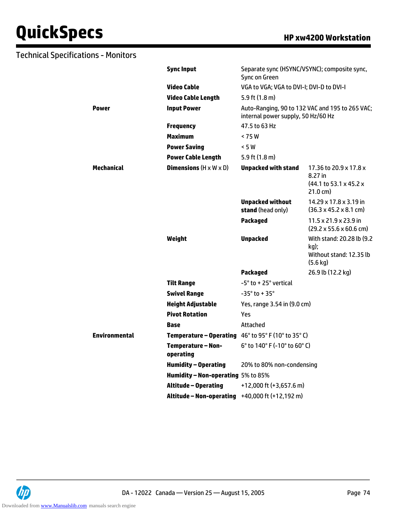# **QuickSpecs HP xw4200 Workstation**

| <b>Technical Specifications - Monitors</b> |                                                                     |                                              |                                                                                    |
|--------------------------------------------|---------------------------------------------------------------------|----------------------------------------------|------------------------------------------------------------------------------------|
|                                            | <b>Sync Input</b>                                                   | Sync on Green                                | Separate sync (HSYNC/VSYNC); composite sync,                                       |
|                                            | <b>Video Cable</b>                                                  | VGA to VGA; VGA to DVI-I; DVI-D to DVI-I     |                                                                                    |
|                                            | <b>Video Cable Length</b>                                           | 5.9 ft $(1.8 \text{ m})$                     |                                                                                    |
| <b>Power</b>                               | <b>Input Power</b>                                                  | internal power supply, 50 Hz/60 Hz           | Auto-Ranging, 90 to 132 VAC and 195 to 265 VAC;                                    |
|                                            | <b>Frequency</b>                                                    | 47.5 to 63 Hz                                |                                                                                    |
|                                            | <b>Maximum</b>                                                      | < 75 W                                       |                                                                                    |
|                                            | <b>Power Saving</b>                                                 | < 5 W                                        |                                                                                    |
|                                            | <b>Power Cable Length</b>                                           | 5.9 ft $(1.8 \text{ m})$                     |                                                                                    |
| <b>Mechanical</b>                          | <b>Dimensions</b> $(H \times W \times D)$                           | <b>Unpacked with stand</b>                   | 17.36 to 20.9 x 17.8 x<br>8.27 in<br>$(44.1$ to 53.1 x 45.2 x<br>$21.0 \text{ cm}$ |
|                                            |                                                                     | <b>Unpacked without</b><br>stand (head only) | 14.29 x 17.8 x 3.19 in<br>$(36.3 \times 45.2 \times 8.1 \text{ cm})$               |
|                                            |                                                                     | <b>Packaged</b>                              | 11.5 x 21.9 x 23.9 in<br>$(29.2 \times 55.6 \times 60.6$ cm)                       |
|                                            | Weight                                                              | <b>Unpacked</b>                              | With stand: 20.28 lb (9.2<br>kg);<br>Without stand: 12.35 lb<br>$(5.6 \text{ kg})$ |
|                                            |                                                                     | <b>Packaged</b>                              | 26.9 lb (12.2 kg)                                                                  |
|                                            | <b>Tilt Range</b>                                                   | -5° to +25° vertical                         |                                                                                    |
|                                            | <b>Swivel Range</b>                                                 | $-35^\circ$ to + 35 $^\circ$                 |                                                                                    |
|                                            | <b>Height Adjustable</b>                                            | Yes, range 3.54 in (9.0 cm)                  |                                                                                    |
|                                            | <b>Pivot Rotation</b>                                               | Yes                                          |                                                                                    |
|                                            | <b>Base</b>                                                         | Attached                                     |                                                                                    |
| <b>Environmental</b>                       | <b>Temperature - Operating</b> $46^{\circ}$ to 95° F (10° to 35° C) |                                              |                                                                                    |
|                                            | Temperature - Non-<br>operating                                     | 6° to 140° F (-10° to 60° C)                 |                                                                                    |
|                                            | <b>Humidity - Operating</b>                                         | 20% to 80% non-condensing                    |                                                                                    |
|                                            | Humidity - Non-operating 5% to 85%                                  |                                              |                                                                                    |
|                                            | <b>Altitude - Operating</b>                                         | +12,000 ft (+3,657.6 m)                      |                                                                                    |



**Altitude – Non-operating** +40,000 ft (+12,192 m)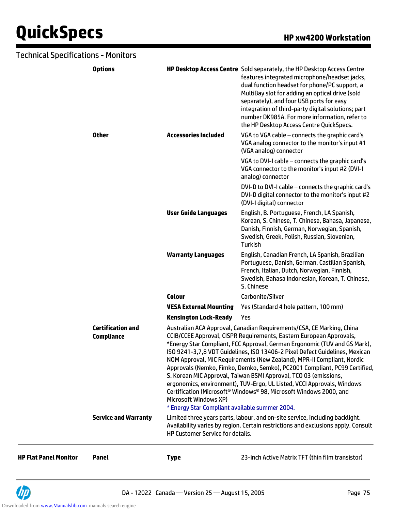# **QuickSpecs HP xw4200 Workstation**

| Technical Specifications - Monitors |                                               |                                                                                                                                                                                                                                                                                                                                                                                                                                                                                                                                                                                                                                                                                                                                                                            |                                                                                                                                                                                                                                                                                                                                                                                                                            |
|-------------------------------------|-----------------------------------------------|----------------------------------------------------------------------------------------------------------------------------------------------------------------------------------------------------------------------------------------------------------------------------------------------------------------------------------------------------------------------------------------------------------------------------------------------------------------------------------------------------------------------------------------------------------------------------------------------------------------------------------------------------------------------------------------------------------------------------------------------------------------------------|----------------------------------------------------------------------------------------------------------------------------------------------------------------------------------------------------------------------------------------------------------------------------------------------------------------------------------------------------------------------------------------------------------------------------|
|                                     | <b>Options</b>                                |                                                                                                                                                                                                                                                                                                                                                                                                                                                                                                                                                                                                                                                                                                                                                                            | HP Desktop Access Centre Sold separately, the HP Desktop Access Centre<br>features integrated microphone/headset jacks,<br>dual function headset for phone/PC support, a<br>MultiBay slot for adding an optical drive (sold<br>separately), and four USB ports for easy<br>integration of third-party digital solutions; part<br>number DK985A. For more information, refer to<br>the HP Desktop Access Centre QuickSpecs. |
|                                     | <b>Other</b>                                  | <b>Accessories Included</b>                                                                                                                                                                                                                                                                                                                                                                                                                                                                                                                                                                                                                                                                                                                                                | VGA to VGA cable - connects the graphic card's<br>VGA analog connector to the monitor's input #1<br>(VGA analog) connector                                                                                                                                                                                                                                                                                                 |
|                                     |                                               |                                                                                                                                                                                                                                                                                                                                                                                                                                                                                                                                                                                                                                                                                                                                                                            | VGA to DVI-I cable - connects the graphic card's<br>VGA connector to the monitor's input #2 (DVI-I<br>analog) connector                                                                                                                                                                                                                                                                                                    |
|                                     |                                               |                                                                                                                                                                                                                                                                                                                                                                                                                                                                                                                                                                                                                                                                                                                                                                            | DVI-D to DVI-I cable - connects the graphic card's<br>DVI-D digital connector to the monitor's input #2<br>(DVI-I digital) connector                                                                                                                                                                                                                                                                                       |
|                                     |                                               | <b>User Guide Languages</b>                                                                                                                                                                                                                                                                                                                                                                                                                                                                                                                                                                                                                                                                                                                                                | English, B. Portuguese, French, LA Spanish,<br>Korean, S. Chinese, T. Chinese, Bahasa, Japanese,<br>Danish, Finnish, German, Norwegian, Spanish,<br>Swedish, Greek, Polish, Russian, Slovenian,<br><b>Turkish</b>                                                                                                                                                                                                          |
|                                     |                                               | <b>Warranty Languages</b>                                                                                                                                                                                                                                                                                                                                                                                                                                                                                                                                                                                                                                                                                                                                                  | English, Canadian French, LA Spanish, Brazilian<br>Portuguese, Danish, German, Castilian Spanish,<br>French, Italian, Dutch, Norwegian, Finnish,<br>Swedish, Bahasa Indonesian, Korean, T. Chinese,<br>S. Chinese                                                                                                                                                                                                          |
|                                     |                                               | <b>Colour</b>                                                                                                                                                                                                                                                                                                                                                                                                                                                                                                                                                                                                                                                                                                                                                              | Carbonite/Silver                                                                                                                                                                                                                                                                                                                                                                                                           |
|                                     |                                               | <b>VESA External Mounting</b>                                                                                                                                                                                                                                                                                                                                                                                                                                                                                                                                                                                                                                                                                                                                              | Yes (Standard 4 hole pattern, 100 mm)                                                                                                                                                                                                                                                                                                                                                                                      |
|                                     |                                               | <b>Kensington Lock-Ready</b>                                                                                                                                                                                                                                                                                                                                                                                                                                                                                                                                                                                                                                                                                                                                               | Yes                                                                                                                                                                                                                                                                                                                                                                                                                        |
|                                     | <b>Certification and</b><br><b>Compliance</b> | Australian ACA Approval, Canadian Requirements/CSA, CE Marking, China<br>CCIB/CCEE Approval, CISPR Requirements, Eastern European Approvals,<br>*Energy Star Compliant, FCC Approval, German Ergonomic (TUV and GS Mark),<br>ISO 9241-3.7.8 VDT Guidelines, ISO 13406-2 Pixel Defect Guidelines, Mexican<br>NOM Approval, MIC Requirements (New Zealand), MPR-II Compliant, Nordic<br>Approvals (Nemko, Fimko, Demko, Semko), PC2001 Compliant, PC99 Certified,<br>S. Korean MIC Approval, Taiwan BSMI Approval, TCO 03 (emissions,<br>ergonomics, environment), TUV-Ergo, UL Listed, VCCI Approvals, Windows<br>Certification (Microsoft <sup>®</sup> Windows® 98, Microsoft Windows 2000, and<br>Microsoft Windows XP)<br>* Energy Star Compliant available summer 2004. |                                                                                                                                                                                                                                                                                                                                                                                                                            |
|                                     | <b>Service and Warranty</b>                   | HP Customer Service for details.                                                                                                                                                                                                                                                                                                                                                                                                                                                                                                                                                                                                                                                                                                                                           | Limited three years parts, labour, and on-site service, including backlight.<br>Availability varies by region. Certain restrictions and exclusions apply. Consult                                                                                                                                                                                                                                                          |
| <b>HP Flat Panel Monitor</b>        | <b>Panel</b>                                  | <b>Type</b>                                                                                                                                                                                                                                                                                                                                                                                                                                                                                                                                                                                                                                                                                                                                                                | 23-inch Active Matrix TFT (thin film transistor)                                                                                                                                                                                                                                                                                                                                                                           |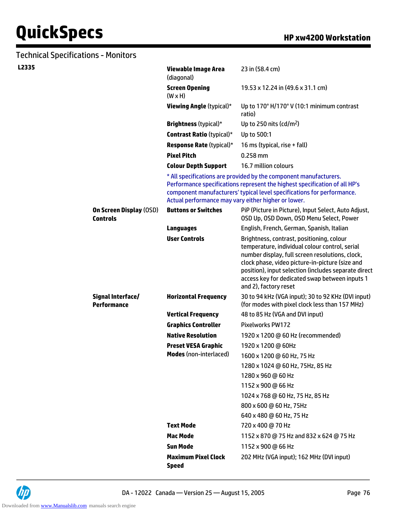| <b>Technical Specifications - Monitors</b> |                                                   |                                                                                                                                                                                                                                                                                  |                                                                                                                                                                                                                                                                                                                                      |
|--------------------------------------------|---------------------------------------------------|----------------------------------------------------------------------------------------------------------------------------------------------------------------------------------------------------------------------------------------------------------------------------------|--------------------------------------------------------------------------------------------------------------------------------------------------------------------------------------------------------------------------------------------------------------------------------------------------------------------------------------|
| L2335                                      |                                                   | <b>Viewable Image Area</b><br>(diagonal)                                                                                                                                                                                                                                         | 23 in (58.4 cm)                                                                                                                                                                                                                                                                                                                      |
|                                            |                                                   | <b>Screen Opening</b><br>$(W \times H)$                                                                                                                                                                                                                                          | 19.53 x 12.24 in (49.6 x 31.1 cm)                                                                                                                                                                                                                                                                                                    |
|                                            |                                                   | <b>Viewing Angle (typical)*</b>                                                                                                                                                                                                                                                  | Up to 170° H/170° V (10:1 minimum contrast<br>ratio)                                                                                                                                                                                                                                                                                 |
|                                            |                                                   | <b>Brightness</b> (typical)*                                                                                                                                                                                                                                                     | Up to 250 nits (cd/m <sup>2</sup> )                                                                                                                                                                                                                                                                                                  |
|                                            |                                                   | <b>Contrast Ratio (typical)*</b>                                                                                                                                                                                                                                                 | Up to 500:1                                                                                                                                                                                                                                                                                                                          |
|                                            |                                                   | <b>Response Rate (typical)*</b>                                                                                                                                                                                                                                                  | 16 ms (typical, rise + fall)                                                                                                                                                                                                                                                                                                         |
|                                            |                                                   | <b>Pixel Pitch</b>                                                                                                                                                                                                                                                               | $0.258$ mm                                                                                                                                                                                                                                                                                                                           |
|                                            |                                                   | <b>Colour Depth Support</b>                                                                                                                                                                                                                                                      | 16.7 million colours                                                                                                                                                                                                                                                                                                                 |
|                                            |                                                   | * All specifications are provided by the component manufacturers.<br>Performance specifications represent the highest specification of all HP's<br>component manufacturers' typical level specifications for performance.<br>Actual performance may vary either higher or lower. |                                                                                                                                                                                                                                                                                                                                      |
|                                            | <b>On Screen Display (OSD)</b><br><b>Controls</b> | <b>Buttons or Switches</b>                                                                                                                                                                                                                                                       | PiP (Picture in Picture), Input Select, Auto Adjust,<br>OSD Up, OSD Down, OSD Menu Select, Power                                                                                                                                                                                                                                     |
|                                            |                                                   | <b>Languages</b>                                                                                                                                                                                                                                                                 | English, French, German, Spanish, Italian                                                                                                                                                                                                                                                                                            |
|                                            |                                                   | <b>User Controls</b>                                                                                                                                                                                                                                                             | Brightness, contrast, positioning, colour<br>temperature, individual colour control, serial<br>number display, full screen resolutions, clock,<br>clock phase, video picture-in-picture (size and<br>position), input selection (includes separate direct<br>access key for dedicated swap between inputs 1<br>and 2), factory reset |
|                                            | <b>Signal Interface/</b><br><b>Performance</b>    | <b>Horizontal Frequency</b>                                                                                                                                                                                                                                                      | 30 to 94 kHz (VGA input); 30 to 92 KHz (DVI input)<br>(for modes with pixel clock less than 157 MHz)                                                                                                                                                                                                                                 |
|                                            |                                                   | <b>Vertical Frequency</b>                                                                                                                                                                                                                                                        | 48 to 85 Hz (VGA and DVI input)                                                                                                                                                                                                                                                                                                      |
|                                            |                                                   | <b>Graphics Controller</b>                                                                                                                                                                                                                                                       | Pixelworks PW172                                                                                                                                                                                                                                                                                                                     |
|                                            |                                                   | <b>Native Resolution</b>                                                                                                                                                                                                                                                         | 1920 x 1200 @ 60 Hz (recommended)                                                                                                                                                                                                                                                                                                    |
|                                            |                                                   | <b>Preset VESA Graphic</b><br><b>Modes</b> (non-interlaced)                                                                                                                                                                                                                      | 1920 x 1200 @ 60Hz                                                                                                                                                                                                                                                                                                                   |
|                                            |                                                   |                                                                                                                                                                                                                                                                                  | 1600 x 1200 @ 60 Hz, 75 Hz                                                                                                                                                                                                                                                                                                           |
|                                            |                                                   |                                                                                                                                                                                                                                                                                  | 1280 x 1024 @ 60 Hz, 75Hz, 85 Hz                                                                                                                                                                                                                                                                                                     |
|                                            |                                                   |                                                                                                                                                                                                                                                                                  | 1280 x 960 @ 60 Hz                                                                                                                                                                                                                                                                                                                   |
|                                            |                                                   |                                                                                                                                                                                                                                                                                  | 1152 x 900 @ 66 Hz                                                                                                                                                                                                                                                                                                                   |
|                                            |                                                   |                                                                                                                                                                                                                                                                                  | 1024 x 768 @ 60 Hz, 75 Hz, 85 Hz                                                                                                                                                                                                                                                                                                     |
|                                            |                                                   |                                                                                                                                                                                                                                                                                  | 800 x 600 @ 60 Hz, 75Hz                                                                                                                                                                                                                                                                                                              |
|                                            |                                                   |                                                                                                                                                                                                                                                                                  | 640 x 480 @ 60 Hz, 75 Hz                                                                                                                                                                                                                                                                                                             |
|                                            |                                                   | <b>Text Mode</b>                                                                                                                                                                                                                                                                 | 720 x 400 @ 70 Hz                                                                                                                                                                                                                                                                                                                    |
|                                            |                                                   | <b>Mac Mode</b>                                                                                                                                                                                                                                                                  | 1152 x 870 @ 75 Hz and 832 x 624 @ 75 Hz                                                                                                                                                                                                                                                                                             |
|                                            |                                                   | <b>Sun Mode</b>                                                                                                                                                                                                                                                                  | 1152 x 900 @ 66 Hz                                                                                                                                                                                                                                                                                                                   |
|                                            |                                                   | <b>Maximum Pixel Clock</b><br><b>Speed</b>                                                                                                                                                                                                                                       | 202 MHz (VGA input); 162 MHz (DVI input)                                                                                                                                                                                                                                                                                             |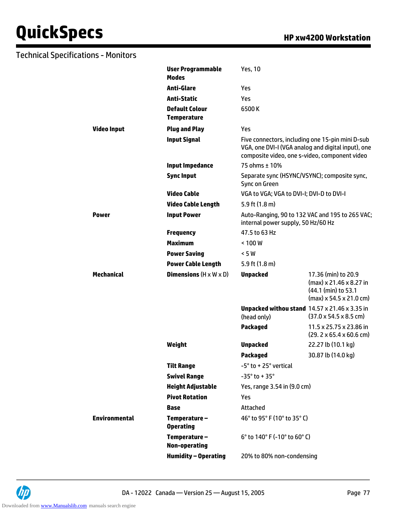### Technical Specifications - Monitors

|                      | <b>User Programmable</b><br><b>Modes</b>    | <b>Yes, 10</b>                                                      |                                                                                                        |
|----------------------|---------------------------------------------|---------------------------------------------------------------------|--------------------------------------------------------------------------------------------------------|
|                      | <b>Anti-Glare</b>                           | Yes                                                                 |                                                                                                        |
|                      | <b>Anti-Static</b>                          | Yes                                                                 |                                                                                                        |
|                      | <b>Default Colour</b><br><b>Temperature</b> | 6500K                                                               |                                                                                                        |
| <b>Video Input</b>   | <b>Plug and Play</b>                        | Yes                                                                 |                                                                                                        |
|                      | <b>Input Signal</b>                         | composite video, one s-video, component video                       | Five connectors, including one 15-pin mini D-sub<br>VGA, one DVI-I (VGA analog and digital input), one |
|                      | <b>Input Impedance</b>                      | 75 ohms ± 10%                                                       |                                                                                                        |
|                      | <b>Sync Input</b>                           | Separate sync (HSYNC/VSYNC); composite sync,<br>Sync on Green       |                                                                                                        |
|                      | <b>Video Cable</b>                          | VGA to VGA; VGA to DVI-I; DVI-D to DVI-I                            |                                                                                                        |
|                      | <b>Video Cable Length</b>                   | 5.9 ft $(1.8 \text{ m})$                                            |                                                                                                        |
| Power                | <b>Input Power</b>                          | internal power supply, 50 Hz/60 Hz                                  | Auto-Ranging, 90 to 132 VAC and 195 to 265 VAC;                                                        |
|                      | <b>Frequency</b>                            | 47.5 to 63 Hz                                                       |                                                                                                        |
|                      | <b>Maximum</b>                              | < 100W                                                              |                                                                                                        |
|                      | <b>Power Saving</b>                         | < 5 W                                                               |                                                                                                        |
|                      | <b>Power Cable Length</b>                   | 5.9 ft $(1.8 \text{ m})$                                            |                                                                                                        |
| <b>Mechanical</b>    | <b>Dimensions</b> $(H \times W \times D)$   | <b>Unpacked</b>                                                     | 17.36 (min) to 20.9<br>(max) x 21.46 x 8.27 in<br>(44.1 (min) to 53.1<br>$(max)$ x 54.5 x 21.0 cm)     |
|                      |                                             | <b>Unpacked withou stand 14.57 x 21.46 x 3.35 in</b><br>(head only) | $(37.0 \times 54.5 \times 8.5 \text{ cm})$                                                             |
|                      |                                             | <b>Packaged</b>                                                     | 11.5 x 25.75 x 23.86 in<br>$(29.2 \times 65.4 \times 60.6$ cm)                                         |
|                      | Weight                                      | <b>Unpacked</b>                                                     | 22.27 lb (10.1 kg)                                                                                     |
|                      |                                             | <b>Packaged</b>                                                     | 30.87 lb (14.0 kg)                                                                                     |
|                      | <b>Tilt Range</b>                           | -5° to +25° vertical                                                |                                                                                                        |
|                      | <b>Swivel Range</b>                         | $-35^\circ$ to + 35 $^\circ$                                        |                                                                                                        |
|                      | <b>Height Adjustable</b>                    | Yes, range 3.54 in (9.0 cm)                                         |                                                                                                        |
|                      | <b>Pivot Rotation</b>                       | Yes                                                                 |                                                                                                        |
|                      | <b>Base</b>                                 | Attached                                                            |                                                                                                        |
| <b>Environmental</b> | Temperature-<br><b>Operating</b>            | 46° to 95° F (10° to 35° C)                                         |                                                                                                        |
|                      | Temperature-<br><b>Non-operating</b>        | 6° to 140° F (-10° to 60° C)                                        |                                                                                                        |
|                      | <b>Humidity - Operating</b>                 | 20% to 80% non-condensing                                           |                                                                                                        |

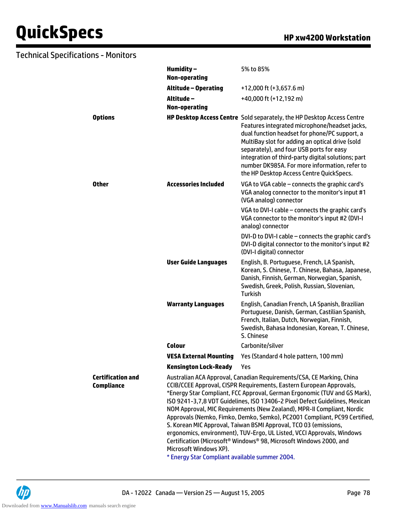### Technical Specifications - Monitors

|                                        | Humidity-<br><b>Non-operating</b>                                                                                                                                                                                                                                                                                                                                                                                                                                                                                                                                                                                                                                                                                                                                           | 5% to 85%                                                                                                                                                                                                                                                                                                                                                                                                                  |
|----------------------------------------|-----------------------------------------------------------------------------------------------------------------------------------------------------------------------------------------------------------------------------------------------------------------------------------------------------------------------------------------------------------------------------------------------------------------------------------------------------------------------------------------------------------------------------------------------------------------------------------------------------------------------------------------------------------------------------------------------------------------------------------------------------------------------------|----------------------------------------------------------------------------------------------------------------------------------------------------------------------------------------------------------------------------------------------------------------------------------------------------------------------------------------------------------------------------------------------------------------------------|
|                                        | <b>Altitude - Operating</b>                                                                                                                                                                                                                                                                                                                                                                                                                                                                                                                                                                                                                                                                                                                                                 | +12,000 ft (+3,657.6 m)                                                                                                                                                                                                                                                                                                                                                                                                    |
|                                        | Altitude-                                                                                                                                                                                                                                                                                                                                                                                                                                                                                                                                                                                                                                                                                                                                                                   | +40,000 ft (+12,192 m)                                                                                                                                                                                                                                                                                                                                                                                                     |
|                                        | <b>Non-operating</b>                                                                                                                                                                                                                                                                                                                                                                                                                                                                                                                                                                                                                                                                                                                                                        |                                                                                                                                                                                                                                                                                                                                                                                                                            |
| <b>Options</b>                         |                                                                                                                                                                                                                                                                                                                                                                                                                                                                                                                                                                                                                                                                                                                                                                             | HP Desktop Access Centre Sold separately, the HP Desktop Access Centre<br>Features integrated microphone/headset jacks,<br>dual function headset for phone/PC support, a<br>MultiBay slot for adding an optical drive (sold<br>separately), and four USB ports for easy<br>integration of third-party digital solutions; part<br>number DK985A. For more information, refer to<br>the HP Desktop Access Centre QuickSpecs. |
| Other                                  | <b>Accessories Included</b>                                                                                                                                                                                                                                                                                                                                                                                                                                                                                                                                                                                                                                                                                                                                                 | VGA to VGA cable - connects the graphic card's<br>VGA analog connector to the monitor's input #1<br>(VGA analog) connector                                                                                                                                                                                                                                                                                                 |
|                                        |                                                                                                                                                                                                                                                                                                                                                                                                                                                                                                                                                                                                                                                                                                                                                                             | VGA to DVI-I cable - connects the graphic card's<br>VGA connector to the monitor's input #2 (DVI-I<br>analog) connector                                                                                                                                                                                                                                                                                                    |
|                                        |                                                                                                                                                                                                                                                                                                                                                                                                                                                                                                                                                                                                                                                                                                                                                                             | DVI-D to DVI-I cable - connects the graphic card's<br>DVI-D digital connector to the monitor's input #2<br>(DVI-I digital) connector                                                                                                                                                                                                                                                                                       |
|                                        | <b>User Guide Languages</b>                                                                                                                                                                                                                                                                                                                                                                                                                                                                                                                                                                                                                                                                                                                                                 | English, B. Portuguese, French, LA Spanish,<br>Korean, S. Chinese, T. Chinese, Bahasa, Japanese,<br>Danish, Finnish, German, Norwegian, Spanish,<br>Swedish, Greek, Polish, Russian, Slovenian,<br><b>Turkish</b>                                                                                                                                                                                                          |
|                                        | <b>Warranty Languages</b>                                                                                                                                                                                                                                                                                                                                                                                                                                                                                                                                                                                                                                                                                                                                                   | English, Canadian French, LA Spanish, Brazilian<br>Portuguese, Danish, German, Castilian Spanish,<br>French, Italian, Dutch, Norwegian, Finnish,<br>Swedish, Bahasa Indonesian, Korean, T. Chinese,<br>S. Chinese                                                                                                                                                                                                          |
|                                        | <b>Colour</b>                                                                                                                                                                                                                                                                                                                                                                                                                                                                                                                                                                                                                                                                                                                                                               | Carbonite/silver                                                                                                                                                                                                                                                                                                                                                                                                           |
|                                        | <b>VESA External Mounting</b>                                                                                                                                                                                                                                                                                                                                                                                                                                                                                                                                                                                                                                                                                                                                               | Yes (Standard 4 hole pattern, 100 mm)                                                                                                                                                                                                                                                                                                                                                                                      |
|                                        | <b>Kensington Lock-Ready</b>                                                                                                                                                                                                                                                                                                                                                                                                                                                                                                                                                                                                                                                                                                                                                | Yes                                                                                                                                                                                                                                                                                                                                                                                                                        |
| <b>Certification and</b><br>Compliance | Australian ACA Approval, Canadian Requirements/CSA, CE Marking, China<br>CCIB/CCEE Approval, CISPR Requirements, Eastern European Approvals,<br>*Energy Star Compliant, FCC Approval, German Ergonomic (TUV and GS Mark),<br>ISO 9241-3,7,8 VDT Guidelines, ISO 13406-2 Pixel Defect Guidelines, Mexican<br>NOM Approval, MIC Requirements (New Zealand), MPR-II Compliant, Nordic<br>Approvals (Nemko, Fimko, Demko, Semko), PC2001 Compliant, PC99 Certified,<br>S. Korean MIC Approval, Taiwan BSMI Approval, TCO 03 (emissions,<br>ergonomics, environment), TUV-Ergo, UL Listed, VCCI Approvals, Windows<br>Certification (Microsoft <sup>®</sup> Windows® 98, Microsoft Windows 2000, and<br>Microsoft Windows XP).<br>* Energy Star Compliant available summer 2004. |                                                                                                                                                                                                                                                                                                                                                                                                                            |
|                                        |                                                                                                                                                                                                                                                                                                                                                                                                                                                                                                                                                                                                                                                                                                                                                                             |                                                                                                                                                                                                                                                                                                                                                                                                                            |